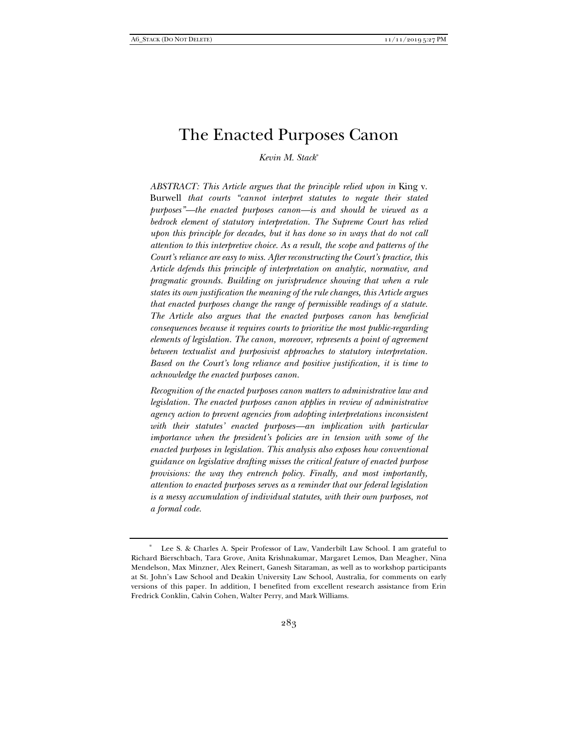# The Enacted Purposes Canon

*Kevin M. Stack*\*

*ABSTRACT: This Article argues that the principle relied upon in* King v. Burwell *that courts "cannot interpret statutes to negate their stated purposes"—the enacted purposes canon—is and should be viewed as a bedrock element of statutory interpretation. The Supreme Court has relied upon this principle for decades, but it has done so in ways that do not call attention to this interpretive choice. As a result, the scope and patterns of the Court's reliance are easy to miss. After reconstructing the Court's practice, this Article defends this principle of interpretation on analytic, normative, and pragmatic grounds. Building on jurisprudence showing that when a rule states its own justification the meaning of the rule changes, this Article argues that enacted purposes change the range of permissible readings of a statute. The Article also argues that the enacted purposes canon has beneficial consequences because it requires courts to prioritize the most public-regarding elements of legislation. The canon, moreover, represents a point of agreement between textualist and purposivist approaches to statutory interpretation. Based on the Court's long reliance and positive justification, it is time to acknowledge the enacted purposes canon.* 

*Recognition of the enacted purposes canon matters to administrative law and legislation. The enacted purposes canon applies in review of administrative agency action to prevent agencies from adopting interpretations inconsistent*  with their statutes' enacted purposes—an implication with particular *importance when the president's policies are in tension with some of the enacted purposes in legislation. This analysis also exposes how conventional guidance on legislative drafting misses the critical feature of enacted purpose provisions: the way they entrench policy. Finally, and most importantly, attention to enacted purposes serves as a reminder that our federal legislation is a messy accumulation of individual statutes, with their own purposes, not a formal code.* 

Lee S. & Charles A. Speir Professor of Law, Vanderbilt Law School. I am grateful to Richard Bierschbach, Tara Grove, Anita Krishnakumar, Margaret Lemos, Dan Meagher, Nina Mendelson, Max Minzner, Alex Reinert, Ganesh Sitaraman, as well as to workshop participants at St. John's Law School and Deakin University Law School, Australia, for comments on early versions of this paper. In addition, I benefited from excellent research assistance from Erin Fredrick Conklin, Calvin Cohen, Walter Perry, and Mark Williams.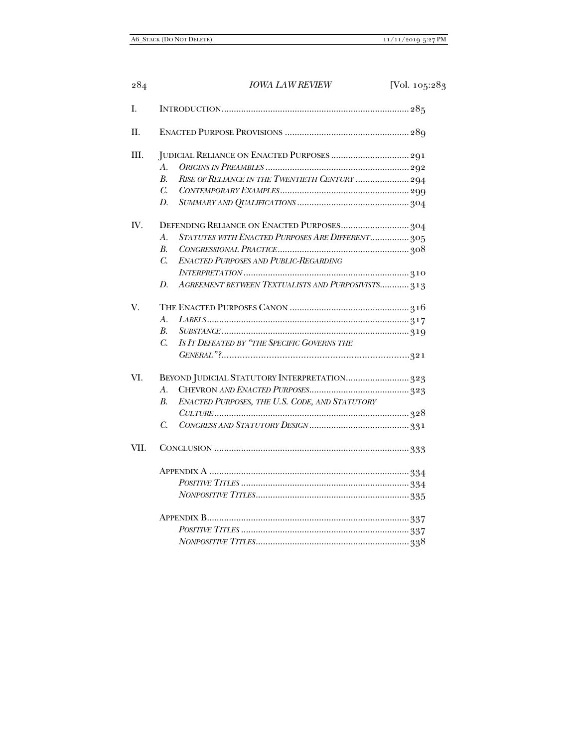| L    |                                             |                                                    |
|------|---------------------------------------------|----------------------------------------------------|
| H.   |                                             |                                                    |
| III. |                                             | JUDICIAL RELIANCE ON ENACTED PURPOSES  291         |
|      | $A_{\cdot}$                                 |                                                    |
|      | $B_{\cdot}$                                 | RISE OF RELIANCE IN THE TWENTIETH CENTURY  294     |
|      | C.                                          |                                                    |
|      | D.                                          |                                                    |
| IV.  |                                             | DEFENDING RELIANCE ON ENACTED PURPOSES304          |
|      | $A_{\cdot}$                                 | STATUTES WITH ENACTED PURPOSES ARE DIFFERENT 305   |
|      | $B_{\cdot}$                                 |                                                    |
|      | $C_{\cdot}$                                 | ENACTED PURPOSES AND PUBLIC-REGARDING              |
|      |                                             |                                                    |
|      | D.                                          | AGREEMENT BETWEEN TEXTUALISTS AND PURPOSIVISTS 313 |
| V.   |                                             |                                                    |
|      | A.                                          |                                                    |
|      | В.                                          |                                                    |
|      | $\overline{C}$ .                            | IS IT DEFEATED BY "THE SPECIFIC GOVERNS THE        |
|      |                                             |                                                    |
| VI.  | BEYOND JUDICIAL STATUTORY INTERPRETATION323 |                                                    |
|      | A.                                          |                                                    |
|      | В.                                          | ENACTED PURPOSES, THE U.S. CODE, AND STATUTORY     |
|      |                                             |                                                    |
|      | C.                                          |                                                    |
| VII. |                                             |                                                    |
|      |                                             |                                                    |
|      |                                             |                                                    |
|      |                                             |                                                    |
|      |                                             |                                                    |
|      |                                             |                                                    |
|      |                                             |                                                    |

284 *IOWA LAW REVIEW* [Vol. 105:283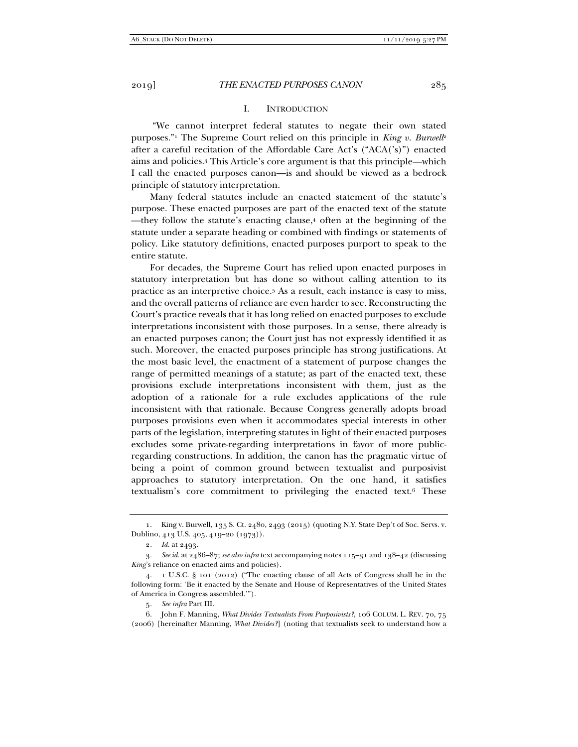#### I. INTRODUCTION

 "We cannot interpret federal statutes to negate their own stated purposes."<sup>1</sup> The Supreme Court relied on this principle in *King v. Burwell*<sup>2</sup> after a careful recitation of the Affordable Care Act's ("ACA('s)") enacted aims and policies.3 This Article's core argument is that this principle—which I call the enacted purposes canon—is and should be viewed as a bedrock principle of statutory interpretation.

Many federal statutes include an enacted statement of the statute's purpose. These enacted purposes are part of the enacted text of the statute —they follow the statute's enacting clause,4 often at the beginning of the statute under a separate heading or combined with findings or statements of policy. Like statutory definitions, enacted purposes purport to speak to the entire statute.

For decades, the Supreme Court has relied upon enacted purposes in statutory interpretation but has done so without calling attention to its practice as an interpretive choice.5 As a result, each instance is easy to miss, and the overall patterns of reliance are even harder to see. Reconstructing the Court's practice reveals that it has long relied on enacted purposes to exclude interpretations inconsistent with those purposes. In a sense, there already is an enacted purposes canon; the Court just has not expressly identified it as such. Moreover, the enacted purposes principle has strong justifications. At the most basic level, the enactment of a statement of purpose changes the range of permitted meanings of a statute; as part of the enacted text, these provisions exclude interpretations inconsistent with them, just as the adoption of a rationale for a rule excludes applications of the rule inconsistent with that rationale. Because Congress generally adopts broad purposes provisions even when it accommodates special interests in other parts of the legislation, interpreting statutes in light of their enacted purposes excludes some private-regarding interpretations in favor of more publicregarding constructions. In addition, the canon has the pragmatic virtue of being a point of common ground between textualist and purposivist approaches to statutory interpretation. On the one hand, it satisfies textualism's core commitment to privileging the enacted text.<sup>6</sup> These

 <sup>1.</sup> King v. Burwell, 135 S. Ct. 2480, 2493 (2015) (quoting N.Y. State Dep't of Soc. Servs. v. Dublino, 413 U.S. 405, 419–20 (1973)).

<sup>2</sup>*. Id.* at 2493.

<sup>3</sup>*. See id.* at 2486–87; *see also infra* text accompanying notes 115–31 and 138–42 (discussing *King*'s reliance on enacted aims and policies).

 <sup>4. 1</sup> U.S.C. § 101 (2012) ("The enacting clause of all Acts of Congress shall be in the following form: 'Be it enacted by the Senate and House of Representatives of the United States of America in Congress assembled.'").

<sup>5</sup>*. See infra* Part III.

 <sup>6.</sup> John F. Manning, *What Divides Textualists From Purposivists?*, 106 COLUM. L. REV. 70, 75 (2006) [hereinafter Manning, *What Divides?*] (noting that textualists seek to understand how a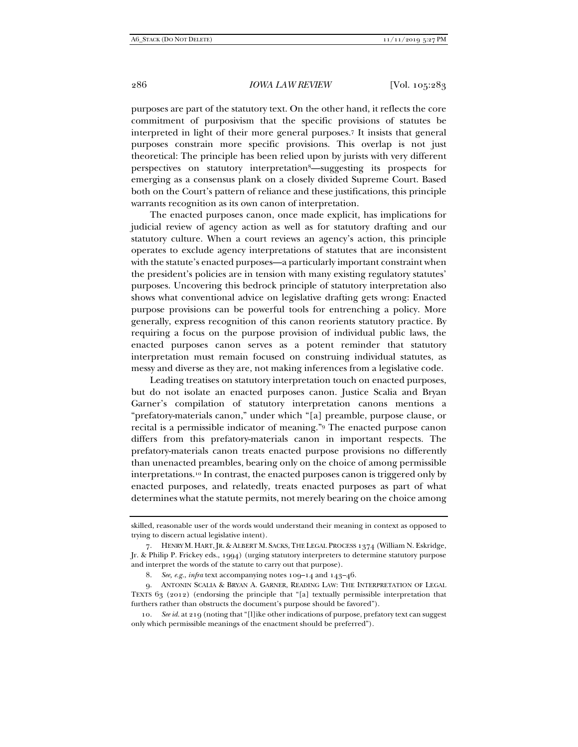purposes are part of the statutory text. On the other hand, it reflects the core commitment of purposivism that the specific provisions of statutes be interpreted in light of their more general purposes.7 It insists that general purposes constrain more specific provisions. This overlap is not just theoretical: The principle has been relied upon by jurists with very different perspectives on statutory interpretation8—suggesting its prospects for emerging as a consensus plank on a closely divided Supreme Court. Based both on the Court's pattern of reliance and these justifications, this principle warrants recognition as its own canon of interpretation.

The enacted purposes canon, once made explicit, has implications for judicial review of agency action as well as for statutory drafting and our statutory culture. When a court reviews an agency's action, this principle operates to exclude agency interpretations of statutes that are inconsistent with the statute's enacted purposes—a particularly important constraint when the president's policies are in tension with many existing regulatory statutes' purposes. Uncovering this bedrock principle of statutory interpretation also shows what conventional advice on legislative drafting gets wrong: Enacted purpose provisions can be powerful tools for entrenching a policy. More generally, express recognition of this canon reorients statutory practice. By requiring a focus on the purpose provision of individual public laws, the enacted purposes canon serves as a potent reminder that statutory interpretation must remain focused on construing individual statutes, as messy and diverse as they are, not making inferences from a legislative code.

Leading treatises on statutory interpretation touch on enacted purposes, but do not isolate an enacted purposes canon. Justice Scalia and Bryan Garner's compilation of statutory interpretation canons mentions a "prefatory-materials canon," under which "[a] preamble, purpose clause, or recital is a permissible indicator of meaning."9 The enacted purpose canon differs from this prefatory-materials canon in important respects. The prefatory-materials canon treats enacted purpose provisions no differently than unenacted preambles, bearing only on the choice of among permissible interpretations.10 In contrast, the enacted purposes canon is triggered only by enacted purposes, and relatedly, treats enacted purposes as part of what determines what the statute permits, not merely bearing on the choice among

skilled, reasonable user of the words would understand their meaning in context as opposed to trying to discern actual legislative intent).

 <sup>7.</sup> HENRY M. HART, JR. & ALBERT M. SACKS, THE LEGAL PROCESS 1374 (William N. Eskridge, Jr. & Philip P. Frickey eds., 1994) (urging statutory interpreters to determine statutory purpose and interpret the words of the statute to carry out that purpose).

 <sup>8.</sup> *See, e.g.*, *infra* text accompanying notes 109–14 and 143–46.

 <sup>9.</sup> ANTONIN SCALIA & BRYAN A. GARNER, READING LAW: THE INTERPRETATION OF LEGAL TEXTS 63 (2012) (endorsing the principle that "[a] textually permissible interpretation that furthers rather than obstructs the document's purpose should be favored").

<sup>10</sup>*. See id.* at 219 (noting that "[l]ike other indications of purpose, prefatory text can suggest only which permissible meanings of the enactment should be preferred").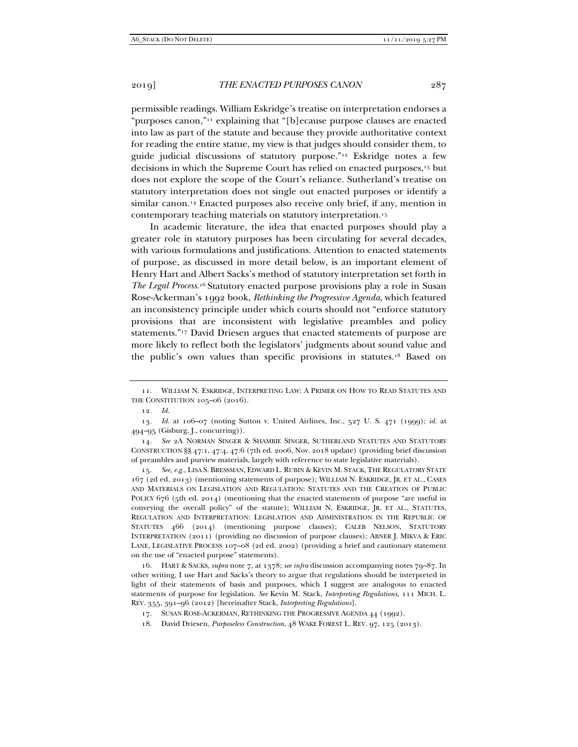permissible readings. William Eskridge's treatise on interpretation endorses a "purposes canon,"11 explaining that "[b]ecause purpose clauses are enacted into law as part of the statute and because they provide authoritative context for reading the entire statue, my view is that judges should consider them, to guide judicial discussions of statutory purpose."12 Eskridge notes a few decisions in which the Supreme Court has relied on enacted purposes,<sup>13</sup> but does not explore the scope of the Court's reliance. Sutherland's treatise on statutory interpretation does not single out enacted purposes or identify a similar canon.<sup>14</sup> Enacted purposes also receive only brief, if any, mention in contemporary teaching materials on statutory interpretation.15

In academic literature, the idea that enacted purposes should play a greater role in statutory purposes has been circulating for several decades, with various formulations and justifications. Attention to enacted statements of purpose, as discussed in more detail below, is an important element of Henry Hart and Albert Sacks's method of statutory interpretation set forth in *The Legal Process*.16 Statutory enacted purpose provisions play a role in Susan Rose-Ackerman's 1992 book, *Rethinking the Progressive Agenda*, which featured an inconsistency principle under which courts should not "enforce statutory provisions that are inconsistent with legislative preambles and policy statements."17 David Driesen argues that enacted statements of purpose are more likely to reflect both the legislators' judgments about sound value and the public's own values than specific provisions in statutes.18 Based on

14*. See* 2A NORMAN SINGER & SHAMBIE SINGER, SUTHERLAND STATUTES AND STATUTORY CONSTRUCTION §§ 47:1, 47:4, 47:6 (7th ed. 2006, Nov. 2018 update) (providing brief discussion of preambles and purview materials, largely with reference to state legislative materials).

15*. See, e.g.*, LISA S. BRESSMAN, EDWARD L. RUBIN & KEVIN M. STACK, THE REGULATORY STATE 167 (2d ed. 2013) (mentioning statements of purpose); WILLIAM N. ESKRIDGE, JR. ET AL., CASES AND MATERIALS ON LEGISLATION AND REGULATION: STATUTES AND THE CREATION OF PUBLIC POLICY  $676$  (5th ed. 2014) (mentioning that the enacted statements of purpose "are useful in conveying the overall policy" of the statute); WILLIAM N. ESKRIDGE, JR. ET AL., STATUTES, REGULATION AND INTERPRETATION: LEGISLATION AND ADMINISTRATION IN THE REPUBLIC OF STATUTES 466 (2014) (mentioning purpose clauses); CALEB NELSON, STATUTORY INTERPRETATION (2011) (providing no discussion of purpose clauses); ABNER J. MIKVA & ERIC LANE, LEGISLATIVE PROCESS 107–08 (2d ed. 2002) (providing a brief and cautionary statement on the use of "enacted purpose" statements).

 16. HART & SACKS, *supra* note 7, at 1378; *see infra* discussion accompanying notes 79–87. In other writing, I use Hart and Sacks's theory to argue that regulations should be interpreted in light of their statements of basis and purposes, which I suggest are analogous to enacted statements of purpose for legislation. *See* Kevin M. Stack, *Interpreting Regulations*, 111 MICH. L. REV. 355, 391–96 (2012) [hereinafter Stack, *Interpreting Regulations*].

17. SUSAN ROSE-ACKERMAN, RETHINKING THE PROGRESSIVE AGENDA 44 (1992).

18. David Driesen, *Purposeless Construction*, 48 WAKE FOREST L. REV. 97, 125 (2013).

 <sup>11.</sup> WILLIAM N. ESKRIDGE, INTERPRETING LAW: A PRIMER ON HOW TO READ STATUTES AND THE CONSTITUTION 105-06 (2016).

<sup>12</sup>*. Id.*

<sup>13</sup>*. Id.* at 106–07 (noting Sutton v. United Airlines, Inc., 527 U. S. 471 (1999); *id.* at 494–95 (Gisburg, J., concurring)).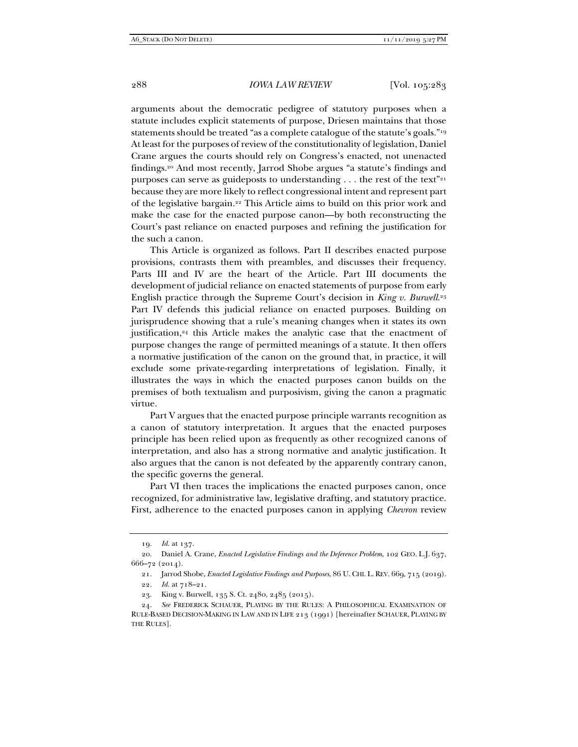arguments about the democratic pedigree of statutory purposes when a statute includes explicit statements of purpose, Driesen maintains that those statements should be treated "as a complete catalogue of the statute's goals."<sup>19</sup> At least for the purposes of review of the constitutionality of legislation, Daniel Crane argues the courts should rely on Congress's enacted, not unenacted findings.20 And most recently, Jarrod Shobe argues "a statute's findings and purposes can serve as guideposts to understanding  $\dots$  the rest of the text"<sup>21</sup> because they are more likely to reflect congressional intent and represent part of the legislative bargain.22 This Article aims to build on this prior work and make the case for the enacted purpose canon—by both reconstructing the Court's past reliance on enacted purposes and refining the justification for the such a canon.

This Article is organized as follows. Part II describes enacted purpose provisions, contrasts them with preambles, and discusses their frequency. Parts III and IV are the heart of the Article. Part III documents the development of judicial reliance on enacted statements of purpose from early English practice through the Supreme Court's decision in *King v. Burwell*.23 Part IV defends this judicial reliance on enacted purposes. Building on jurisprudence showing that a rule's meaning changes when it states its own justification,<sup>24</sup> this Article makes the analytic case that the enactment of purpose changes the range of permitted meanings of a statute. It then offers a normative justification of the canon on the ground that, in practice, it will exclude some private-regarding interpretations of legislation. Finally, it illustrates the ways in which the enacted purposes canon builds on the premises of both textualism and purposivism, giving the canon a pragmatic virtue.

Part V argues that the enacted purpose principle warrants recognition as a canon of statutory interpretation. It argues that the enacted purposes principle has been relied upon as frequently as other recognized canons of interpretation, and also has a strong normative and analytic justification. It also argues that the canon is not defeated by the apparently contrary canon, the specific governs the general.

Part VI then traces the implications the enacted purposes canon, once recognized, for administrative law, legislative drafting, and statutory practice. First, adherence to the enacted purposes canon in applying *Chevron* review

<sup>19</sup>*. Id.* at 137.

 <sup>20.</sup> Daniel A. Crane, *Enacted Legislative Findings and the Deference Problem*, 102 GEO. L.J. 637, 666–72 (2014).

 <sup>21.</sup> Jarrod Shobe, *Enacted Legislative Findings and Purposes*, 86 U. CHI. L. REV. 669, 715 (2019). 22*. Id.* at 718–21.

 <sup>23.</sup> King v. Burwell, 135 S. Ct. 2480, 2485 (2015).

<sup>24</sup>*. See* FREDERICK SCHAUER, PLAYING BY THE RULES: A PHILOSOPHICAL EXAMINATION OF RULE-BASED DECISION-MAKING IN LAW AND IN LIFE 213 (1991) [hereinafter SCHAUER, PLAYING BY THE RULES].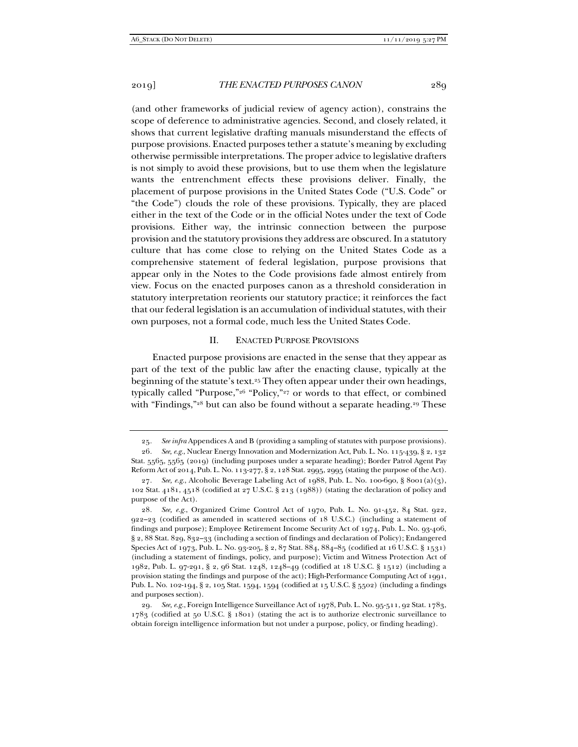(and other frameworks of judicial review of agency action), constrains the scope of deference to administrative agencies. Second, and closely related, it shows that current legislative drafting manuals misunderstand the effects of purpose provisions. Enacted purposes tether a statute's meaning by excluding otherwise permissible interpretations. The proper advice to legislative drafters is not simply to avoid these provisions, but to use them when the legislature wants the entrenchment effects these provisions deliver. Finally, the placement of purpose provisions in the United States Code ("U.S. Code" or "the Code") clouds the role of these provisions. Typically, they are placed either in the text of the Code or in the official Notes under the text of Code provisions. Either way, the intrinsic connection between the purpose provision and the statutory provisions they address are obscured. In a statutory culture that has come close to relying on the United States Code as a comprehensive statement of federal legislation, purpose provisions that appear only in the Notes to the Code provisions fade almost entirely from view. Focus on the enacted purposes canon as a threshold consideration in statutory interpretation reorients our statutory practice; it reinforces the fact that our federal legislation is an accumulation of individual statutes, with their own purposes, not a formal code, much less the United States Code.

## II. ENACTED PURPOSE PROVISIONS

 Enacted purpose provisions are enacted in the sense that they appear as part of the text of the public law after the enacting clause, typically at the beginning of the statute's text.25 They often appear under their own headings, typically called "Purpose,"26 "Policy,"27 or words to that effect, or combined with "Findings,"<sup>28</sup> but can also be found without a separate heading.<sup>29</sup> These

<sup>25</sup>*. See infra* Appendices A and B (providing a sampling of statutes with purpose provisions).

<sup>26</sup>*. See, e.g.*, Nuclear Energy Innovation and Modernization Act, Pub. L. No. 115-439, § 2, 132 Stat. 5565, 5565 (2019) (including purposes under a separate heading); Border Patrol Agent Pay Reform Act of 2014, Pub. L. No. 113-277, § 2, 128 Stat. 2995, 2995 (stating the purpose of the Act).

<sup>27.</sup> See, e.g., Alcoholic Beverage Labeling Act of  $1988$ , Pub. L. No. 100-690, § 8001(a)(3), 102 Stat.  $4181$ ,  $4518$  (codified at  $27$  U.S.C. §  $213$  (1988)) (stating the declaration of policy and purpose of the Act).

<sup>28</sup>*. See, e.g.*, Organized Crime Control Act of 1970, Pub. L. No. 91-452, 84 Stat. 922, 922–23 (codified as amended in scattered sections of 18 U.S.C.) (including a statement of findings and purpose); Employee Retirement Income Security Act of 1974, Pub. L. No. 93-406, § 2, 88 Stat. 829, 832–33 (including a section of findings and declaration of Policy); Endangered Species Act of 1973, Pub. L. No. 93-205, § 2, 87 Stat. 884, 884–85 (codified at 16 U.S.C. § 1531) (including a statement of findings, policy, and purpose); Victim and Witness Protection Act of 1982, Pub. L. 97-291, § 2, 96 Stat. 1248, 1248–49 (codified at 18 U.S.C. § 1512) (including a provision stating the findings and purpose of the act); High-Performance Computing Act of 1991, Pub. L. No. 102-194, § 2, 105 Stat. 1594, 1594 (codified at 15 U.S.C. § 5502) (including a findings and purposes section).

<sup>29</sup>*. See, e.g.*, Foreign Intelligence Surveillance Act of 1978, Pub. L. No. 95-511, 92 Stat. 1783, 1783 (codified at 50 U.S.C. § 1801) (stating the act is to authorize electronic surveillance to obtain foreign intelligence information but not under a purpose, policy, or finding heading).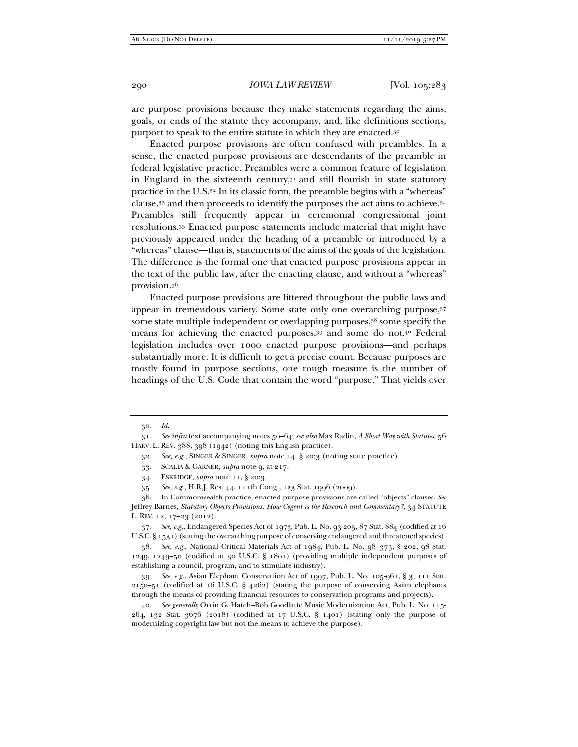are purpose provisions because they make statements regarding the aims, goals, or ends of the statute they accompany, and, like definitions sections, purport to speak to the entire statute in which they are enacted.30

Enacted purpose provisions are often confused with preambles. In a sense, the enacted purpose provisions are descendants of the preamble in federal legislative practice. Preambles were a common feature of legislation in England in the sixteenth century, $31$  and still flourish in state statutory practice in the U.S.32 In its classic form, the preamble begins with a "whereas" clause,33 and then proceeds to identify the purposes the act aims to achieve.34 Preambles still frequently appear in ceremonial congressional joint resolutions.35 Enacted purpose statements include material that might have previously appeared under the heading of a preamble or introduced by a "whereas" clause—that is, statements of the aims of the goals of the legislation. The difference is the formal one that enacted purpose provisions appear in the text of the public law, after the enacting clause, and without a "whereas" provision.36

Enacted purpose provisions are littered throughout the public laws and appear in tremendous variety. Some state only one overarching purpose,37 some state multiple independent or overlapping purposes,38 some specify the means for achieving the enacted purposes,39 and some do not.40 Federal legislation includes over 1000 enacted purpose provisions—and perhaps substantially more. It is difficult to get a precise count. Because purposes are mostly found in purpose sections, one rough measure is the number of headings of the U.S. Code that contain the word "purpose." That yields over

35*. See, e.g.*, H.R.J. Res. 44, 111th Cong., 123 Stat. 1996 (2009).

37*. See, e.g.*, Endangered Species Act of 1973, Pub. L. No. 93-205, 87 Stat. 884 (codified at 16 U.S.C. § 1531) (stating the overarching purpose of conserving endangered and threatened species).

38*. See, e.g.*, National Critical Materials Act of 1984, Pub. L. No. 98–373, § 202, 98 Stat. 1249, 1249–50 (codified at 30 U.S.C. § 1801) (providing multiple independent purposes of establishing a council, program, and to stimulate industry).

39*. See, e.g.*, Asian Elephant Conservation Act of 1997, Pub. L. No. 105-961, § 3, 111 Stat. 2150–51 (codified at 16 U.S.C. § 4262) (stating the purpose of conserving Asian elephants through the means of providing financial resources to conservation programs and projects).

40*. See generally* Orrin G. Hatch–Bob Goodlatte Music Modernization Act, Pub. L. No. 115- 264, 132 Stat. 3676 (2018) (codified at 17 U.S.C. § 1401) (stating only the purpose of modernizing copyright law but not the means to achieve the purpose).

<sup>30</sup>*. Id.*

<sup>31</sup>*. See infra* text accompanying notes 50–64; *see also* Max Radin, *A Short Way with Statutes*, 56 HARV. L. REV. 388, 398 (1942) (noting this English practice).

<sup>32</sup>*. See, e.g.*, SINGER & SINGER, *supra* note 14, § 20:3 (noting state practice).

 <sup>33.</sup> SCALIA & GARNER, *supra* note 9, at 217.

 <sup>34.</sup> ESKRIDGE, *supra* note 11, § 20:3.

 <sup>36.</sup> In Commonwealth practice, enacted purpose provisions are called "objects" clauses. *See* Jeffrey Barnes, *Statutory Objects Provisions: How Cogent is the Research and Commentary?*, 34 STATUTE L. REV. 12, 17–23 (2012).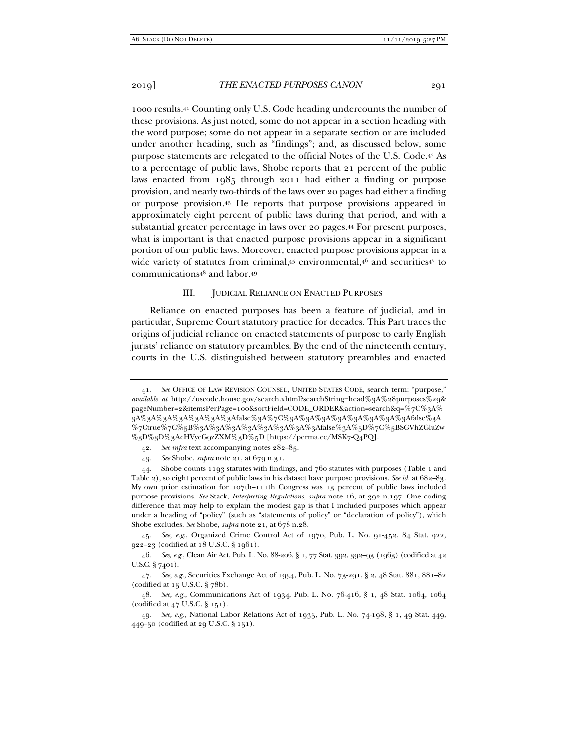1000 results.41 Counting only U.S. Code heading undercounts the number of these provisions. As just noted, some do not appear in a section heading with the word purpose; some do not appear in a separate section or are included under another heading, such as "findings"; and, as discussed below, some purpose statements are relegated to the official Notes of the U.S. Code.42 As to a percentage of public laws, Shobe reports that 21 percent of the public laws enacted from 1985 through 2011 had either a finding or purpose provision, and nearly two-thirds of the laws over 20 pages had either a finding or purpose provision.43 He reports that purpose provisions appeared in approximately eight percent of public laws during that period, and with a substantial greater percentage in laws over 20 pages.44 For present purposes, what is important is that enacted purpose provisions appear in a significant portion of our public laws. Moreover, enacted purpose provisions appear in a wide variety of statutes from criminal,<sup>45</sup> environmental,<sup>46</sup> and securities<sup>47</sup> to communications48 and labor.49

#### III. JUDICIAL RELIANCE ON ENACTED PURPOSES

Reliance on enacted purposes has been a feature of judicial, and in particular, Supreme Court statutory practice for decades. This Part traces the origins of judicial reliance on enacted statements of purpose to early English jurists' reliance on statutory preambles. By the end of the nineteenth century, courts in the U.S. distinguished between statutory preambles and enacted

45*. See, e.g.*, Organized Crime Control Act of 1970, Pub. L. No. 91-452, 84 Stat. 922, 922–23 (codified at 18 U.S.C. § 1961).

46*. See, e.g.*, Clean Air Act, Pub. L. No. 88-206, § 1, 77 Stat. 392, 392–93 (1963) (codified at 42 U.S.C. § 7401).

47*. See, e.g.*, Securities Exchange Act of 1934, Pub. L. No. 73-291, § 2, 48 Stat. 881, 881–82 (codified at 15 U.S.C. § 78b).

<sup>41</sup>*. See* OFFICE OF LAW REVISION COUNSEL, UNITED STATES CODE, search term: "purpose," *available at* http://uscode.house.gov/search.xhtml?searchString=head%3A%28purposes%29& pageNumber=2&itemsPerPage=100&sortField=CODE\_ORDER&action=search&q=%7C%3A% 3A%3A%3A%3A%3A%3A%3Afalse%3A%7C%3A%3A%3A%3A%3A%3A%3A%3Afalse%3A %7Ctrue%7C%5B%3A%3A%3A%3A%3A%3A%3A%3Afalse%3A%5D%7C%5BSGVhZGluZw %3D%3D%3AcHVycG9zZXM%3D%5D [https://perma.cc/MSK7-Q4PQ].

<sup>42</sup>*. See infra* text accompanying notes 282–85.

<sup>43</sup>*. See* Shobe, *supra* note 21, at 679 n.31.

 <sup>44.</sup> Shobe counts 1193 statutes with findings, and 760 statutes with purposes (Table 1 and Table 2), so eight percent of public laws in his dataset have purpose provisions. *See id.* at 682–83. My own prior estimation for 107th–111th Congress was 13 percent of public laws included purpose provisions. *See* Stack, *Interpreting Regulations*, *supra* note 16, at 392 n.197. One coding difference that may help to explain the modest gap is that I included purposes which appear under a heading of "policy" (such as "statements of policy" or "declaration of policy"), which Shobe excludes. *See* Shobe, *supra* note 21, at 678 n.28.

<sup>48</sup>*. See, e.g.*, Communications Act of 1934, Pub. L. No. 76-416, § 1, 48 Stat. 1064, 1064 (codified at 47 U.S.C. § 151).

<sup>49</sup>*. See, e.g.*, National Labor Relations Act of 1935, Pub. L. No. 74-198, § 1, 49 Stat. 449, 449–50 (codified at 29 U.S.C. § 151).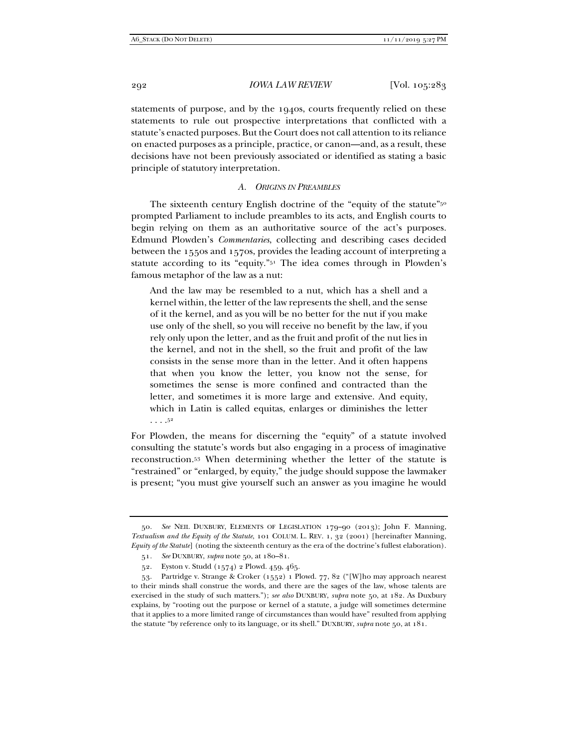statements of purpose, and by the 1940s, courts frequently relied on these statements to rule out prospective interpretations that conflicted with a statute's enacted purposes. But the Court does not call attention to its reliance on enacted purposes as a principle, practice, or canon—and, as a result, these decisions have not been previously associated or identified as stating a basic principle of statutory interpretation.

# *A. ORIGINS IN PREAMBLES*

The sixteenth century English doctrine of the "equity of the statute"<sup>50</sup> prompted Parliament to include preambles to its acts, and English courts to begin relying on them as an authoritative source of the act's purposes. Edmund Plowden's *Commentaries*, collecting and describing cases decided between the 1550s and 1570s, provides the leading account of interpreting a statute according to its "equity."51 The idea comes through in Plowden's famous metaphor of the law as a nut:

And the law may be resembled to a nut, which has a shell and a kernel within, the letter of the law represents the shell, and the sense of it the kernel, and as you will be no better for the nut if you make use only of the shell, so you will receive no benefit by the law, if you rely only upon the letter, and as the fruit and profit of the nut lies in the kernel, and not in the shell, so the fruit and profit of the law consists in the sense more than in the letter. And it often happens that when you know the letter, you know not the sense, for sometimes the sense is more confined and contracted than the letter, and sometimes it is more large and extensive. And equity, which in Latin is called equitas, enlarges or diminishes the letter  $\ldots$ <sup>52</sup>

For Plowden, the means for discerning the "equity" of a statute involved consulting the statute's words but also engaging in a process of imaginative reconstruction.53 When determining whether the letter of the statute is "restrained" or "enlarged, by equity," the judge should suppose the lawmaker is present; "you must give yourself such an answer as you imagine he would

<sup>50</sup>*. See* NEIL DUXBURY, ELEMENTS OF LEGISLATION 179–90 (2013); John F. Manning, *Textualism and the Equity of the Statute*, 101 COLUM. L. REV. 1, 32 (2001) [hereinafter Manning, *Equity of the Statute*] (noting the sixteenth century as the era of the doctrine's fullest elaboration).

<sup>51</sup>*. See* DUXBURY, *supra* note 50, at 180–81.

 <sup>52.</sup> Eyston v. Studd (1574) 2 Plowd. 459, 465.

 <sup>53.</sup> Partridge v. Strange & Croker (1552) 1 Plowd. 77, 82 ("[W]ho may approach nearest to their minds shall construe the words, and there are the sages of the law, whose talents are exercised in the study of such matters."); *see also* DUXBURY, *supra* note 50, at 182. As Duxbury explains, by "rooting out the purpose or kernel of a statute, a judge will sometimes determine that it applies to a more limited range of circumstances than would have" resulted from applying the statute "by reference only to its language, or its shell." DUXBURY, *supra* note 50, at 181.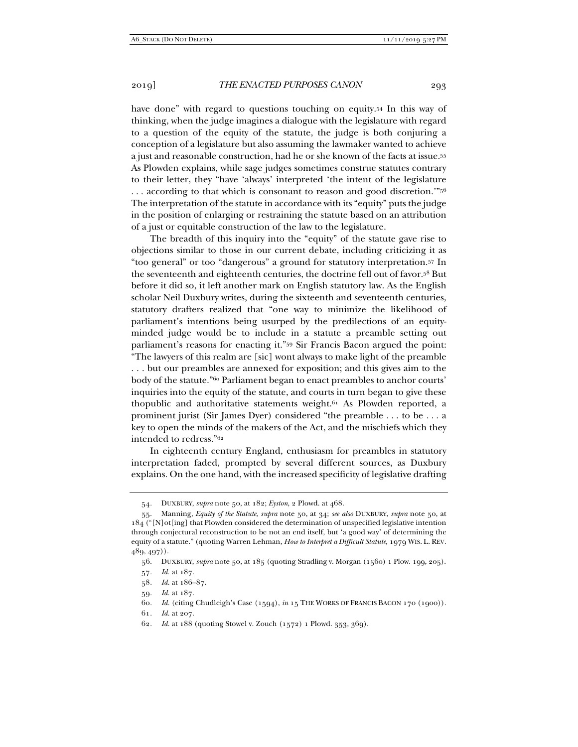have done" with regard to questions touching on equity.54 In this way of thinking, when the judge imagines a dialogue with the legislature with regard to a question of the equity of the statute, the judge is both conjuring a conception of a legislature but also assuming the lawmaker wanted to achieve a just and reasonable construction, had he or she known of the facts at issue.55 As Plowden explains, while sage judges sometimes construe statutes contrary to their letter, they "have 'always' interpreted 'the intent of the legislature ... according to that which is consonant to reason and good discretion."<sup>56</sup> The interpretation of the statute in accordance with its "equity" puts the judge in the position of enlarging or restraining the statute based on an attribution of a just or equitable construction of the law to the legislature.

The breadth of this inquiry into the "equity" of the statute gave rise to objections similar to those in our current debate, including criticizing it as "too general" or too "dangerous" a ground for statutory interpretation.57 In the seventeenth and eighteenth centuries, the doctrine fell out of favor.58 But before it did so, it left another mark on English statutory law. As the English scholar Neil Duxbury writes, during the sixteenth and seventeenth centuries, statutory drafters realized that "one way to minimize the likelihood of parliament's intentions being usurped by the predilections of an equityminded judge would be to include in a statute a preamble setting out parliament's reasons for enacting it."59 Sir Francis Bacon argued the point: "The lawyers of this realm are [sic] wont always to make light of the preamble . . . but our preambles are annexed for exposition; and this gives aim to the body of the statute."60 Parliament began to enact preambles to anchor courts' inquiries into the equity of the statute, and courts in turn began to give these thopublic and authoritative statements weight.<sup>61</sup> As Plowden reported, a prominent jurist (Sir James Dyer) considered "the preamble . . . to be . . . a key to open the minds of the makers of the Act, and the mischiefs which they intended to redress."62

In eighteenth century England, enthusiasm for preambles in statutory interpretation faded, prompted by several different sources, as Duxbury explains. On the one hand, with the increased specificity of legislative drafting

<sup>54</sup>*.* DUXBURY, *supra* note 50, at 182; *Eyston*, 2 Plowd. at 468.

 <sup>55.</sup> Manning, *Equity of the Statute*, *supra* note 50, at 34; *see also* DUXBURY, *supra* note 50, at 184 ("[N]ot[ing] that Plowden considered the determination of unspecified legislative intention through conjectural reconstruction to be not an end itself, but 'a good way' of determining the equity of a statute." (quoting Warren Lehman, *How to Interpret a Difficult Statute*, 1979 WIS. L. REV.  $(489, 497)$ .

 <sup>56.</sup> DUXBURY, *supra* note 50, at 185 (quoting Stradling v. Morgan (1560) 1 Plow. 199, 205).

<sup>57</sup>*. Id.* at 187.

<sup>58</sup>*. Id.* at 186–87.

<sup>59</sup>*. Id.* at 187.

<sup>60</sup>*. Id.* (citing Chudleigh's Case (1594), *in* 15 THE WORKS OF FRANCIS BACON 170 (1900)).

<sup>61</sup>*. Id.* at 207.

<sup>62</sup>*. Id.* at 188 (quoting Stowel v. Zouch (1572) 1 Plowd. 353, 369).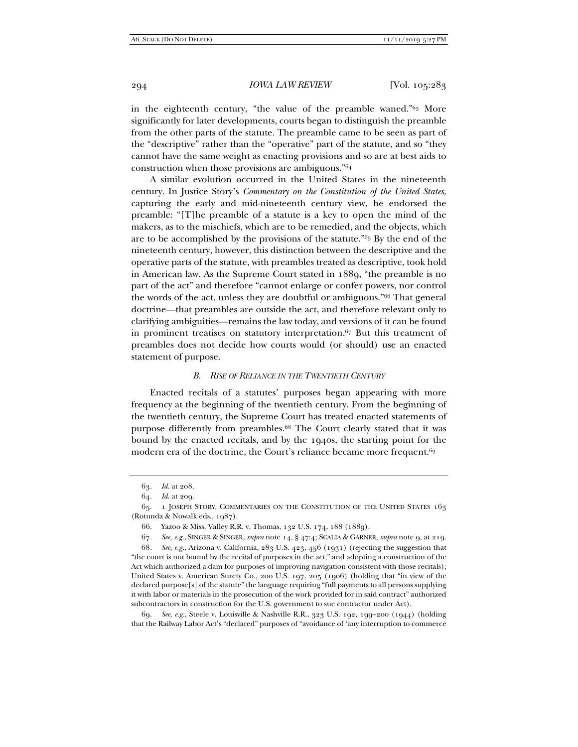in the eighteenth century, "the value of the preamble waned."63 More significantly for later developments, courts began to distinguish the preamble from the other parts of the statute. The preamble came to be seen as part of the "descriptive" rather than the "operative" part of the statute, and so "they cannot have the same weight as enacting provisions and so are at best aids to construction when those provisions are ambiguous."64

A similar evolution occurred in the United States in the nineteenth century. In Justice Story's *Commentary on the Constitution of the United States*, capturing the early and mid-nineteenth century view, he endorsed the preamble: "[T]he preamble of a statute is a key to open the mind of the makers, as to the mischiefs, which are to be remedied, and the objects, which are to be accomplished by the provisions of the statute."65 By the end of the nineteenth century, however, this distinction between the descriptive and the operative parts of the statute, with preambles treated as descriptive, took hold in American law. As the Supreme Court stated in 1889, "the preamble is no part of the act" and therefore "cannot enlarge or confer powers, nor control the words of the act, unless they are doubtful or ambiguous."66 That general doctrine—that preambles are outside the act, and therefore relevant only to clarifying ambiguities—remains the law today, and versions of it can be found in prominent treatises on statutory interpretation.<sup>67</sup> But this treatment of preambles does not decide how courts would (or should) use an enacted statement of purpose.

## *B. RISE OF RELIANCE IN THE TWENTIETH CENTURY*

Enacted recitals of a statutes' purposes began appearing with more frequency at the beginning of the twentieth century. From the beginning of the twentieth century, the Supreme Court has treated enacted statements of purpose differently from preambles.68 The Court clearly stated that it was bound by the enacted recitals, and by the 1940s, the starting point for the modern era of the doctrine, the Court's reliance became more frequent.<sup>69</sup>

68*. See, e.g.*, Arizona v. California, 283 U.S. 423, 456 (1931) (rejecting the suggestion that "the court is not bound by the recital of purposes in the act," and adopting a construction of the Act which authorized a dam for purposes of improving navigation consistent with those recitals); United States v. American Surety Co., 200 U.S. 197, 205 (1906) (holding that "in view of the declared purpose[s] of the statute" the language requiring "full payments to all persons supplying it with labor or materials in the prosecution of the work provided for in said contract" authorized subcontractors in construction for the U.S. government to sue contractor under Act).

69*. See, e.g.*, Steele v. Louisville & Nashville R.R., 323 U.S. 192, 199–200 (1944) (holding that the Railway Labor Act's "declared" purposes of "avoidance of 'any interruption to commerce

<sup>63</sup>*. Id.* at 208.

<sup>64</sup>*. Id.* at 209.

 <sup>65. 1</sup> JOSEPH STORY, COMMENTARIES ON THE CONSTITUTION OF THE UNITED STATES 163 (Rotunda & Nowalk eds., 1987).

 <sup>66.</sup> Yazoo & Miss. Valley R.R. v. Thomas, 132 U.S. 174, 188 (1889).

<sup>67</sup>*. See, e.g.*, SINGER & SINGER, *supra* note 14, § 47:4; SCALIA & GARNER, *supra* note 9, at 219.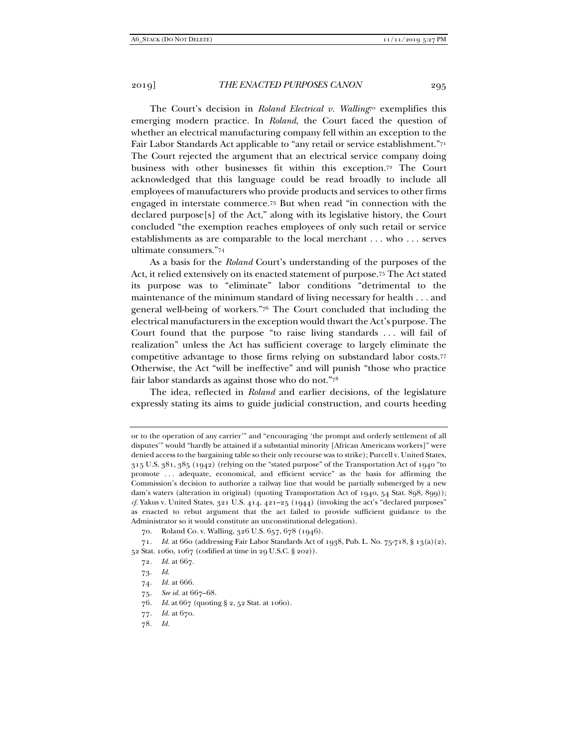The Court's decision in *Roland Electrical v. Walling*70 exemplifies this emerging modern practice. In *Roland*, the Court faced the question of whether an electrical manufacturing company fell within an exception to the Fair Labor Standards Act applicable to "any retail or service establishment."71 The Court rejected the argument that an electrical service company doing business with other businesses fit within this exception.72 The Court acknowledged that this language could be read broadly to include all employees of manufacturers who provide products and services to other firms engaged in interstate commerce.73 But when read "in connection with the declared purpose[s] of the Act," along with its legislative history, the Court concluded "the exemption reaches employees of only such retail or service establishments as are comparable to the local merchant . . . who . . . serves ultimate consumers."74

As a basis for the *Roland* Court's understanding of the purposes of the Act, it relied extensively on its enacted statement of purpose.75 The Act stated its purpose was to "eliminate" labor conditions "detrimental to the maintenance of the minimum standard of living necessary for health . . . and general well-being of workers."76 The Court concluded that including the electrical manufacturers in the exception would thwart the Act's purpose. The Court found that the purpose "to raise living standards . . . will fail of realization" unless the Act has sufficient coverage to largely eliminate the competitive advantage to those firms relying on substandard labor costs.77 Otherwise, the Act "will be ineffective" and will punish "those who practice fair labor standards as against those who do not."78

The idea, reflected in *Roland* and earlier decisions, of the legislature expressly stating its aims to guide judicial construction, and courts heeding

75*. See id.* at 667–68.

or to the operation of any carrier'" and "encouraging 'the prompt and orderly settlement of all disputes'" would "hardly be attained if a substantial minority [African Americans workers]" were denied access to the bargaining table so their only recourse was to strike); Purcell v. United States, 315 U.S. 381, 385 (1942) (relying on the "stated purpose" of the Transportation Act of 1940 "to promote . . . adequate, economical, and efficient service" as the basis for affirming the Commission's decision to authorize a railway line that would be partially submerged by a new dam's waters (alteration in original) (quoting Transportation Act of 1940, 54 Stat. 898, 899)); *cf.* Yakus v. United States, 321 U.S. 414, 421–25 (1944) (invoking the act's "declared purposes" as enacted to rebut argument that the act failed to provide sufficient guidance to the Administrator so it would constitute an unconstitutional delegation).

 <sup>70.</sup> Roland Co. v. Walling, 326 U.S. 657, 678 (1946).

<sup>71</sup>*. Id.* at 660 (addressing Fair Labor Standards Act of 1938, Pub. L. No. 75-718, § 13(a)(2), 52 Stat. 1060, 1067 (codified at time in 29 U.S.C. § 202)).

<sup>72</sup>*. Id.* at 667.

<sup>73</sup>*. Id.*

<sup>74</sup>*. Id.* at 666.

<sup>76</sup>*. Id.* at 667 (quoting § 2, 52 Stat. at 1060).

<sup>77</sup>*. Id.* at 670.

<sup>78</sup>*. Id.*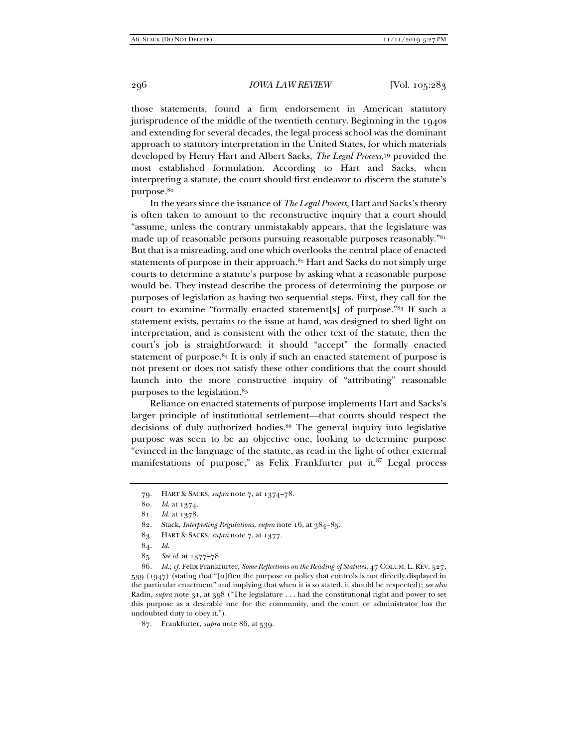those statements, found a firm endorsement in American statutory jurisprudence of the middle of the twentieth century. Beginning in the 1940s and extending for several decades, the legal process school was the dominant approach to statutory interpretation in the United States, for which materials developed by Henry Hart and Albert Sacks, *The Legal Process*,79 provided the most established formulation. According to Hart and Sacks, when interpreting a statute, the court should first endeavor to discern the statute's purpose.80

In the years since the issuance of *The Legal Process*, Hart and Sacks's theory is often taken to amount to the reconstructive inquiry that a court should "assume, unless the contrary unmistakably appears, that the legislature was made up of reasonable persons pursuing reasonable purposes reasonably."81 But that is a misreading, and one which overlooks the central place of enacted statements of purpose in their approach. $82$  Hart and Sacks do not simply urge courts to determine a statute's purpose by asking what a reasonable purpose would be. They instead describe the process of determining the purpose or purposes of legislation as having two sequential steps. First, they call for the court to examine "formally enacted statement[s] of purpose."83 If such a statement exists, pertains to the issue at hand, was designed to shed light on interpretation, and is consistent with the other text of the statute, then the court's job is straightforward: it should "accept" the formally enacted statement of purpose.84 It is only if such an enacted statement of purpose is not present or does not satisfy these other conditions that the court should launch into the more constructive inquiry of "attributing" reasonable purposes to the legislation.85

Reliance on enacted statements of purpose implements Hart and Sacks's larger principle of institutional settlement—that courts should respect the decisions of duly authorized bodies.86 The general inquiry into legislative purpose was seen to be an objective one, looking to determine purpose "evinced in the language of the statute, as read in the light of other external manifestations of purpose," as Felix Frankfurter put it. $87$  Legal process

83. HART & SACKS, *supra* note 7, at 1377.

85*. See id.* at 1377–78.

<sup>79</sup>*.* HART & SACKS, *supra* note 7, at 1374–78.

<sup>80</sup>*. Id.* at 1374.

<sup>81</sup>*. Id.* at 1378.

 <sup>82.</sup> Stack, *Interpreting Regulations*, *supra* note 16, at 384–85.

<sup>84</sup>*. Id.* 

<sup>86</sup>*. Id.*; *cf.* Felix Frankfurter, *Some Reflections on the Reading of Statutes*, 47 COLUM. L. REV. 527, 539 (1947) (stating that "[o]ften the purpose or policy that controls is not directly displayed in the particular enactment" and implying that when it is so stated, it should be respected); *see also* Radin, *supra* note 31, at 398 ("The legislature . . . had the constitutional right and power to set this purpose as a desirable one for the community, and the court or administrator has the undoubted duty to obey it.").

 <sup>87.</sup> Frankfurter, *supra* note 86, at 539.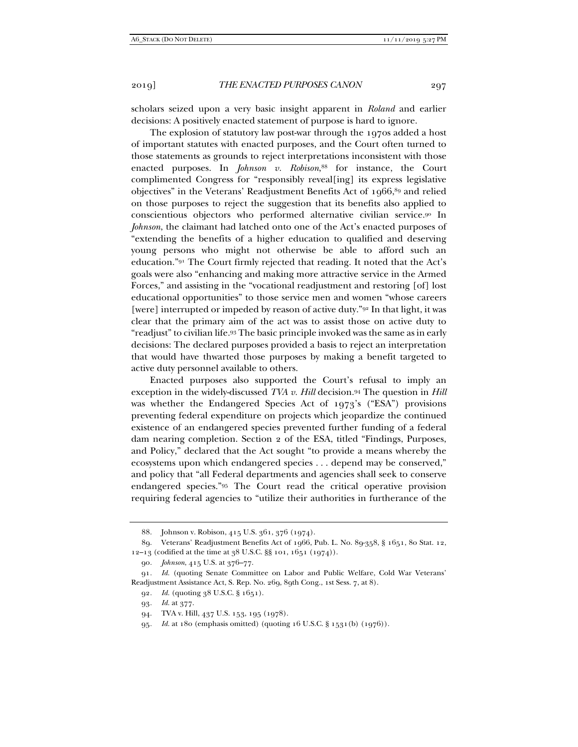scholars seized upon a very basic insight apparent in *Roland* and earlier decisions: A positively enacted statement of purpose is hard to ignore.

The explosion of statutory law post-war through the 1970s added a host of important statutes with enacted purposes, and the Court often turned to those statements as grounds to reject interpretations inconsistent with those enacted purposes. In *Johnson v. Robison*,<sup>88</sup> for instance, the Court complimented Congress for "responsibly reveal[ing] its express legislative objectives" in the Veterans' Readjustment Benefits Act of 1966,<sup>89</sup> and relied on those purposes to reject the suggestion that its benefits also applied to conscientious objectors who performed alternative civilian service.90 In *Johnson*, the claimant had latched onto one of the Act's enacted purposes of "extending the benefits of a higher education to qualified and deserving young persons who might not otherwise be able to afford such an education."91 The Court firmly rejected that reading. It noted that the Act's goals were also "enhancing and making more attractive service in the Armed Forces," and assisting in the "vocational readjustment and restoring [of] lost educational opportunities" to those service men and women "whose careers [were] interrupted or impeded by reason of active duty."92 In that light, it was clear that the primary aim of the act was to assist those on active duty to "readjust" to civilian life.93 The basic principle invoked was the same as in early decisions: The declared purposes provided a basis to reject an interpretation that would have thwarted those purposes by making a benefit targeted to active duty personnel available to others.

Enacted purposes also supported the Court's refusal to imply an exception in the widely-discussed *TVA v. Hill* decision.94 The question in *Hill* was whether the Endangered Species Act of 1973's ("ESA") provisions preventing federal expenditure on projects which jeopardize the continued existence of an endangered species prevented further funding of a federal dam nearing completion. Section 2 of the ESA, titled "Findings, Purposes, and Policy," declared that the Act sought "to provide a means whereby the ecosystems upon which endangered species . . . depend may be conserved," and policy that "all Federal departments and agencies shall seek to conserve endangered species."95 The Court read the critical operative provision requiring federal agencies to "utilize their authorities in furtherance of the

 <sup>88.</sup> Johnson v. Robison, 415 U.S. 361, 376 (1974).

 <sup>89.</sup> Veterans' Readjustment Benefits Act of 1966, Pub. L. No. 89-358, § 1651, 80 Stat. 12, 12–13 (codified at the time at 38 U.S.C. §§ 101, 1651 (1974)).

<sup>90</sup>*. Johnson*, 415 U.S. at 376–77.

<sup>91</sup>*. Id.* (quoting Senate Committee on Labor and Public Welfare, Cold War Veterans' Readjustment Assistance Act, S. Rep. No. 269, 89th Cong., 1st Sess. 7, at 8).

<sup>92</sup>*. Id.* (quoting 38 U.S.C. § 1651).

<sup>93</sup>*. Id.* at 377.

 <sup>94.</sup> TVA v. Hill, 437 U.S. 153, 195 (1978).

<sup>95</sup>*. Id.* at 180 (emphasis omitted) (quoting 16 U.S.C. § 1531(b) (1976)).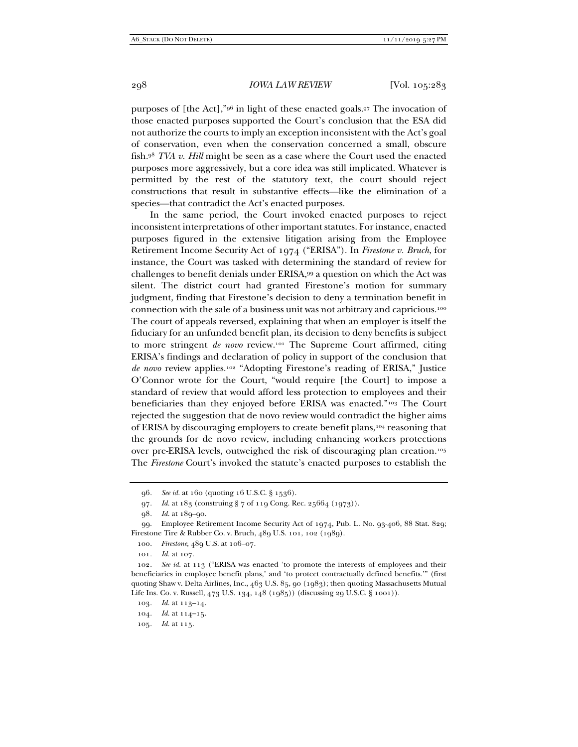purposes of [the Act],"96 in light of these enacted goals.97 The invocation of those enacted purposes supported the Court's conclusion that the ESA did not authorize the courts to imply an exception inconsistent with the Act's goal of conservation, even when the conservation concerned a small, obscure fish.98 *TVA v. Hill* might be seen as a case where the Court used the enacted purposes more aggressively, but a core idea was still implicated. Whatever is permitted by the rest of the statutory text, the court should reject constructions that result in substantive effects—like the elimination of a species—that contradict the Act's enacted purposes.

In the same period, the Court invoked enacted purposes to reject inconsistent interpretations of other important statutes. For instance, enacted purposes figured in the extensive litigation arising from the Employee Retirement Income Security Act of 1974 ("ERISA"). In *Firestone v. Bruch*, for instance, the Court was tasked with determining the standard of review for challenges to benefit denials under ERISA,99 a question on which the Act was silent. The district court had granted Firestone's motion for summary judgment, finding that Firestone's decision to deny a termination benefit in connection with the sale of a business unit was not arbitrary and capricious.100 The court of appeals reversed, explaining that when an employer is itself the fiduciary for an unfunded benefit plan, its decision to deny benefits is subject to more stringent *de novo* review.101 The Supreme Court affirmed, citing ERISA's findings and declaration of policy in support of the conclusion that *de novo* review applies.102 "Adopting Firestone's reading of ERISA," Justice O'Connor wrote for the Court, "would require [the Court] to impose a standard of review that would afford less protection to employees and their beneficiaries than they enjoyed before ERISA was enacted."103 The Court rejected the suggestion that de novo review would contradict the higher aims of ERISA by discouraging employers to create benefit plans,104 reasoning that the grounds for de novo review, including enhancing workers protections over pre-ERISA levels, outweighed the risk of discouraging plan creation.105 The *Firestone* Court's invoked the statute's enacted purposes to establish the

<sup>96</sup>*. See id.* at 160 (quoting 16 U.S.C. § 1536).

<sup>97</sup>*. Id.* at 183 (construing § 7 of 119 Cong. Rec. 25664 (1973)).

<sup>98</sup>*. Id.* at 189–90.

 <sup>99.</sup> Employee Retirement Income Security Act of 1974, Pub. L. No. 93-406, 88 Stat. 829; Firestone Tire & Rubber Co. v. Bruch, 489 U.S. 101, 102 (1989).

<sup>100</sup>*. Firestone*, 489 U.S. at 106–07.

<sup>101</sup>*. Id.* at 107.

<sup>102</sup>*. See id.* at 113 ("ERISA was enacted 'to promote the interests of employees and their beneficiaries in employee benefit plans,' and 'to protect contractually defined benefits.'" (first quoting Shaw v. Delta Airlines, Inc*.*, 463 U.S. 85, 90 (1983); then quoting Massachusetts Mutual Life Ins. Co. v. Russell, 473 U.S. 134, 148 (1985)) (discussing 29 U.S.C. § 1001)).

<sup>103</sup>*. Id.* at 113–14.

<sup>104</sup>*. Id.* at 114–15.

<sup>105</sup>*. Id.* at 115.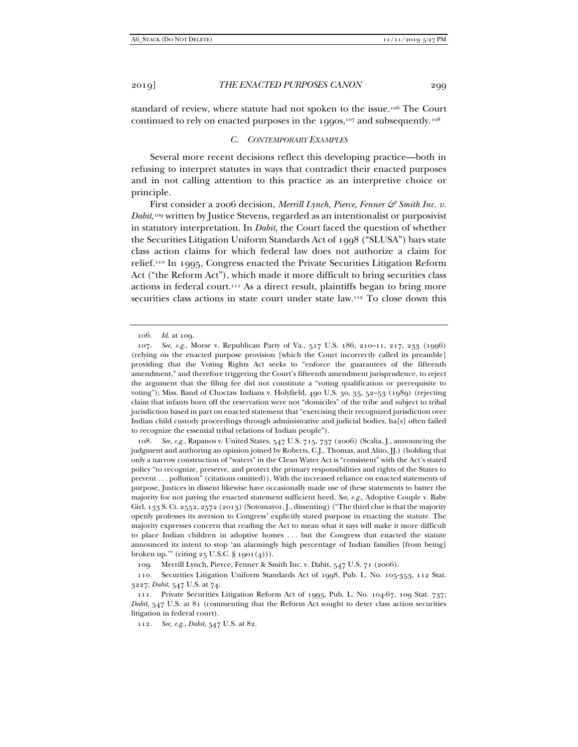standard of review, where statute had not spoken to the issue.106 The Court continued to rely on enacted purposes in the 1990s,<sup>107</sup> and subsequently.<sup>108</sup>

## *C. CONTEMPORARY EXAMPLES*

Several more recent decisions reflect this developing practice—both in refusing to interpret statutes in ways that contradict their enacted purposes and in not calling attention to this practice as an interpretive choice or principle.

First consider a 2006 decision, *Merrill Lynch, Pierce, Fenner & Smith Inc. v. Dabit*,109 written by Justice Stevens, regarded as an intentionalist or purposivist in statutory interpretation. In *Dabit*, the Court faced the question of whether the Securities Litigation Uniform Standards Act of 1998 ("SLUSA") bars state class action claims for which federal law does not authorize a claim for relief.110 In 1995, Congress enacted the Private Securities Litigation Reform Act ("the Reform Act"), which made it more difficult to bring securities class actions in federal court.111 As a direct result, plaintiffs began to bring more securities class actions in state court under state law.112 To close down this

108*. See, e.g.*, Rapanos v. United States, 547 U.S. 715, 737 (2006) (Scalia, J., announcing the judgment and authoring an opinion joined by Roberts, C.J., Thomas, and Alito, JJ.) (holding that only a narrow construction of "waters" in the Clean Water Act is "consistent" with the Act's stated policy "to recognize, preserve, and protect the primary responsibilities and rights of the States to prevent . . . pollution" (citations omitted)). With the increased reliance on enacted statements of purpose, Justices in dissent likewise have occasionally made use of these statements to batter the majority for not paying the enacted statement sufficient heed. *See, e.g.*, Adoptive Couple v. Baby Girl, 133 S. Ct. 2552, 2572 (2013) (Sotomayor, J., dissenting) ("The third clue is that the majority openly professes its aversion to Congress' explicitly stated purpose in enacting the statute. The majority expresses concern that reading the Act to mean what it says will make it more difficult to place Indian children in adoptive homes . . . but the Congress that enacted the statute announced its intent to stop 'an alarmingly high percentage of Indian families [from being] broken up.'" (citing 25 U.S.C. § 1901(4))).

109. Merrill Lynch, Pierce, Fenner & Smith Inc. v. Dabit, 547 U.S. 71 (2006).

110*.* Securities Litigation Uniform Standards Act of 1998, Pub. L. No. 105-353, 112 Stat. 3227; *Dabit*, 547 U.S. at 74.

111*.* Private Securities Litigation Reform Act of 1995, Pub. L. No. 104-67, 109 Stat. 737; *Dabit*, 547 U.S. at 81 (commenting that the Reform Act sought to deter class action securities litigation in federal court).

112*. See, e.g.*, *Dabit*, 547 U.S. at 82.

<sup>106</sup>*. Id.* at 109.

 <sup>107.</sup> *See, e.g.*, Morse v. Republican Party of Va., 517 U.S. 186, 210–11, 217, 233 (1996) (relying on the enacted purpose provision [which the Court incorrectly called its preamble] providing that the Voting Rights Act seeks to "enforce the guarantees of the fifteenth amendment," and therefore triggering the Court's fifteenth amendment jurisprudence, to reject the argument that the filing fee did not constitute a "voting qualification or prerequisite to voting"); Miss. Band of Choctaw Indians v. Holyfield, 490 U.S. 30, 35, 52–53 (1989) (rejecting claim that infants born off the reservation were not "domiciles" of the tribe and subject to tribal jurisdiction based in part on enacted statement that "exercising their recognized jurisdiction over Indian child custody proceedings through administrative and judicial bodies, ha[s] often failed to recognize the essential tribal relations of Indian people").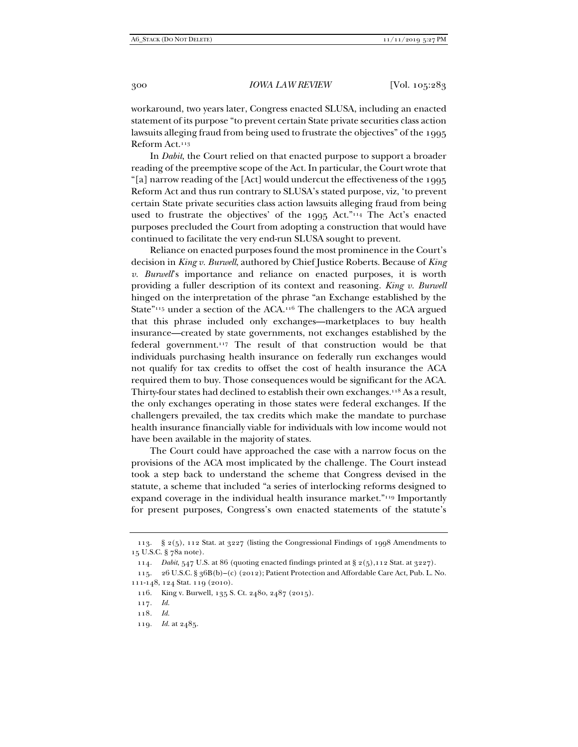workaround, two years later, Congress enacted SLUSA, including an enacted statement of its purpose "to prevent certain State private securities class action lawsuits alleging fraud from being used to frustrate the objectives" of the 1995 Reform Act.113

In *Dabit*, the Court relied on that enacted purpose to support a broader reading of the preemptive scope of the Act. In particular, the Court wrote that "[a] narrow reading of the [Act] would undercut the effectiveness of the 1995 Reform Act and thus run contrary to SLUSA's stated purpose, viz, 'to prevent certain State private securities class action lawsuits alleging fraud from being used to frustrate the objectives' of the 1995 Act."114 The Act's enacted purposes precluded the Court from adopting a construction that would have continued to facilitate the very end-run SLUSA sought to prevent.

Reliance on enacted purposes found the most prominence in the Court's decision in *King v. Burwell*, authored by Chief Justice Roberts. Because of *King v. Burwell*'s importance and reliance on enacted purposes, it is worth providing a fuller description of its context and reasoning. *King v. Burwell* hinged on the interpretation of the phrase "an Exchange established by the State"<sup>115</sup> under a section of the ACA.<sup>116</sup> The challengers to the ACA argued that this phrase included only exchanges—marketplaces to buy health insurance—created by state governments, not exchanges established by the federal government.117 The result of that construction would be that individuals purchasing health insurance on federally run exchanges would not qualify for tax credits to offset the cost of health insurance the ACA required them to buy. Those consequences would be significant for the ACA. Thirty-four states had declined to establish their own exchanges.118 As a result, the only exchanges operating in those states were federal exchanges. If the challengers prevailed, the tax credits which make the mandate to purchase health insurance financially viable for individuals with low income would not have been available in the majority of states.

The Court could have approached the case with a narrow focus on the provisions of the ACA most implicated by the challenge. The Court instead took a step back to understand the scheme that Congress devised in the statute, a scheme that included "a series of interlocking reforms designed to expand coverage in the individual health insurance market."<sup>119</sup> Importantly for present purposes, Congress's own enacted statements of the statute's

 <sup>113. § 2(5), 112</sup> Stat. at 3227 (listing the Congressional Findings of 1998 Amendments to 15 U.S.C. § 78a note).

<sup>114</sup>*. Dabit*, 547 U.S. at 86 (quoting enacted findings printed at § 2(5),112 Stat. at 3227).

 <sup>115. 26</sup> U.S.C. § 36B(b)–(c) (2012); Patient Protection and Affordable Care Act, Pub. L. No. 111-148, 124 Stat. 119 (2010).

 <sup>116.</sup> King v. Burwell, 135 S. Ct. 2480, 2487 (2015).

<sup>117</sup>*. Id.*

<sup>118</sup>*. Id.*

<sup>119</sup>*. Id.* at 2485.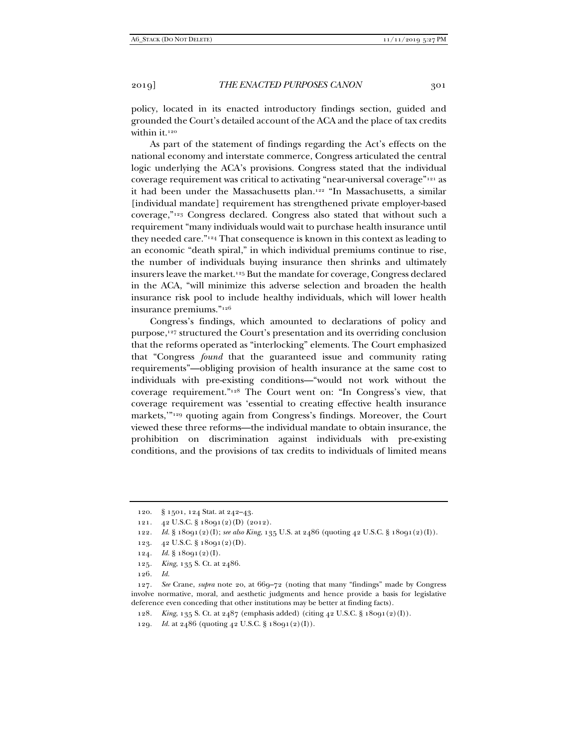policy, located in its enacted introductory findings section, guided and grounded the Court's detailed account of the ACA and the place of tax credits within it.<sup>120</sup>

As part of the statement of findings regarding the Act's effects on the national economy and interstate commerce, Congress articulated the central logic underlying the ACA's provisions. Congress stated that the individual coverage requirement was critical to activating "near-universal coverage"121 as it had been under the Massachusetts plan.<sup>122</sup> "In Massachusetts, a similar [individual mandate] requirement has strengthened private employer-based coverage,"123 Congress declared. Congress also stated that without such a requirement "many individuals would wait to purchase health insurance until they needed care."124 That consequence is known in this context as leading to an economic "death spiral," in which individual premiums continue to rise, the number of individuals buying insurance then shrinks and ultimately insurers leave the market.125 But the mandate for coverage, Congress declared in the ACA, "will minimize this adverse selection and broaden the health insurance risk pool to include healthy individuals, which will lower health insurance premiums."126

Congress's findings, which amounted to declarations of policy and purpose,127 structured the Court's presentation and its overriding conclusion that the reforms operated as "interlocking" elements. The Court emphasized that "Congress *found* that the guaranteed issue and community rating requirements"—obliging provision of health insurance at the same cost to individuals with pre-existing conditions—"would not work without the coverage requirement."128 The Court went on: "In Congress's view, that coverage requirement was 'essential to creating effective health insurance markets,'"129 quoting again from Congress's findings. Moreover, the Court viewed these three reforms—the individual mandate to obtain insurance, the prohibition on discrimination against individuals with pre-existing conditions, and the provisions of tax credits to individuals of limited means

125*. King*, 135 S. Ct. at 2486.

127*. See* Crane, *supra* note 20, at 669–72 (noting that many "findings" made by Congress involve normative, moral, and aesthetic judgments and hence provide a basis for legislative deference even conceding that other institutions may be better at finding facts).

128*. King*, 135 S. Ct. at 2487 (emphasis added) (citing 42 U.S.C. § 18091(2)(I)).

129*. Id.* at 2486 (quoting 42 U.S.C. § 18091(2)(I)).

 <sup>120. § 1501, 124</sup> Stat. at 242–43.

<sup>121</sup>*.* 42 U.S.C. § 18091(2)(D) (2012).

<sup>122</sup>*. Id.* § 18091(2)(I); *see also King*, 135 U.S. at 2486 (quoting 42 U.S.C. § 18091(2)(I)).

 <sup>123. 42</sup> U.S.C. § 18091(2)(D).

<sup>124.</sup>  $Id. \S 18091(2)(I).$ 

<sup>126</sup>*. Id.*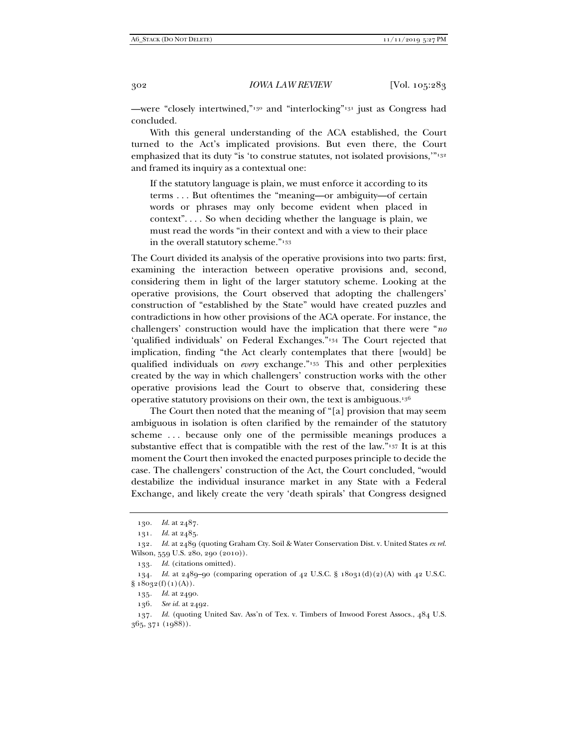—were "closely intertwined,"130 and "interlocking"131 just as Congress had concluded.

With this general understanding of the ACA established, the Court turned to the Act's implicated provisions. But even there, the Court emphasized that its duty "is 'to construe statutes, not isolated provisions,"<sup>132</sup> and framed its inquiry as a contextual one:

If the statutory language is plain, we must enforce it according to its terms . . . But oftentimes the "meaning—or ambiguity—of certain words or phrases may only become evident when placed in context". . . . So when deciding whether the language is plain, we must read the words "in their context and with a view to their place in the overall statutory scheme."133

The Court divided its analysis of the operative provisions into two parts: first, examining the interaction between operative provisions and, second, considering them in light of the larger statutory scheme. Looking at the operative provisions, the Court observed that adopting the challengers' construction of "established by the State" would have created puzzles and contradictions in how other provisions of the ACA operate. For instance, the challengers' construction would have the implication that there were "*no* 'qualified individuals' on Federal Exchanges."134 The Court rejected that implication, finding "the Act clearly contemplates that there [would] be qualified individuals on *every* exchange."135 This and other perplexities created by the way in which challengers' construction works with the other operative provisions lead the Court to observe that, considering these operative statutory provisions on their own, the text is ambiguous.136

The Court then noted that the meaning of "[a] provision that may seem ambiguous in isolation is often clarified by the remainder of the statutory scheme . . . because only one of the permissible meanings produces a substantive effect that is compatible with the rest of the law."137 It is at this moment the Court then invoked the enacted purposes principle to decide the case. The challengers' construction of the Act, the Court concluded, "would destabilize the individual insurance market in any State with a Federal Exchange, and likely create the very 'death spirals' that Congress designed

<sup>130</sup>*. Id.* at 2487.

<sup>131</sup>*. Id.* at 2485.

<sup>132</sup>*. Id.* at 2489 (quoting Graham Cty. Soil & Water Conservation Dist. v. United States *ex rel.* Wilson, 559 U.S. 280, 290 (2010)).

<sup>133</sup>*. Id.* (citations omitted).

<sup>134</sup>*. Id.* at 2489–90 (comparing operation of 42 U.S.C. § 18031(d)(2)(A) with 42 U.S.C.  $§ 18032(f)(1)(A)).$ 

<sup>135</sup>*. Id.* at 2490.

<sup>136</sup>*. See id.* at 2492.

<sup>137</sup>*. Id.* (quoting United Sav. Ass'n of Tex. v. Timbers of Inwood Forest Assocs., 484 U.S. 365, 371 (1988)).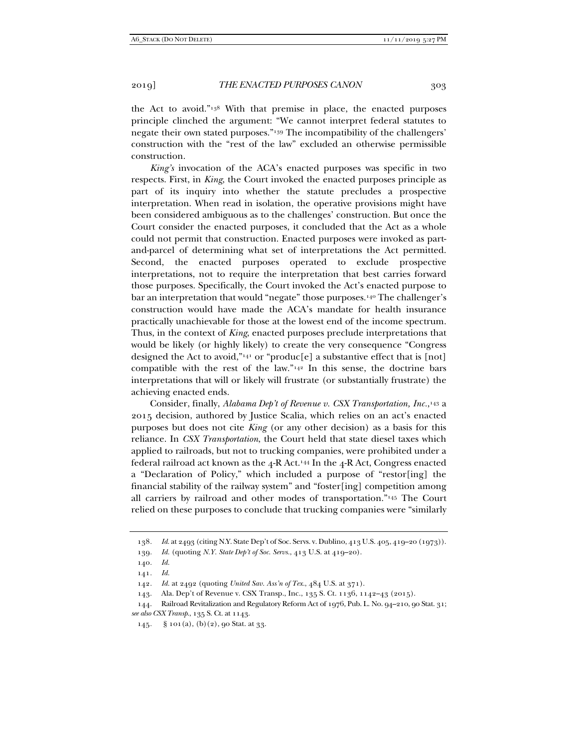the Act to avoid."138 With that premise in place, the enacted purposes principle clinched the argument: "We cannot interpret federal statutes to negate their own stated purposes."139 The incompatibility of the challengers' construction with the "rest of the law" excluded an otherwise permissible construction.

*King's* invocation of the ACA's enacted purposes was specific in two respects. First, in *King*, the Court invoked the enacted purposes principle as part of its inquiry into whether the statute precludes a prospective interpretation. When read in isolation, the operative provisions might have been considered ambiguous as to the challenges' construction. But once the Court consider the enacted purposes, it concluded that the Act as a whole could not permit that construction. Enacted purposes were invoked as partand-parcel of determining what set of interpretations the Act permitted. Second, the enacted purposes operated to exclude prospective interpretations, not to require the interpretation that best carries forward those purposes. Specifically, the Court invoked the Act's enacted purpose to bar an interpretation that would "negate" those purposes.140 The challenger's construction would have made the ACA's mandate for health insurance practically unachievable for those at the lowest end of the income spectrum. Thus, in the context of *King*, enacted purposes preclude interpretations that would be likely (or highly likely) to create the very consequence "Congress designed the Act to avoid,"<sup>141</sup> or "produc $[e]$  a substantive effect that is  $[not]$ compatible with the rest of the law."142 In this sense, the doctrine bars interpretations that will or likely will frustrate (or substantially frustrate) the achieving enacted ends.

Consider, finally, *Alabama Dep't of Revenue v. CSX Transportation, Inc.*,<sup>143</sup> a 2015 decision, authored by Justice Scalia, which relies on an act's enacted purposes but does not cite *King* (or any other decision) as a basis for this reliance. In *CSX Transportation*, the Court held that state diesel taxes which applied to railroads, but not to trucking companies, were prohibited under a federal railroad act known as the  $4-R$  Act.<sup>144</sup> In the  $4-R$  Act, Congress enacted a "Declaration of Policy," which included a purpose of "restor[ing] the financial stability of the railway system" and "foster[ing] competition among all carriers by railroad and other modes of transportation."145 The Court relied on these purposes to conclude that trucking companies were "similarly

<sup>138</sup>*. Id.* at 2493 (citing N.Y. State Dep't of Soc. Servs. v. Dublino, 413 U.S. 405, 419–20 (1973)).

<sup>139</sup>*. Id.* (quoting *N.Y. State Dep't of Soc. Servs.*, 413 U.S. at 419–20).

<sup>140</sup>*. Id.* 

<sup>141</sup>*. Id.*

<sup>142</sup>*. Id.* at 2492 (quoting *United Sav. Ass'n of Tex.*, 484 U.S. at 371).

 <sup>143.</sup> Ala. Dep't of Revenue v. CSX Transp., Inc., 135 S. Ct. 1136, 1142–43 (2015).

 <sup>144.</sup> Railroad Revitalization and Regulatory Reform Act of 1976, Pub. L. No. 94–210, 90 Stat. 31; *see also CSX Transp.*, 135 S. Ct. at 1143.

<sup>145</sup>*.* § 101(a), (b)(2), 90 Stat. at 33.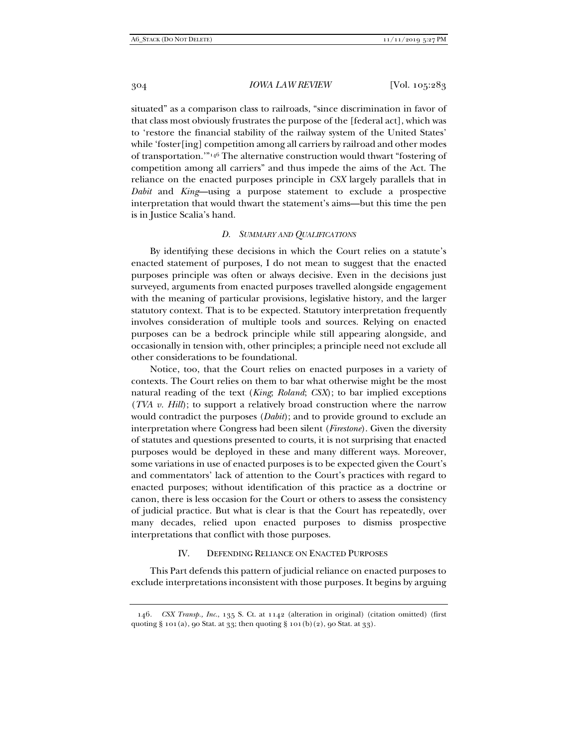situated" as a comparison class to railroads, "since discrimination in favor of that class most obviously frustrates the purpose of the [federal act], which was to 'restore the financial stability of the railway system of the United States' while 'foster[ing] competition among all carriers by railroad and other modes of transportation.'"146 The alternative construction would thwart "fostering of competition among all carriers" and thus impede the aims of the Act. The reliance on the enacted purposes principle in *CSX* largely parallels that in *Dabit* and *King*—using a purpose statement to exclude a prospective interpretation that would thwart the statement's aims—but this time the pen is in Justice Scalia's hand.

# *D. SUMMARY AND QUALIFICATIONS*

By identifying these decisions in which the Court relies on a statute's enacted statement of purposes, I do not mean to suggest that the enacted purposes principle was often or always decisive. Even in the decisions just surveyed, arguments from enacted purposes travelled alongside engagement with the meaning of particular provisions, legislative history, and the larger statutory context. That is to be expected. Statutory interpretation frequently involves consideration of multiple tools and sources. Relying on enacted purposes can be a bedrock principle while still appearing alongside, and occasionally in tension with, other principles; a principle need not exclude all other considerations to be foundational.

Notice, too, that the Court relies on enacted purposes in a variety of contexts. The Court relies on them to bar what otherwise might be the most natural reading of the text (*King*; *Roland*; *CSX*); to bar implied exceptions (*TVA v. Hill*); to support a relatively broad construction where the narrow would contradict the purposes (*Dabit*); and to provide ground to exclude an interpretation where Congress had been silent (*Firestone*). Given the diversity of statutes and questions presented to courts, it is not surprising that enacted purposes would be deployed in these and many different ways. Moreover, some variations in use of enacted purposes is to be expected given the Court's and commentators' lack of attention to the Court's practices with regard to enacted purposes; without identification of this practice as a doctrine or canon, there is less occasion for the Court or others to assess the consistency of judicial practice. But what is clear is that the Court has repeatedly, over many decades, relied upon enacted purposes to dismiss prospective interpretations that conflict with those purposes.

## IV. DEFENDING RELIANCE ON ENACTED PURPOSES

This Part defends this pattern of judicial reliance on enacted purposes to exclude interpretations inconsistent with those purposes. It begins by arguing

<sup>146</sup>*. CSX Transp., Inc*., 135 S. Ct. at 1142 (alteration in original) (citation omitted) (first quoting § 101(a), 90 Stat. at 33; then quoting § 101(b)(2), 90 Stat. at 33).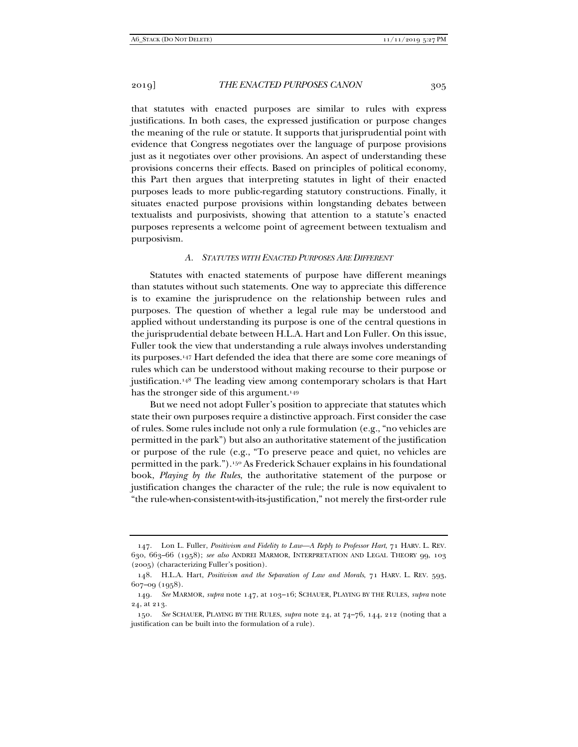that statutes with enacted purposes are similar to rules with express justifications. In both cases, the expressed justification or purpose changes the meaning of the rule or statute. It supports that jurisprudential point with evidence that Congress negotiates over the language of purpose provisions just as it negotiates over other provisions. An aspect of understanding these provisions concerns their effects. Based on principles of political economy, this Part then argues that interpreting statutes in light of their enacted purposes leads to more public-regarding statutory constructions. Finally, it situates enacted purpose provisions within longstanding debates between textualists and purposivists, showing that attention to a statute's enacted purposes represents a welcome point of agreement between textualism and purposivism.

## *A. STATUTES WITH ENACTED PURPOSES ARE DIFFERENT*

Statutes with enacted statements of purpose have different meanings than statutes without such statements. One way to appreciate this difference is to examine the jurisprudence on the relationship between rules and purposes. The question of whether a legal rule may be understood and applied without understanding its purpose is one of the central questions in the jurisprudential debate between H.L.A. Hart and Lon Fuller. On this issue, Fuller took the view that understanding a rule always involves understanding its purposes.147 Hart defended the idea that there are some core meanings of rules which can be understood without making recourse to their purpose or justification.148 The leading view among contemporary scholars is that Hart has the stronger side of this argument.<sup>149</sup>

But we need not adopt Fuller's position to appreciate that statutes which state their own purposes require a distinctive approach. First consider the case of rules. Some rules include not only a rule formulation (e.g., "no vehicles are permitted in the park") but also an authoritative statement of the justification or purpose of the rule (e.g., "To preserve peace and quiet, no vehicles are permitted in the park.").150 As Frederick Schauer explains in his foundational book, *Playing by the Rules*, the authoritative statement of the purpose or justification changes the character of the rule; the rule is now equivalent to "the rule-when-consistent-with-its-justification," not merely the first-order rule

 <sup>147.</sup> Lon L. Fuller, *Positivism and Fidelity to Law—A Reply to Professor Hart*, 71 HARV. L. REV. 630, 663–66 (1958); *see also* ANDREI MARMOR, INTERPRETATION AND LEGAL THEORY 99, 103 (2005) (characterizing Fuller's position).

 <sup>148.</sup> H.L.A. Hart, *Positivism and the Separation of Law and Morals*, 71 HARV. L. REV. 593, 607–09 (1958).

<sup>149</sup>*. See* MARMOR, *supra* note 147, at 103–16; SCHAUER, PLAYING BY THE RULES, *supra* note 24, at 213.

<sup>150</sup>*. See* SCHAUER, PLAYING BY THE RULES, *supra* note 24, at 74–76, 144, 212 (noting that a justification can be built into the formulation of a rule).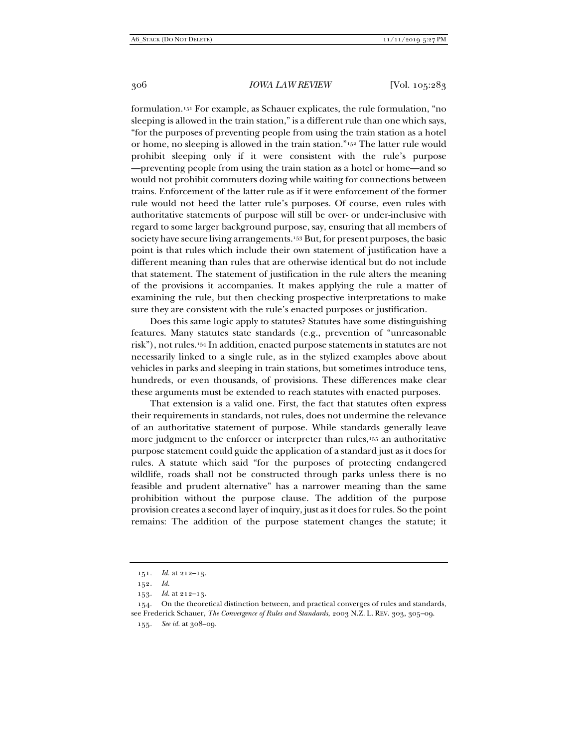formulation.151 For example, as Schauer explicates, the rule formulation, "no sleeping is allowed in the train station," is a different rule than one which says, "for the purposes of preventing people from using the train station as a hotel or home, no sleeping is allowed in the train station."152 The latter rule would prohibit sleeping only if it were consistent with the rule's purpose —preventing people from using the train station as a hotel or home—and so would not prohibit commuters dozing while waiting for connections between trains. Enforcement of the latter rule as if it were enforcement of the former rule would not heed the latter rule's purposes. Of course, even rules with authoritative statements of purpose will still be over- or under-inclusive with regard to some larger background purpose, say, ensuring that all members of society have secure living arrangements.<sup>153</sup> But, for present purposes, the basic point is that rules which include their own statement of justification have a different meaning than rules that are otherwise identical but do not include that statement. The statement of justification in the rule alters the meaning of the provisions it accompanies. It makes applying the rule a matter of examining the rule, but then checking prospective interpretations to make sure they are consistent with the rule's enacted purposes or justification.

Does this same logic apply to statutes? Statutes have some distinguishing features. Many statutes state standards (e.g., prevention of "unreasonable risk"), not rules.154 In addition, enacted purpose statements in statutes are not necessarily linked to a single rule, as in the stylized examples above about vehicles in parks and sleeping in train stations, but sometimes introduce tens, hundreds, or even thousands, of provisions. These differences make clear these arguments must be extended to reach statutes with enacted purposes.

That extension is a valid one. First, the fact that statutes often express their requirements in standards, not rules, does not undermine the relevance of an authoritative statement of purpose. While standards generally leave more judgment to the enforcer or interpreter than rules,<sup>155</sup> an authoritative purpose statement could guide the application of a standard just as it does for rules. A statute which said "for the purposes of protecting endangered wildlife, roads shall not be constructed through parks unless there is no feasible and prudent alternative" has a narrower meaning than the same prohibition without the purpose clause. The addition of the purpose provision creates a second layer of inquiry, just as it does for rules. So the point remains: The addition of the purpose statement changes the statute; it

<sup>151</sup>*. Id.* at 212–13.

<sup>152</sup>*. Id.*

<sup>153</sup>*. Id.* at 212–13.

 <sup>154.</sup> On the theoretical distinction between, and practical converges of rules and standards, see Frederick Schauer, *The Convergence of Rules and Standards*, 2003 N.Z. L. REV. 303, 305–09.

<sup>155</sup>*. See id.* at 308–09.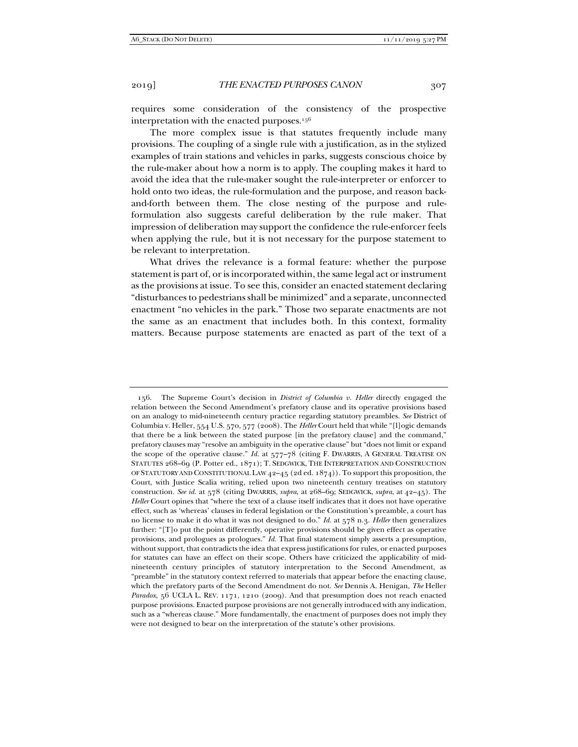requires some consideration of the consistency of the prospective interpretation with the enacted purposes.156

The more complex issue is that statutes frequently include many provisions. The coupling of a single rule with a justification, as in the stylized examples of train stations and vehicles in parks, suggests conscious choice by the rule-maker about how a norm is to apply. The coupling makes it hard to avoid the idea that the rule-maker sought the rule-interpreter or enforcer to hold onto two ideas, the rule-formulation and the purpose, and reason backand-forth between them. The close nesting of the purpose and ruleformulation also suggests careful deliberation by the rule maker. That impression of deliberation may support the confidence the rule-enforcer feels when applying the rule, but it is not necessary for the purpose statement to be relevant to interpretation.

What drives the relevance is a formal feature: whether the purpose statement is part of, or is incorporated within, the same legal act or instrument as the provisions at issue. To see this, consider an enacted statement declaring "disturbances to pedestrians shall be minimized" and a separate, unconnected enactment "no vehicles in the park." Those two separate enactments are not the same as an enactment that includes both. In this context, formality matters. Because purpose statements are enacted as part of the text of a

 <sup>156.</sup> The Supreme Court's decision in *District of Columbia v. Heller* directly engaged the relation between the Second Amendment's prefatory clause and its operative provisions based on an analogy to mid-nineteenth century practice regarding statutory preambles. *See* District of Columbia v. Heller, 554 U.S. 570, 577 (2008). The *Heller* Court held that while "[l]ogic demands that there be a link between the stated purpose [in the prefatory clause] and the command," prefatory clauses may "resolve an ambiguity in the operative clause" but "does not limit or expand the scope of the operative clause." *Id.* at  $577-\frac{78}{9}$  (citing F. DWARRIS, A GENERAL TREATISE ON STATUTES 268–69 (P. Potter ed., 1871); T. SEDGWICK, THE INTERPRETATION AND CONSTRUCTION OF STATUTORY AND CONSTITUTIONAL LAW 42–45 (2d ed. 1874)). To support this proposition, the Court, with Justice Scalia writing, relied upon two nineteenth century treatises on statutory construction. *See id.* at 578 (citing DWARRIS, *supra*, at 268–69; SEDGWICK, *supra*, at 42–45). The *Heller* Court opines that "where the text of a clause itself indicates that it does not have operative effect, such as 'whereas' clauses in federal legislation or the Constitution's preamble, a court has no license to make it do what it was not designed to do." *Id.* at 578 n.3. *Heller* then generalizes further: "[T]o put the point differently, operative provisions should be given effect as operative provisions, and prologues as prologues." *Id.* That final statement simply asserts a presumption, without support, that contradicts the idea that express justifications for rules, or enacted purposes for statutes can have an effect on their scope. Others have criticized the applicability of midnineteenth century principles of statutory interpretation to the Second Amendment, as "preamble" in the statutory context referred to materials that appear before the enacting clause, which the prefatory parts of the Second Amendment do not. *See* Dennis A. Henigan, *The* Heller *Paradox*, 56 UCLA L. REV. 1171, 1210 (2009). And that presumption does not reach enacted purpose provisions. Enacted purpose provisions are not generally introduced with any indication, such as a "whereas clause." More fundamentally, the enactment of purposes does not imply they were not designed to bear on the interpretation of the statute's other provisions.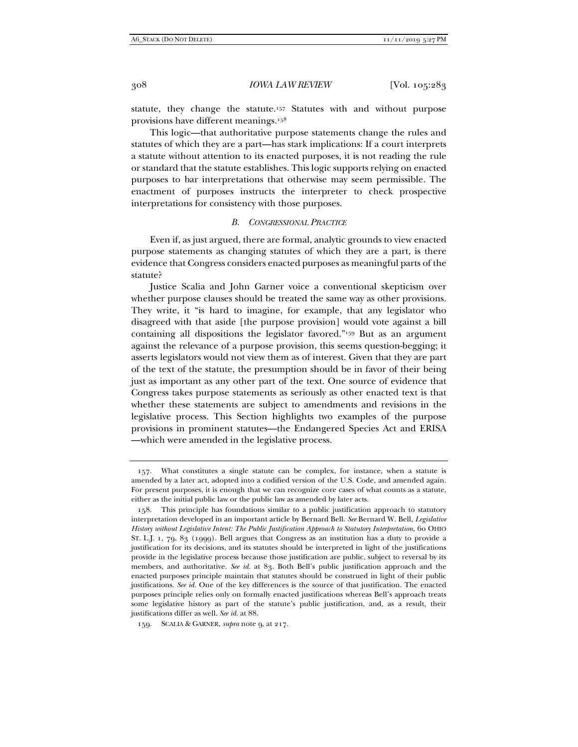statute, they change the statute.157 Statutes with and without purpose provisions have different meanings.158

This logic—that authoritative purpose statements change the rules and statutes of which they are a part—has stark implications: If a court interprets a statute without attention to its enacted purposes, it is not reading the rule or standard that the statute establishes. This logic supports relying on enacted purposes to bar interpretations that otherwise may seem permissible. The enactment of purposes instructs the interpreter to check prospective interpretations for consistency with those purposes.

# *B. CONGRESSIONAL PRACTICE*

Even if, as just argued, there are formal, analytic grounds to view enacted purpose statements as changing statutes of which they are a part, is there evidence that Congress considers enacted purposes as meaningful parts of the statute?

Justice Scalia and John Garner voice a conventional skepticism over whether purpose clauses should be treated the same way as other provisions. They write, it "is hard to imagine, for example, that any legislator who disagreed with that aside [the purpose provision] would vote against a bill containing all dispositions the legislator favored."159 But as an argument against the relevance of a purpose provision, this seems question-begging; it asserts legislators would not view them as of interest. Given that they are part of the text of the statute, the presumption should be in favor of their being just as important as any other part of the text. One source of evidence that Congress takes purpose statements as seriously as other enacted text is that whether these statements are subject to amendments and revisions in the legislative process. This Section highlights two examples of the purpose provisions in prominent statutes—the Endangered Species Act and ERISA —which were amended in the legislative process.

 <sup>157.</sup> What constitutes a single statute can be complex, for instance, when a statute is amended by a later act, adopted into a codified version of the U.S. Code, and amended again. For present purposes, it is enough that we can recognize core cases of what counts as a statute, either as the initial public law or the public law as amended by later acts.

 <sup>158.</sup> This principle has foundations similar to a public justification approach to statutory interpretation developed in an important article by Bernard Bell. *See* Bernard W. Bell, *Legislative History without Legislative Intent: The Public Justification Approach to Statutory Interpretation*, 60 OHIO ST. L.J. 1, 79, 83 (1999). Bell argues that Congress as an institution has a duty to provide a justification for its decisions, and its statutes should be interpreted in light of the justifications provide in the legislative process because those justification are public, subject to reversal by its members, and authoritative. *See id.* at 83. Both Bell's public justification approach and the enacted purposes principle maintain that statutes should be construed in light of their public justifications. *See id.* One of the key differences is the source of that justification. The enacted purposes principle relies only on formally enacted justifications whereas Bell's approach treats some legislative history as part of the statute's public justification, and, as a result, their justifications differ as well. *See id.* at 88.

 <sup>159.</sup> SCALIA & GARNER, *supra* note 9, at 217.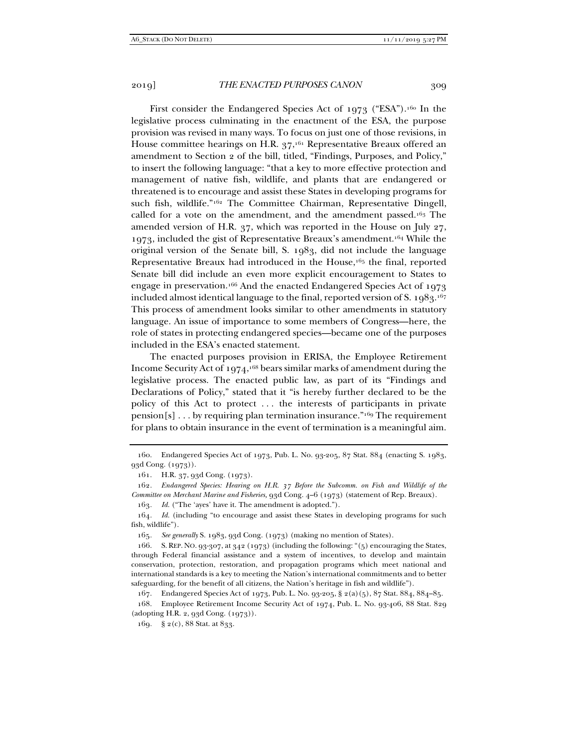First consider the Endangered Species Act of 1973 ("ESA").<sup>160</sup> In the legislative process culminating in the enactment of the ESA, the purpose provision was revised in many ways. To focus on just one of those revisions, in House committee hearings on H.R.  $37,161$  Representative Breaux offered an amendment to Section 2 of the bill, titled, "Findings, Purposes, and Policy," to insert the following language: "that a key to more effective protection and management of native fish, wildlife, and plants that are endangered or threatened is to encourage and assist these States in developing programs for such fish, wildlife."<sup>162</sup> The Committee Chairman, Representative Dingell, called for a vote on the amendment, and the amendment passed.163 The amended version of H.R. 37, which was reported in the House on July 27, 1973, included the gist of Representative Breaux's amendment.164 While the original version of the Senate bill, S. 1983, did not include the language Representative Breaux had introduced in the House,165 the final, reported Senate bill did include an even more explicit encouragement to States to engage in preservation.166 And the enacted Endangered Species Act of 1973 included almost identical language to the final, reported version of S. 1983.167 This process of amendment looks similar to other amendments in statutory language. An issue of importance to some members of Congress—here, the role of states in protecting endangered species—became one of the purposes included in the ESA's enacted statement.

The enacted purposes provision in ERISA, the Employee Retirement Income Security Act of  $1974$ ,<sup>168</sup> bears similar marks of amendment during the legislative process. The enacted public law, as part of its "Findings and Declarations of Policy," stated that it "is hereby further declared to be the policy of this Act to protect . . . the interests of participants in private  $pension[s] \dots$  by requiring plan termination insurance."<sup>169</sup> The requirement for plans to obtain insurance in the event of termination is a meaningful aim.

165*. See generally* S. 1983, 93d Cong. (1973) (making no mention of States).

 166. S. REP. NO. 93-307, at 342 (1973) (including the following: "(5) encouraging the States, through Federal financial assistance and a system of incentives, to develop and maintain conservation, protection, restoration, and propagation programs which meet national and international standards is a key to meeting the Nation's international commitments and to better safeguarding, for the benefit of all citizens, the Nation's heritage in fish and wildlife").

167. Endangered Species Act of 1973, Pub. L. No. 93-205, § 2(a)(5), 87 Stat. 884, 884–85.

 168. Employee Retirement Income Security Act of 1974, Pub. L. No. 93-406, 88 Stat. 829 (adopting H.R. 2, 93d Cong. (1973)).

169*.* § 2(c), 88 Stat. at 833.

 <sup>160.</sup> Endangered Species Act of 1973, Pub. L. No. 93-205, 87 Stat. 884 (enacting S. 1983, 93d Cong. (1973)).

 <sup>161.</sup> H.R. 37, 93d Cong. (1973).

<sup>162</sup>*. Endangered Species: Hearing on H.R. 37 Before the Subcomm. on Fish and Wildlife of the Committee on Merchant Marine and Fisheries,* 93d Cong. 4–6 (1973) (statement of Rep. Breaux).

<sup>163</sup>*. Id.* ("The 'ayes' have it. The amendment is adopted.").

<sup>164</sup>*. Id.* (including "to encourage and assist these States in developing programs for such fish, wildlife").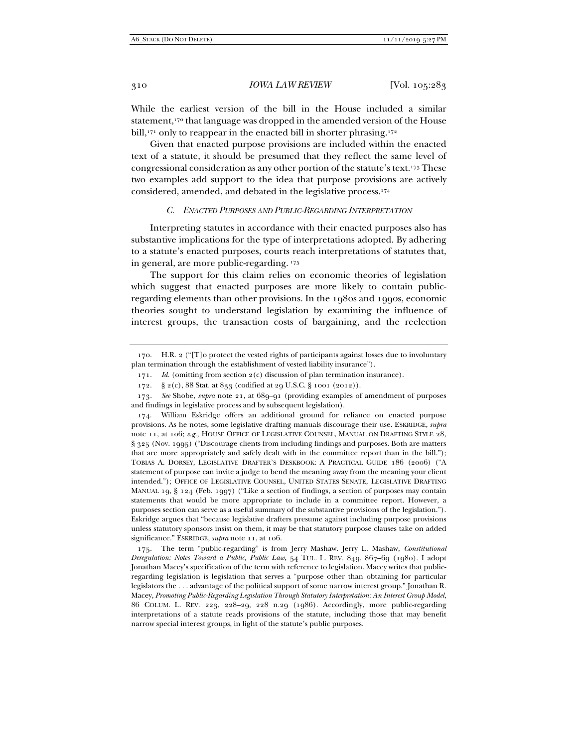While the earliest version of the bill in the House included a similar statement,<sup>170</sup> that language was dropped in the amended version of the House bill,<sup>171</sup> only to reappear in the enacted bill in shorter phrasing.<sup>172</sup>

Given that enacted purpose provisions are included within the enacted text of a statute, it should be presumed that they reflect the same level of congressional consideration as any other portion of the statute's text.173 These two examples add support to the idea that purpose provisions are actively considered, amended, and debated in the legislative process.174

### *C. ENACTED PURPOSES AND PUBLIC-REGARDING INTERPRETATION*

Interpreting statutes in accordance with their enacted purposes also has substantive implications for the type of interpretations adopted. By adhering to a statute's enacted purposes, courts reach interpretations of statutes that, in general, are more public-regarding. 175

The support for this claim relies on economic theories of legislation which suggest that enacted purposes are more likely to contain publicregarding elements than other provisions. In the 1980s and 1990s, economic theories sought to understand legislation by examining the influence of interest groups, the transaction costs of bargaining, and the reelection

 174. William Eskridge offers an additional ground for reliance on enacted purpose provisions. As he notes, some legislative drafting manuals discourage their use. ESKRIDGE, *supra* note 11, at 106; *e.g.*, HOUSE OFFICE OF LEGISLATIVE COUNSEL, MANUAL ON DRAFTING STYLE 28, § 325 (Nov. 1995) ("Discourage clients from including findings and purposes. Both are matters that are more appropriately and safely dealt with in the committee report than in the bill."); TOBIAS A. DORSEY, LEGISLATIVE DRAFTER'S DESKBOOK: A PRACTICAL GUIDE 186 (2006) ("A statement of purpose can invite a judge to bend the meaning away from the meaning your client intended."); OFFICE OF LEGISLATIVE COUNSEL, UNITED STATES SENATE, LEGISLATIVE DRAFTING MANUAL 19, § 124 (Feb. 1997) ("Like a section of findings, a section of purposes may contain statements that would be more appropriate to include in a committee report. However, a purposes section can serve as a useful summary of the substantive provisions of the legislation."). Eskridge argues that "because legislative drafters presume against including purpose provisions unless statutory sponsors insist on them, it may be that statutory purpose clauses take on added significance." ESKRIDGE, *supra* note 11, at 106.

 175. The term "public-regarding" is from Jerry Mashaw. Jerry L. Mashaw, *Constitutional Deregulation: Notes Toward a Public, Public Law*, 54 TUL. L. REV. 849, 867–69 (1980). I adopt Jonathan Macey's specification of the term with reference to legislation. Macey writes that publicregarding legislation is legislation that serves a "purpose other than obtaining for particular legislators the . . . advantage of the political support of some narrow interest group." Jonathan R. Macey, *Promoting Public-Regarding Legislation Through Statutory Interpretation: An Interest Group Model*, 86 COLUM. L. REV. 223, 228–29, 228 n.29 (1986). Accordingly, more public-regarding interpretations of a statute reads provisions of the statute, including those that may benefit narrow special interest groups, in light of the statute's public purposes.

 <sup>170.</sup> H.R. 2 ("[T]o protect the vested rights of participants against losses due to involuntary plan termination through the establishment of vested liability insurance").

<sup>171.</sup> *Id.* (omitting from section 2(c) discussion of plan termination insurance).

 <sup>172. § 2(</sup>c), 88 Stat. at 833 (codified at 29 U.S.C. § 1001 (2012)).

<sup>173</sup>*. See* Shobe, *supra* note 21, at 689–91 (providing examples of amendment of purposes and findings in legislative process and by subsequent legislation).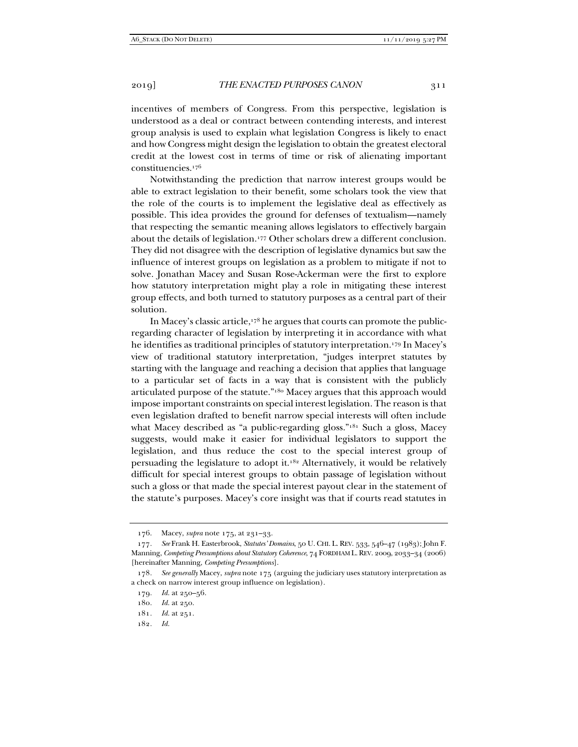incentives of members of Congress. From this perspective, legislation is understood as a deal or contract between contending interests, and interest group analysis is used to explain what legislation Congress is likely to enact and how Congress might design the legislation to obtain the greatest electoral credit at the lowest cost in terms of time or risk of alienating important constituencies.176

Notwithstanding the prediction that narrow interest groups would be able to extract legislation to their benefit, some scholars took the view that the role of the courts is to implement the legislative deal as effectively as possible. This idea provides the ground for defenses of textualism—namely that respecting the semantic meaning allows legislators to effectively bargain about the details of legislation.<sup>177</sup> Other scholars drew a different conclusion. They did not disagree with the description of legislative dynamics but saw the influence of interest groups on legislation as a problem to mitigate if not to solve. Jonathan Macey and Susan Rose-Ackerman were the first to explore how statutory interpretation might play a role in mitigating these interest group effects, and both turned to statutory purposes as a central part of their solution.

In Macey's classic article,<sup>178</sup> he argues that courts can promote the publicregarding character of legislation by interpreting it in accordance with what he identifies as traditional principles of statutory interpretation.179 In Macey's view of traditional statutory interpretation, "judges interpret statutes by starting with the language and reaching a decision that applies that language to a particular set of facts in a way that is consistent with the publicly articulated purpose of the statute."180 Macey argues that this approach would impose important constraints on special interest legislation. The reason is that even legislation drafted to benefit narrow special interests will often include what Macey described as "a public-regarding gloss."<sup>181</sup> Such a gloss, Macey suggests, would make it easier for individual legislators to support the legislation, and thus reduce the cost to the special interest group of persuading the legislature to adopt it.182 Alternatively, it would be relatively difficult for special interest groups to obtain passage of legislation without such a gloss or that made the special interest payout clear in the statement of the statute's purposes. Macey's core insight was that if courts read statutes in

182*. Id.* 

 <sup>176.</sup> Macey, *supra* note 175, at 231–33.

<sup>177</sup>*. See* Frank H. Easterbrook, *Statutes' Domains*, 50 U. CHI. L. REV. 533, 546–47 (1983); John F. Manning, *Competing Presumptions about Statutory Coherence*, 74 FORDHAM L.REV. 2009, 2033–34 (2006) [hereinafter Manning, *Competing Presumptions*].

<sup>178</sup>*. See generally* Macey, *supra* note 175 (arguing the judiciary uses statutory interpretation as a check on narrow interest group influence on legislation).

<sup>179</sup>*. Id.* at 250–56.

<sup>180</sup>*. Id.* at 250.

<sup>181</sup>*. Id.* at 251.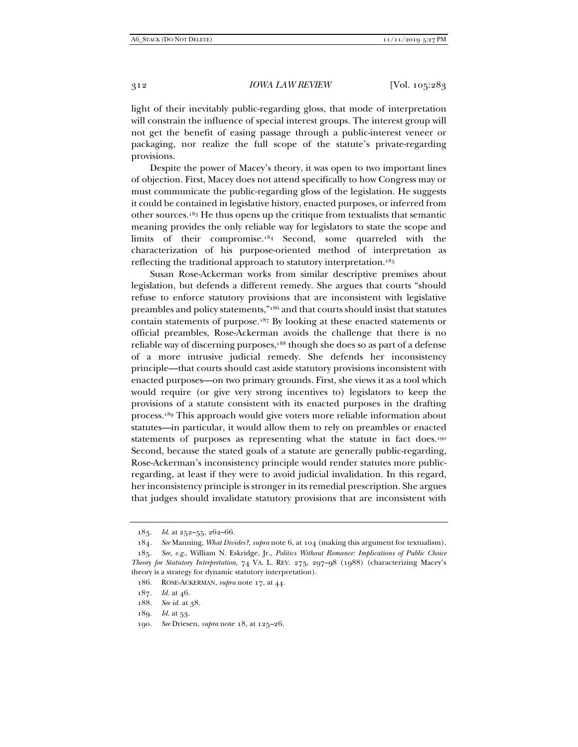light of their inevitably public-regarding gloss, that mode of interpretation will constrain the influence of special interest groups. The interest group will not get the benefit of easing passage through a public-interest veneer or packaging, nor realize the full scope of the statute's private-regarding provisions.

Despite the power of Macey's theory, it was open to two important lines of objection. First, Macey does not attend specifically to how Congress may or must communicate the public-regarding gloss of the legislation. He suggests it could be contained in legislative history, enacted purposes, or inferred from other sources.183 He thus opens up the critique from textualists that semantic meaning provides the only reliable way for legislators to state the scope and limits of their compromise.184 Second, some quarreled with the characterization of his purpose-oriented method of interpretation as reflecting the traditional approach to statutory interpretation.185

Susan Rose-Ackerman works from similar descriptive premises about legislation, but defends a different remedy. She argues that courts "should refuse to enforce statutory provisions that are inconsistent with legislative preambles and policy statements,"186 and that courts should insist that statutes contain statements of purpose.187 By looking at these enacted statements or official preambles, Rose-Ackerman avoids the challenge that there is no reliable way of discerning purposes,188 though she does so as part of a defense of a more intrusive judicial remedy. She defends her inconsistency principle—that courts should cast aside statutory provisions inconsistent with enacted purposes—on two primary grounds. First, she views it as a tool which would require (or give very strong incentives to) legislators to keep the provisions of a statute consistent with its enacted purposes in the drafting process.189 This approach would give voters more reliable information about statutes—in particular, it would allow them to rely on preambles or enacted statements of purposes as representing what the statute in fact does.<sup>190</sup> Second, because the stated goals of a statute are generally public-regarding, Rose-Ackerman's inconsistency principle would render statutes more publicregarding, at least if they were to avoid judicial invalidation. In this regard, her inconsistency principle is stronger in its remedial prescription. She argues that judges should invalidate statutory provisions that are inconsistent with

189*. Id.* at 53.

<sup>183</sup>*. Id*. at 252–55, 262–66.

<sup>184</sup>*. See* Manning, *What Divides?*, *supra* note 6, at 104 (making this argument for textualism).

<sup>185</sup>*. See, e.g.*, William N. Eskridge, Jr., *Politics Without Romance: Implications of Public Choice Theory for Statutory Interpretation*, 74 VA. L. REV. 275, 297–98 (1988) (characterizing Macey's theory is a strategy for dynamic statutory interpretation).

 <sup>186.</sup> ROSE-ACKERMAN, *supra* note 17, at 44.

<sup>187</sup>*. Id.* at 46.

<sup>188.</sup> *See id.* at 38.

<sup>190</sup>*. See* Driesen, *supra* note 18, at 125–26.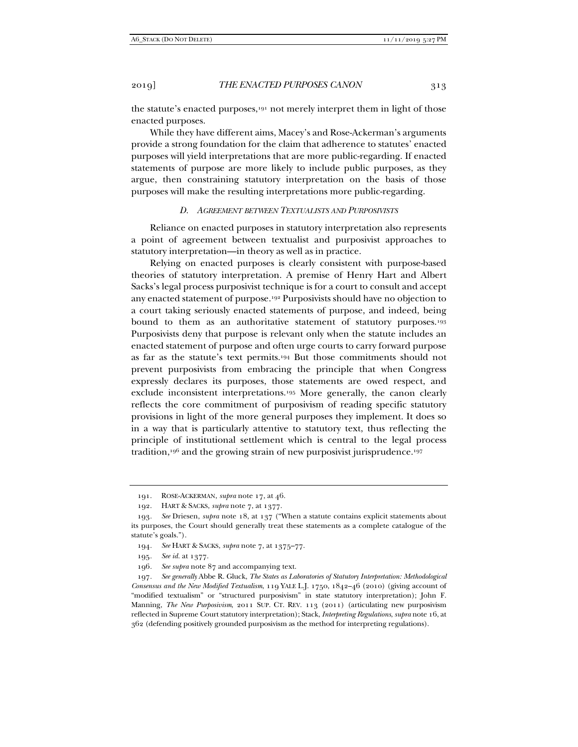the statute's enacted purposes,191 not merely interpret them in light of those enacted purposes.

While they have different aims, Macey's and Rose-Ackerman's arguments provide a strong foundation for the claim that adherence to statutes' enacted purposes will yield interpretations that are more public-regarding. If enacted statements of purpose are more likely to include public purposes, as they argue, then constraining statutory interpretation on the basis of those purposes will make the resulting interpretations more public-regarding.

# *D. AGREEMENT BETWEEN TEXTUALISTS AND PURPOSIVISTS*

Reliance on enacted purposes in statutory interpretation also represents a point of agreement between textualist and purposivist approaches to statutory interpretation—in theory as well as in practice.

Relying on enacted purposes is clearly consistent with purpose-based theories of statutory interpretation. A premise of Henry Hart and Albert Sacks's legal process purposivist technique is for a court to consult and accept any enacted statement of purpose.192 Purposivists should have no objection to a court taking seriously enacted statements of purpose, and indeed, being bound to them as an authoritative statement of statutory purposes.<sup>193</sup> Purposivists deny that purpose is relevant only when the statute includes an enacted statement of purpose and often urge courts to carry forward purpose as far as the statute's text permits.194 But those commitments should not prevent purposivists from embracing the principle that when Congress expressly declares its purposes, those statements are owed respect, and exclude inconsistent interpretations.195 More generally, the canon clearly reflects the core commitment of purposivism of reading specific statutory provisions in light of the more general purposes they implement. It does so in a way that is particularly attentive to statutory text, thus reflecting the principle of institutional settlement which is central to the legal process tradition,<sup>196</sup> and the growing strain of new purposivist jurisprudence.<sup>197</sup>

 <sup>191.</sup> ROSE-ACKERMAN, *supra* note 17, at 46.

 <sup>192.</sup> HART & SACKS, *supra* note 7, at 1377.

<sup>193</sup>*. See* Driesen, *supra* note 18, at 137 ("When a statute contains explicit statements about its purposes, the Court should generally treat these statements as a complete catalogue of the statute's goals.").

<sup>194</sup>*. See* HART & SACKS, *supra* note 7, at 1375–77.

<sup>195</sup>*. See id.* at 1377.

<sup>196</sup>*. See supra* note 87 and accompanying text.

<sup>197</sup>*. See generally* Abbe R. Gluck, *The States as Laboratories of Statutory Interpretation: Methodological Consensus and the New Modified Textualism*, 119 YALE L.J. 1750, 1842–46 (2010) (giving account of "modified textualism" or "structured purposivism" in state statutory interpretation); John F. Manning, *The New Purposivism*, 2011 SUP. CT. REV. 113 (2011) (articulating new purposivism reflected in Supreme Court statutory interpretation); Stack, *Interpreting Regulations*, *supra* note 16, at 362 (defending positively grounded purposivism as the method for interpreting regulations).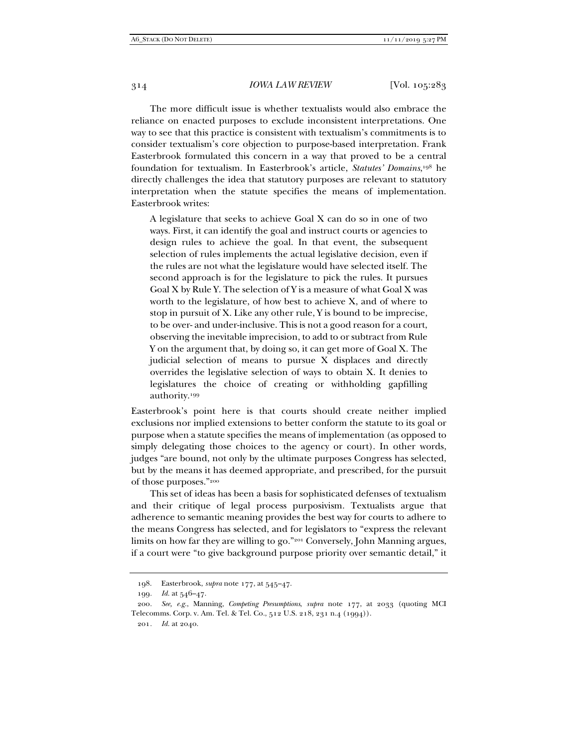The more difficult issue is whether textualists would also embrace the reliance on enacted purposes to exclude inconsistent interpretations. One way to see that this practice is consistent with textualism's commitments is to consider textualism's core objection to purpose-based interpretation. Frank Easterbrook formulated this concern in a way that proved to be a central foundation for textualism. In Easterbrook's article, *Statutes' Domains*,198 he directly challenges the idea that statutory purposes are relevant to statutory interpretation when the statute specifies the means of implementation. Easterbrook writes:

A legislature that seeks to achieve Goal X can do so in one of two ways. First, it can identify the goal and instruct courts or agencies to design rules to achieve the goal. In that event, the subsequent selection of rules implements the actual legislative decision, even if the rules are not what the legislature would have selected itself. The second approach is for the legislature to pick the rules. It pursues Goal X by Rule Y. The selection of Y is a measure of what Goal X was worth to the legislature, of how best to achieve X, and of where to stop in pursuit of X. Like any other rule, Y is bound to be imprecise, to be over- and under-inclusive. This is not a good reason for a court, observing the inevitable imprecision, to add to or subtract from Rule Y on the argument that, by doing so, it can get more of Goal X. The judicial selection of means to pursue X displaces and directly overrides the legislative selection of ways to obtain X. It denies to legislatures the choice of creating or withholding gapfilling authority.199

Easterbrook's point here is that courts should create neither implied exclusions nor implied extensions to better conform the statute to its goal or purpose when a statute specifies the means of implementation (as opposed to simply delegating those choices to the agency or court). In other words, judges "are bound, not only by the ultimate purposes Congress has selected, but by the means it has deemed appropriate, and prescribed, for the pursuit of those purposes."200

This set of ideas has been a basis for sophisticated defenses of textualism and their critique of legal process purposivism. Textualists argue that adherence to semantic meaning provides the best way for courts to adhere to the means Congress has selected, and for legislators to "express the relevant limits on how far they are willing to go."<sup>201</sup> Conversely, John Manning argues, if a court were "to give background purpose priority over semantic detail," it

 <sup>198.</sup> Easterbrook, *supra* note 177, at 545–47.

<sup>199</sup>*. Id.* at 546–47.

<sup>200</sup>*. See, e.g.*, Manning, *Competing Presumptions*, *supra* note 177, at 2033 (quoting MCI Telecomms. Corp. v. Am. Tel. & Tel. Co*.*, 512 U.S. 218, 231 n.4 (1994)).

<sup>201</sup>*. Id.* at 2040.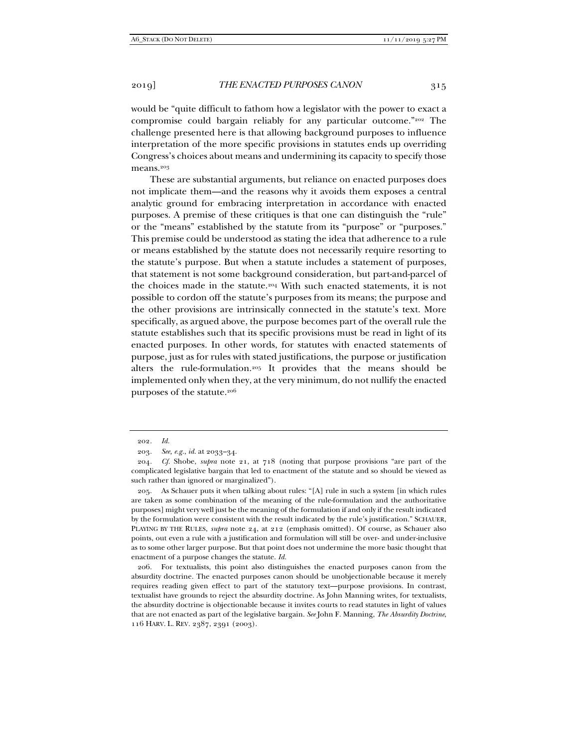would be "quite difficult to fathom how a legislator with the power to exact a compromise could bargain reliably for any particular outcome."202 The challenge presented here is that allowing background purposes to influence interpretation of the more specific provisions in statutes ends up overriding Congress's choices about means and undermining its capacity to specify those means.203

These are substantial arguments, but reliance on enacted purposes does not implicate them—and the reasons why it avoids them exposes a central analytic ground for embracing interpretation in accordance with enacted purposes. A premise of these critiques is that one can distinguish the "rule" or the "means" established by the statute from its "purpose" or "purposes." This premise could be understood as stating the idea that adherence to a rule or means established by the statute does not necessarily require resorting to the statute's purpose. But when a statute includes a statement of purposes, that statement is not some background consideration, but part-and-parcel of the choices made in the statute.204 With such enacted statements, it is not possible to cordon off the statute's purposes from its means; the purpose and the other provisions are intrinsically connected in the statute's text. More specifically, as argued above, the purpose becomes part of the overall rule the statute establishes such that its specific provisions must be read in light of its enacted purposes. In other words, for statutes with enacted statements of purpose, just as for rules with stated justifications, the purpose or justification alters the rule-formulation.205 It provides that the means should be implemented only when they, at the very minimum, do not nullify the enacted purposes of the statute.206

 205. As Schauer puts it when talking about rules: "[A] rule in such a system [in which rules are taken as some combination of the meaning of the rule-formulation and the authoritative purposes] might very well just be the meaning of the formulation if and only if the result indicated by the formulation were consistent with the result indicated by the rule's justification." SCHAUER, PLAYING BY THE RULES, *supra* note 24, at 212 (emphasis omitted). Of course, as Schauer also points, out even a rule with a justification and formulation will still be over- and under-inclusive as to some other larger purpose. But that point does not undermine the more basic thought that enactment of a purpose changes the statute. *Id.* 

 206. For textualists, this point also distinguishes the enacted purposes canon from the absurdity doctrine. The enacted purposes canon should be unobjectionable because it merely requires reading given effect to part of the statutory text—purpose provisions. In contrast, textualist have grounds to reject the absurdity doctrine. As John Manning writes, for textualists, the absurdity doctrine is objectionable because it invites courts to read statutes in light of values that are not enacted as part of the legislative bargain. *See* John F. Manning, *The Absurdity Doctrine*, 116 HARV. L. REV. 2387, 2391 (2003).

<sup>202</sup>*. Id.* 

<sup>203</sup>*. See, e.g.*, *id.* at 2033–34.

<sup>204</sup>*. Cf.* Shobe, *supra* note 21, at 718 (noting that purpose provisions "are part of the complicated legislative bargain that led to enactment of the statute and so should be viewed as such rather than ignored or marginalized").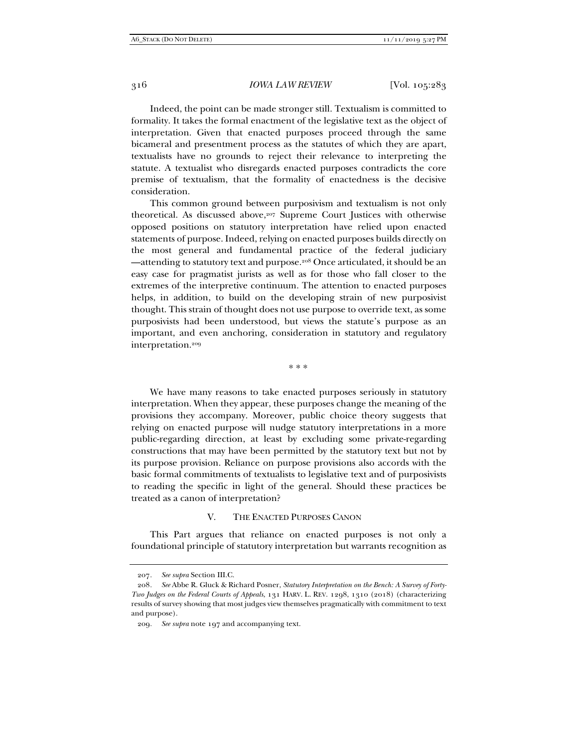Indeed, the point can be made stronger still. Textualism is committed to formality. It takes the formal enactment of the legislative text as the object of interpretation. Given that enacted purposes proceed through the same bicameral and presentment process as the statutes of which they are apart, textualists have no grounds to reject their relevance to interpreting the statute. A textualist who disregards enacted purposes contradicts the core premise of textualism, that the formality of enactedness is the decisive consideration.

This common ground between purposivism and textualism is not only theoretical. As discussed above,<sup>207</sup> Supreme Court Justices with otherwise opposed positions on statutory interpretation have relied upon enacted statements of purpose. Indeed, relying on enacted purposes builds directly on the most general and fundamental practice of the federal judiciary —attending to statutory text and purpose.208 Once articulated, it should be an easy case for pragmatist jurists as well as for those who fall closer to the extremes of the interpretive continuum. The attention to enacted purposes helps, in addition, to build on the developing strain of new purposivist thought. This strain of thought does not use purpose to override text, as some purposivists had been understood, but views the statute's purpose as an important, and even anchoring, consideration in statutory and regulatory interpretation.<sup>209</sup>

\* \* \*

We have many reasons to take enacted purposes seriously in statutory interpretation. When they appear, these purposes change the meaning of the provisions they accompany. Moreover, public choice theory suggests that relying on enacted purpose will nudge statutory interpretations in a more public-regarding direction, at least by excluding some private-regarding constructions that may have been permitted by the statutory text but not by its purpose provision. Reliance on purpose provisions also accords with the basic formal commitments of textualists to legislative text and of purposivists to reading the specific in light of the general. Should these practices be treated as a canon of interpretation?

V. THE ENACTED PURPOSES CANON

This Part argues that reliance on enacted purposes is not only a foundational principle of statutory interpretation but warrants recognition as

<sup>207</sup>*. See supra* Section III.C.

<sup>208</sup>*. See* Abbe R. Gluck & Richard Posner, *Statutory Interpretation on the Bench: A Survey of Forty-Two Judges on the Federal Courts of Appeals*, 131 HARV. L. REV. 1298, 1310 (2018) (characterizing results of survey showing that most judges view themselves pragmatically with commitment to text and purpose).

<sup>209</sup>*. See supra* note 197 and accompanying text.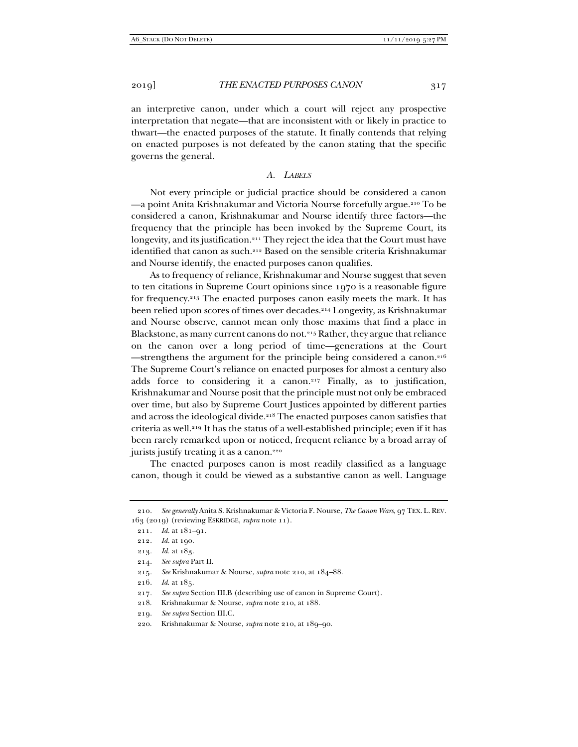an interpretive canon, under which a court will reject any prospective interpretation that negate—that are inconsistent with or likely in practice to thwart—the enacted purposes of the statute. It finally contends that relying on enacted purposes is not defeated by the canon stating that the specific governs the general.

#### *A. LABELS*

Not every principle or judicial practice should be considered a canon —a point Anita Krishnakumar and Victoria Nourse forcefully argue.210 To be considered a canon, Krishnakumar and Nourse identify three factors—the frequency that the principle has been invoked by the Supreme Court, its longevity, and its justification.211 They reject the idea that the Court must have identified that canon as such.212 Based on the sensible criteria Krishnakumar and Nourse identify, the enacted purposes canon qualifies.

As to frequency of reliance, Krishnakumar and Nourse suggest that seven to ten citations in Supreme Court opinions since 1970 is a reasonable figure for frequency.213 The enacted purposes canon easily meets the mark. It has been relied upon scores of times over decades.214 Longevity, as Krishnakumar and Nourse observe, cannot mean only those maxims that find a place in Blackstone, as many current canons do not.215 Rather, they argue that reliance on the canon over a long period of time—generations at the Court —strengthens the argument for the principle being considered a canon.216 The Supreme Court's reliance on enacted purposes for almost a century also adds force to considering it a canon.217 Finally, as to justification, Krishnakumar and Nourse posit that the principle must not only be embraced over time, but also by Supreme Court Justices appointed by different parties and across the ideological divide.<sup>218</sup> The enacted purposes canon satisfies that criteria as well.219 It has the status of a well-established principle; even if it has been rarely remarked upon or noticed, frequent reliance by a broad array of jurists justify treating it as a canon.<sup>220</sup>

The enacted purposes canon is most readily classified as a language canon, though it could be viewed as a substantive canon as well. Language

214*. See supra* Part II.

215*. See* Krishnakumar & Nourse, *supra* note 210, at 184–88.

216*. Id*. at 185.

- 218. Krishnakumar & Nourse, *supra* note 210, at 188.
- 219*. See supra* Section III.C.

<sup>210</sup>*. See generally* Anita S. Krishnakumar & Victoria F. Nourse, *The Canon Wars*, 97 TEX. L. REV. 163 (2019) (reviewing ESKRIDGE, *supra* note 11).

<sup>211</sup>*. Id.* at 181–91.

<sup>212</sup>*. Id.* at 190.

<sup>213</sup>*. Id.* at 183.

<sup>217</sup>*. See supra* Section III.B (describing use of canon in Supreme Court).

 <sup>220.</sup> Krishnakumar & Nourse, *supra* note 210, at 189–90.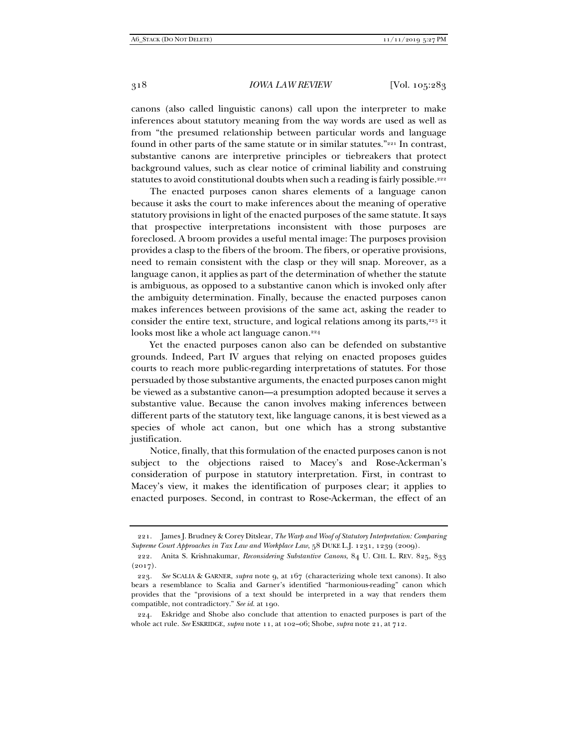canons (also called linguistic canons) call upon the interpreter to make inferences about statutory meaning from the way words are used as well as from "the presumed relationship between particular words and language found in other parts of the same statute or in similar statutes."221 In contrast, substantive canons are interpretive principles or tiebreakers that protect background values, such as clear notice of criminal liability and construing statutes to avoid constitutional doubts when such a reading is fairly possible.<sup>222</sup>

The enacted purposes canon shares elements of a language canon because it asks the court to make inferences about the meaning of operative statutory provisions in light of the enacted purposes of the same statute. It says that prospective interpretations inconsistent with those purposes are foreclosed. A broom provides a useful mental image: The purposes provision provides a clasp to the fibers of the broom. The fibers, or operative provisions, need to remain consistent with the clasp or they will snap. Moreover, as a language canon, it applies as part of the determination of whether the statute is ambiguous, as opposed to a substantive canon which is invoked only after the ambiguity determination. Finally, because the enacted purposes canon makes inferences between provisions of the same act, asking the reader to consider the entire text, structure, and logical relations among its parts,<sup>223</sup> it looks most like a whole act language canon.<sup>224</sup>

Yet the enacted purposes canon also can be defended on substantive grounds. Indeed, Part IV argues that relying on enacted proposes guides courts to reach more public-regarding interpretations of statutes. For those persuaded by those substantive arguments, the enacted purposes canon might be viewed as a substantive canon—a presumption adopted because it serves a substantive value. Because the canon involves making inferences between different parts of the statutory text, like language canons, it is best viewed as a species of whole act canon, but one which has a strong substantive justification.

Notice, finally, that this formulation of the enacted purposes canon is not subject to the objections raised to Macey's and Rose-Ackerman's consideration of purpose in statutory interpretation. First, in contrast to Macey's view, it makes the identification of purposes clear; it applies to enacted purposes. Second, in contrast to Rose-Ackerman, the effect of an

 <sup>221.</sup> James J. Brudney & Corey Ditslear, *The Warp and Woof of Statutory Interpretation: Comparing Supreme Court Approaches in Tax Law and Workplace Law*, 58 DUKE L.J. 1231, 1239 (2009).

 <sup>222.</sup> Anita S. Krishnakumar, *Reconsidering Substantive Canons*, 84 U. CHI. L. REV. 825, 833  $(2017).$ 

<sup>223</sup>*. See* SCALIA & GARNER, *supra* note 9, at 167 (characterizing whole text canons). It also bears a resemblance to Scalia and Garner's identified "harmonious-reading" canon which provides that the "provisions of a text should be interpreted in a way that renders them compatible, not contradictory." *See id.* at 190.

 <sup>224.</sup> Eskridge and Shobe also conclude that attention to enacted purposes is part of the whole act rule. *See* ESKRIDGE, *supra* note 11, at 102–06; Shobe, *supra* note 21, at 712.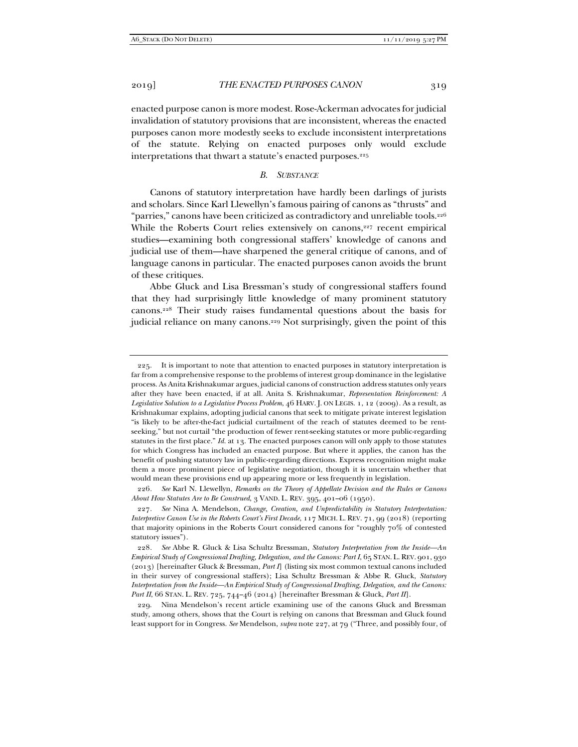enacted purpose canon is more modest. Rose-Ackerman advocates for judicial invalidation of statutory provisions that are inconsistent, whereas the enacted purposes canon more modestly seeks to exclude inconsistent interpretations of the statute. Relying on enacted purposes only would exclude interpretations that thwart a statute's enacted purposes.<sup>225</sup>

#### *B. SUBSTANCE*

Canons of statutory interpretation have hardly been darlings of jurists and scholars. Since Karl Llewellyn's famous pairing of canons as "thrusts" and "parries," canons have been criticized as contradictory and unreliable tools.226 While the Roberts Court relies extensively on canons,<sup>227</sup> recent empirical studies—examining both congressional staffers' knowledge of canons and judicial use of them—have sharpened the general critique of canons, and of language canons in particular. The enacted purposes canon avoids the brunt of these critiques.

Abbe Gluck and Lisa Bressman's study of congressional staffers found that they had surprisingly little knowledge of many prominent statutory canons.228 Their study raises fundamental questions about the basis for judicial reliance on many canons.<sup>229</sup> Not surprisingly, given the point of this

 <sup>225.</sup> It is important to note that attention to enacted purposes in statutory interpretation is far from a comprehensive response to the problems of interest group dominance in the legislative process. As Anita Krishnakumar argues, judicial canons of construction address statutes only years after they have been enacted, if at all. Anita S. Krishnakumar, *Representation Reinforcement: A Legislative Solution to a Legislative Process Problem*, 46 HARV. J. ON LEGIS. 1, 12 (2009). As a result, as Krishnakumar explains, adopting judicial canons that seek to mitigate private interest legislation "is likely to be after-the-fact judicial curtailment of the reach of statutes deemed to be rentseeking," but not curtail "the production of fewer rent-seeking statutes or more public-regarding statutes in the first place." *Id.* at 13. The enacted purposes canon will only apply to those statutes for which Congress has included an enacted purpose. But where it applies, the canon has the benefit of pushing statutory law in public-regarding directions. Express recognition might make them a more prominent piece of legislative negotiation, though it is uncertain whether that would mean these provisions end up appearing more or less frequently in legislation.

<sup>226</sup>*. See* Karl N. Llewellyn, *Remarks on the Theory of Appellate Decision and the Rules or Canons About How Statutes Are to Be Construed*, 3 VAND. L. REV. 395, 401–06 (1950).

<sup>227</sup>*. See* Nina A. Mendelson, *Change, Creation, and Unpredictability in Statutory Interpretation: Interpretive Canon Use in the Roberts Court's First Decade*, 117 MICH. L. REV. 71, 99 (2018) (reporting that majority opinions in the Roberts Court considered canons for "roughly 70% of contested statutory issues").

<sup>228</sup>*. See* Abbe R. Gluck & Lisa Schultz Bressman, *Statutory Interpretation from the Inside—An Empirical Study of Congressional Drafting, Delegation, and the Canons: Part I*, 65 STAN. L. REV. 901, 930 (2013) [hereinafter Gluck & Bressman, *Part I*] (listing six most common textual canons included in their survey of congressional staffers); Lisa Schultz Bressman & Abbe R. Gluck, *Statutory Interpretation from the Inside—An Empirical Study of Congressional Drafting, Delegation, and the Canons: Part II*, 66 STAN. L. REV. 725, 744–46 (2014) [hereinafter Bressman & Gluck, *Part II*].

 <sup>229.</sup> Nina Mendelson's recent article examining use of the canons Gluck and Bressman study, among others, shows that the Court is relying on canons that Bressman and Gluck found least support for in Congress. *See* Mendelson, *supra* note 227, at 79 ("Three, and possibly four, of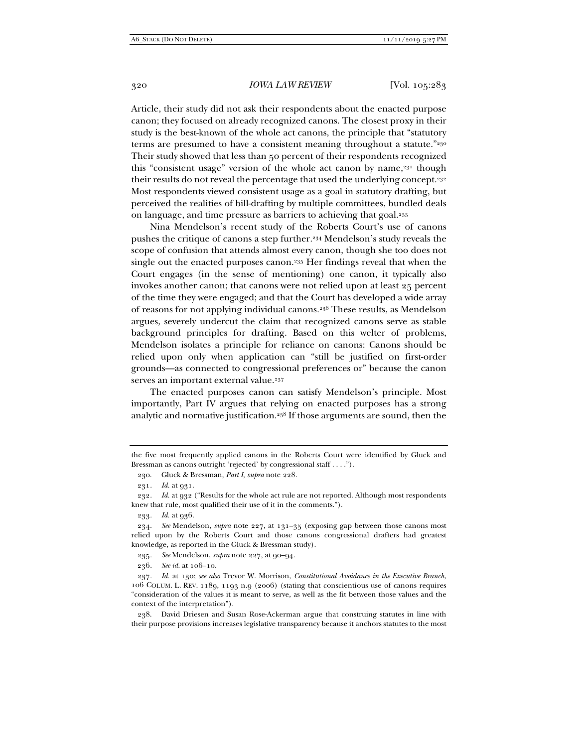Article, their study did not ask their respondents about the enacted purpose canon; they focused on already recognized canons. The closest proxy in their study is the best-known of the whole act canons, the principle that "statutory terms are presumed to have a consistent meaning throughout a statute."<sup>230</sup> Their study showed that less than 50 percent of their respondents recognized this "consistent usage" version of the whole act canon by name,<sup>231</sup> though their results do not reveal the percentage that used the underlying concept.<sup>232</sup> Most respondents viewed consistent usage as a goal in statutory drafting, but perceived the realities of bill-drafting by multiple committees, bundled deals on language, and time pressure as barriers to achieving that goal.233

Nina Mendelson's recent study of the Roberts Court's use of canons pushes the critique of canons a step further.234 Mendelson's study reveals the scope of confusion that attends almost every canon, though she too does not single out the enacted purposes canon.235 Her findings reveal that when the Court engages (in the sense of mentioning) one canon, it typically also invokes another canon; that canons were not relied upon at least 25 percent of the time they were engaged; and that the Court has developed a wide array of reasons for not applying individual canons.236 These results, as Mendelson argues, severely undercut the claim that recognized canons serve as stable background principles for drafting. Based on this welter of problems, Mendelson isolates a principle for reliance on canons: Canons should be relied upon only when application can "still be justified on first-order grounds—as connected to congressional preferences or" because the canon serves an important external value.<sup>237</sup>

The enacted purposes canon can satisfy Mendelson's principle. Most importantly, Part IV argues that relying on enacted purposes has a strong analytic and normative justification.238 If those arguments are sound, then the

236*. See id.* at 106–10.

the five most frequently applied canons in the Roberts Court were identified by Gluck and Bressman as canons outright 'rejected' by congressional staff . . . .").

 <sup>230.</sup> Gluck & Bressman, *Part I*, *supra* note 228.

<sup>231</sup>*. Id.* at 931.

<sup>232</sup>*. Id.* at 932 ("Results for the whole act rule are not reported. Although most respondents knew that rule, most qualified their use of it in the comments.").

<sup>233</sup>*. Id.* at 936.

 <sup>234.</sup> *See* Mendelson, *supra* note 227, at 131–35 (exposing gap between those canons most relied upon by the Roberts Court and those canons congressional drafters had greatest knowledge, as reported in the Gluck & Bressman study).

<sup>235</sup>*. See* Mendelson, *supra* note 227, at 90–94.

<sup>237</sup>*. Id.* at 130; *see also* Trevor W. Morrison, *Constitutional Avoidance in the Executive Branch*, 106 COLUM. L. REV. 1189, 1193 n.9 (2006) (stating that conscientious use of canons requires "consideration of the values it is meant to serve, as well as the fit between those values and the context of the interpretation").

 <sup>238.</sup> David Driesen and Susan Rose-Ackerman argue that construing statutes in line with their purpose provisions increases legislative transparency because it anchors statutes to the most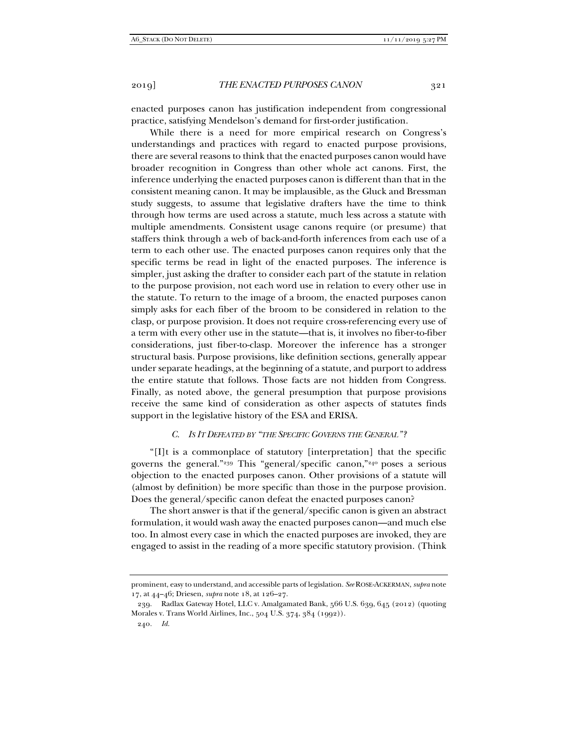enacted purposes canon has justification independent from congressional practice, satisfying Mendelson's demand for first-order justification.

While there is a need for more empirical research on Congress's understandings and practices with regard to enacted purpose provisions, there are several reasons to think that the enacted purposes canon would have broader recognition in Congress than other whole act canons. First, the inference underlying the enacted purposes canon is different than that in the consistent meaning canon. It may be implausible, as the Gluck and Bressman study suggests, to assume that legislative drafters have the time to think through how terms are used across a statute, much less across a statute with multiple amendments. Consistent usage canons require (or presume) that staffers think through a web of back-and-forth inferences from each use of a term to each other use. The enacted purposes canon requires only that the specific terms be read in light of the enacted purposes. The inference is simpler, just asking the drafter to consider each part of the statute in relation to the purpose provision, not each word use in relation to every other use in the statute. To return to the image of a broom, the enacted purposes canon simply asks for each fiber of the broom to be considered in relation to the clasp, or purpose provision. It does not require cross-referencing every use of a term with every other use in the statute—that is, it involves no fiber-to-fiber considerations, just fiber-to-clasp. Moreover the inference has a stronger structural basis. Purpose provisions, like definition sections, generally appear under separate headings, at the beginning of a statute, and purport to address the entire statute that follows. Those facts are not hidden from Congress. Finally, as noted above, the general presumption that purpose provisions receive the same kind of consideration as other aspects of statutes finds support in the legislative history of the ESA and ERISA.

## *C. IS IT DEFEATED BY "THE SPECIFIC GOVERNS THE GENERAL"?*

"[I]t is a commonplace of statutory [interpretation] that the specific governs the general."239 This "general/specific canon,"240 poses a serious objection to the enacted purposes canon. Other provisions of a statute will (almost by definition) be more specific than those in the purpose provision. Does the general/specific canon defeat the enacted purposes canon?

The short answer is that if the general/specific canon is given an abstract formulation, it would wash away the enacted purposes canon—and much else too. In almost every case in which the enacted purposes are invoked, they are engaged to assist in the reading of a more specific statutory provision. (Think

prominent, easy to understand, and accessible parts of legislation. *See* ROSE-ACKERMAN, *supra* note 17, at 44–46; Driesen, *supra* note 18, at 126–27.

 <sup>239.</sup> Radlax Gateway Hotel, LLC v. Amalgamated Bank, 566 U.S. 639, 645 (2012) (quoting Morales v. Trans World Airlines, Inc., 504 U.S. 374, 384 (1992)).

<sup>240</sup>*. Id.*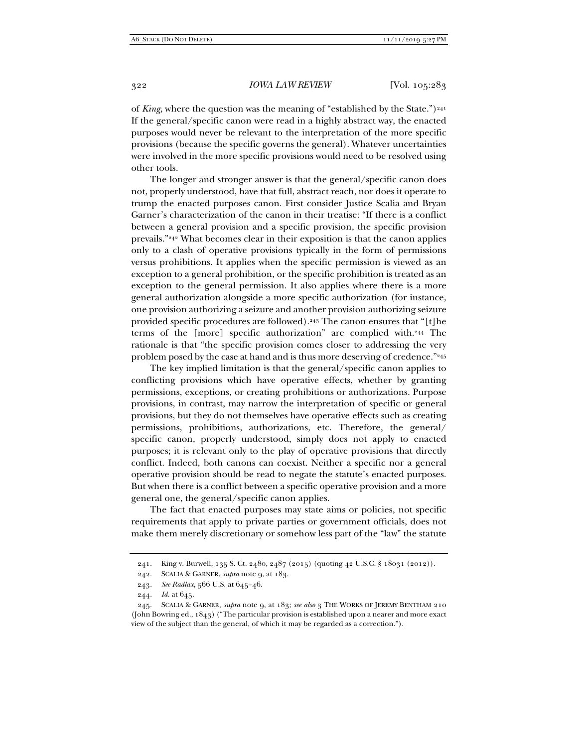of *King*, where the question was the meaning of "established by the State.")<sup>241</sup> If the general/specific canon were read in a highly abstract way, the enacted purposes would never be relevant to the interpretation of the more specific provisions (because the specific governs the general). Whatever uncertainties were involved in the more specific provisions would need to be resolved using other tools.

The longer and stronger answer is that the general/specific canon does not, properly understood, have that full, abstract reach, nor does it operate to trump the enacted purposes canon. First consider Justice Scalia and Bryan Garner's characterization of the canon in their treatise: "If there is a conflict between a general provision and a specific provision, the specific provision prevails."242 What becomes clear in their exposition is that the canon applies only to a clash of operative provisions typically in the form of permissions versus prohibitions. It applies when the specific permission is viewed as an exception to a general prohibition, or the specific prohibition is treated as an exception to the general permission. It also applies where there is a more general authorization alongside a more specific authorization (for instance, one provision authorizing a seizure and another provision authorizing seizure provided specific procedures are followed).243 The canon ensures that "[t]he terms of the [more] specific authorization" are complied with.244 The rationale is that "the specific provision comes closer to addressing the very problem posed by the case at hand and is thus more deserving of credence."<sup>245</sup>

The key implied limitation is that the general/specific canon applies to conflicting provisions which have operative effects, whether by granting permissions, exceptions, or creating prohibitions or authorizations. Purpose provisions, in contrast, may narrow the interpretation of specific or general provisions, but they do not themselves have operative effects such as creating permissions, prohibitions, authorizations, etc. Therefore, the general/ specific canon, properly understood, simply does not apply to enacted purposes; it is relevant only to the play of operative provisions that directly conflict. Indeed, both canons can coexist. Neither a specific nor a general operative provision should be read to negate the statute's enacted purposes. But when there is a conflict between a specific operative provision and a more general one, the general/specific canon applies.

The fact that enacted purposes may state aims or policies, not specific requirements that apply to private parties or government officials, does not make them merely discretionary or somehow less part of the "law" the statute

 <sup>241.</sup> King v. Burwell, 135 S. Ct. 2480, 2487 (2015) (quoting 42 U.S.C. § 18031 (2012)).

 <sup>242.</sup> SCALIA & GARNER, *supra* note 9, at 183.

<sup>243</sup>*. See Radlax*, 566 U.S. at 645–46.

<sup>244</sup>*. Id.* at 645.

 <sup>245.</sup> SCALIA & GARNER, *supra* note 9, at 183; *see also* 3 THE WORKS OF JEREMY BENTHAM 210 (John Bowring ed., 1843) ("The particular provision is established upon a nearer and more exact view of the subject than the general, of which it may be regarded as a correction.").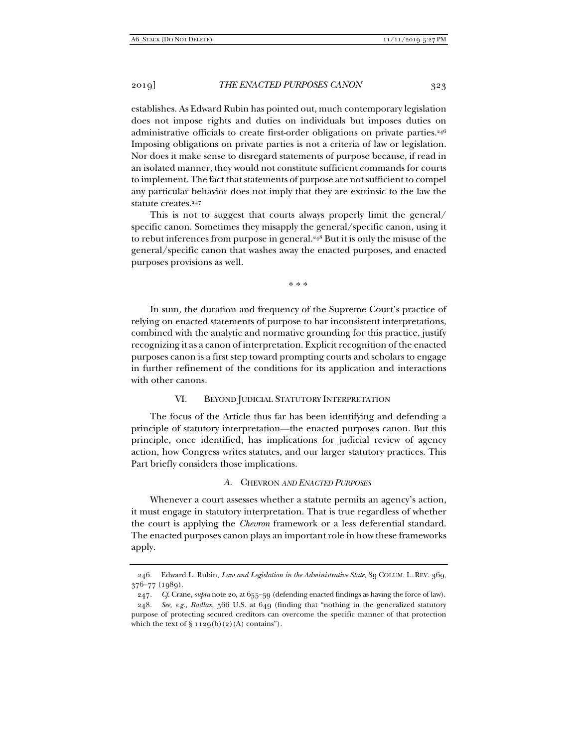establishes. As Edward Rubin has pointed out, much contemporary legislation does not impose rights and duties on individuals but imposes duties on administrative officials to create first-order obligations on private parties.<sup>246</sup> Imposing obligations on private parties is not a criteria of law or legislation. Nor does it make sense to disregard statements of purpose because, if read in an isolated manner, they would not constitute sufficient commands for courts to implement. The fact that statements of purpose are not sufficient to compel any particular behavior does not imply that they are extrinsic to the law the statute creates.<sup>247</sup>

This is not to suggest that courts always properly limit the general/ specific canon. Sometimes they misapply the general/specific canon, using it to rebut inferences from purpose in general.<sup>248</sup> But it is only the misuse of the general/specific canon that washes away the enacted purposes, and enacted purposes provisions as well.

\* \* \*

In sum, the duration and frequency of the Supreme Court's practice of relying on enacted statements of purpose to bar inconsistent interpretations, combined with the analytic and normative grounding for this practice, justify recognizing it as a canon of interpretation. Explicit recognition of the enacted purposes canon is a first step toward prompting courts and scholars to engage in further refinement of the conditions for its application and interactions with other canons.

# VI. BEYOND JUDICIAL STATUTORY INTERPRETATION

The focus of the Article thus far has been identifying and defending a principle of statutory interpretation—the enacted purposes canon. But this principle, once identified, has implications for judicial review of agency action, how Congress writes statutes, and our larger statutory practices. This Part briefly considers those implications.

#### *A.* CHEVRON *AND ENACTED PURPOSES*

Whenever a court assesses whether a statute permits an agency's action, it must engage in statutory interpretation. That is true regardless of whether the court is applying the *Chevron* framework or a less deferential standard. The enacted purposes canon plays an important role in how these frameworks apply.

 <sup>246.</sup> Edward L. Rubin, *Law and Legislation in the Administrative State*, 89 COLUM. L. REV. 369, 376–77 (1989).

<sup>247</sup>*. Cf.* Crane, *supra* note 20, at 655–59 (defending enacted findings as having the force of law).

<sup>248</sup>*. See, e.g.*, *Radlax*, 566 U.S. at 649 (finding that "nothing in the generalized statutory purpose of protecting secured creditors can overcome the specific manner of that protection which the text of  $\S 1129(b)(2)(A)$  contains").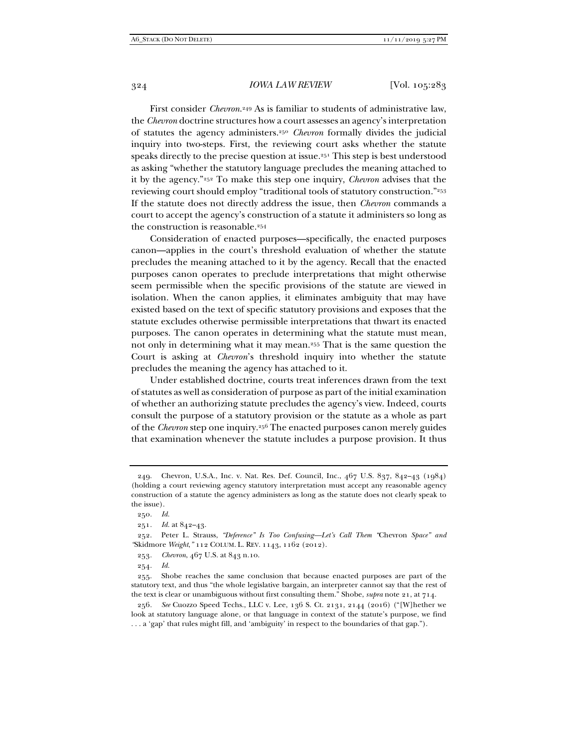First consider *Chevron*.<sup>249</sup> As is familiar to students of administrative law, the *Chevron* doctrine structures how a court assesses an agency's interpretation of statutes the agency administers.250 *Chevron* formally divides the judicial inquiry into two-steps. First, the reviewing court asks whether the statute speaks directly to the precise question at issue.251 This step is best understood as asking "whether the statutory language precludes the meaning attached to it by the agency."252 To make this step one inquiry, *Chevron* advises that the reviewing court should employ "traditional tools of statutory construction."253 If the statute does not directly address the issue, then *Chevron* commands a court to accept the agency's construction of a statute it administers so long as the construction is reasonable.<sup>254</sup>

Consideration of enacted purposes—specifically, the enacted purposes canon—applies in the court's threshold evaluation of whether the statute precludes the meaning attached to it by the agency. Recall that the enacted purposes canon operates to preclude interpretations that might otherwise seem permissible when the specific provisions of the statute are viewed in isolation. When the canon applies, it eliminates ambiguity that may have existed based on the text of specific statutory provisions and exposes that the statute excludes otherwise permissible interpretations that thwart its enacted purposes. The canon operates in determining what the statute must mean, not only in determining what it may mean.255 That is the same question the Court is asking at *Chevron*'s threshold inquiry into whether the statute precludes the meaning the agency has attached to it.

Under established doctrine, courts treat inferences drawn from the text of statutes as well as consideration of purpose as part of the initial examination of whether an authorizing statute precludes the agency's view. Indeed, courts consult the purpose of a statutory provision or the statute as a whole as part of the *Chevron* step one inquiry.256 The enacted purposes canon merely guides that examination whenever the statute includes a purpose provision. It thus

254*. Id.*

 <sup>249.</sup> Chevron, U.S.A., Inc. v. Nat. Res. Def. Council, Inc., 467 U.S. 837, 842–43 (1984) (holding a court reviewing agency statutory interpretation must accept any reasonable agency construction of a statute the agency administers as long as the statute does not clearly speak to the issue).

<sup>250</sup>*. Id.*

<sup>251</sup>*. Id.* at 842–43.

 <sup>252.</sup> Peter L. Strauss, *"Deference" Is Too Confusing—Let's Call Them "*Chevron *Space" and "*Skidmore *Weight*,*"* 112 COLUM. L. REV. 1143, 1162 (2012).

<sup>253</sup>*. Chevron*, 467 U.S*.* at 843 n.10.

 <sup>255.</sup> Shobe reaches the same conclusion that because enacted purposes are part of the statutory text, and thus "the whole legislative bargain, an interpreter cannot say that the rest of the text is clear or unambiguous without first consulting them." Shobe, *supra* note 21, at 714.

<sup>256</sup>*. See* Cuozzo Speed Techs., LLC v. Lee, 136 S. Ct. 2131, 2144 (2016) ("[W]hether we look at statutory language alone, or that language in context of the statute's purpose, we find . . . a 'gap' that rules might fill, and 'ambiguity' in respect to the boundaries of that gap.").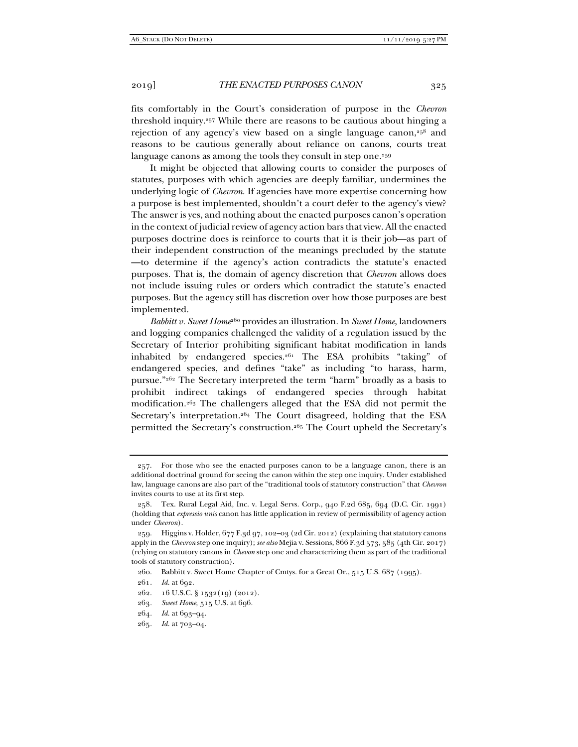fits comfortably in the Court's consideration of purpose in the *Chevron* threshold inquiry.257 While there are reasons to be cautious about hinging a rejection of any agency's view based on a single language canon, $258$  and reasons to be cautious generally about reliance on canons, courts treat language canons as among the tools they consult in step one.<sup>259</sup>

It might be objected that allowing courts to consider the purposes of statutes, purposes with which agencies are deeply familiar, undermines the underlying logic of *Chevron*. If agencies have more expertise concerning how a purpose is best implemented, shouldn't a court defer to the agency's view? The answer is yes, and nothing about the enacted purposes canon's operation in the context of judicial review of agency action bars that view. All the enacted purposes doctrine does is reinforce to courts that it is their job—as part of their independent construction of the meanings precluded by the statute —to determine if the agency's action contradicts the statute's enacted purposes. That is, the domain of agency discretion that *Chevron* allows does not include issuing rules or orders which contradict the statute's enacted purposes. But the agency still has discretion over how those purposes are best implemented.

*Babbitt v. Sweet Home*260 provides an illustration. In *Sweet Home*, landowners and logging companies challenged the validity of a regulation issued by the Secretary of Interior prohibiting significant habitat modification in lands inhabited by endangered species.261 The ESA prohibits "taking" of endangered species, and defines "take" as including "to harass, harm, pursue."262 The Secretary interpreted the term "harm" broadly as a basis to prohibit indirect takings of endangered species through habitat modification.263 The challengers alleged that the ESA did not permit the Secretary's interpretation.<sup>264</sup> The Court disagreed, holding that the ESA permitted the Secretary's construction.265 The Court upheld the Secretary's

263*. Sweet Home*, 515 U.S. at 696.

265*. Id.* at 703–04.

 <sup>257.</sup> For those who see the enacted purposes canon to be a language canon, there is an additional doctrinal ground for seeing the canon within the step one inquiry. Under established law, language canons are also part of the "traditional tools of statutory construction" that *Chevron* invites courts to use at its first step.

 <sup>258.</sup> Tex. Rural Legal Aid, Inc. v. Legal Servs. Corp., 940 F.2d 685, 694 (D.C. Cir. 1991) (holding that *expressio unis* canon has little application in review of permissibility of agency action under *Chevron*).

 <sup>259.</sup> Higgins v. Holder, 677 F.3d 97, 102–03 (2d Cir. 2012) (explaining that statutory canons apply in the *Chevron* step one inquiry); *see also* Mejia v. Sessions, 866 F.3d 573, 585 (4th Cir. 2017) (relying on statutory canons in *Chevon* step one and characterizing them as part of the traditional tools of statutory construction).

 <sup>260.</sup> Babbitt v. Sweet Home Chapter of Cmtys. for a Great Or., 515 U.S. 687 (1995).

<sup>261</sup>*. Id.* at 692.

 <sup>262. 16</sup> U.S.C. § 1532(19) (2012).

<sup>264</sup>*. Id.* at 693–94.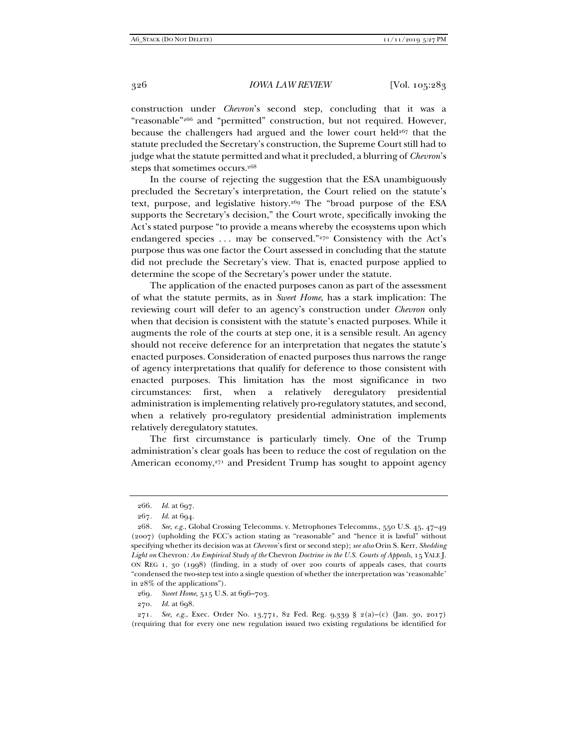construction under *Chevron*'s second step, concluding that it was a "reasonable"266 and "permitted" construction, but not required. However, because the challengers had argued and the lower court held $267$  that the statute precluded the Secretary's construction, the Supreme Court still had to judge what the statute permitted and what it precluded, a blurring of *Chevron*'s steps that sometimes occurs.268

In the course of rejecting the suggestion that the ESA unambiguously precluded the Secretary's interpretation, the Court relied on the statute's text, purpose, and legislative history.<sup>269</sup> The "broad purpose of the ESA supports the Secretary's decision," the Court wrote, specifically invoking the Act's stated purpose "to provide a means whereby the ecosystems upon which endangered species ... may be conserved."<sup>270</sup> Consistency with the Act's purpose thus was one factor the Court assessed in concluding that the statute did not preclude the Secretary's view. That is, enacted purpose applied to determine the scope of the Secretary's power under the statute.

The application of the enacted purposes canon as part of the assessment of what the statute permits, as in *Sweet Home*, has a stark implication: The reviewing court will defer to an agency's construction under *Chevron* only when that decision is consistent with the statute's enacted purposes. While it augments the role of the courts at step one, it is a sensible result. An agency should not receive deference for an interpretation that negates the statute's enacted purposes. Consideration of enacted purposes thus narrows the range of agency interpretations that qualify for deference to those consistent with enacted purposes. This limitation has the most significance in two circumstances: first, when a relatively deregulatory presidential administration is implementing relatively pro-regulatory statutes, and second, when a relatively pro-regulatory presidential administration implements relatively deregulatory statutes.

The first circumstance is particularly timely. One of the Trump administration's clear goals has been to reduce the cost of regulation on the American economy,<sup>271</sup> and President Trump has sought to appoint agency

<sup>266</sup>*. Id.* at 697.

<sup>267</sup>*. Id.* at 694.

<sup>268</sup>*. See, e.g.*, Global Crossing Telecomms. v. Metrophones Telecomms., 550 U.S. 45, 47–49 (2007) (upholding the FCC's action stating as "reasonable" and "hence it is lawful" without specifying whether its decision was at *Chevron*'s first or second step); *see also* Orin S. Kerr, *Shedding Light on* Chevron*: An Empirical Study of the* Chevron *Doctrine in the U.S. Courts of Appeals*, 15 YALE J. ON REG 1, 30 (1998) (finding, in a study of over 200 courts of appeals cases, that courts "condensed the two-step test into a single question of whether the interpretation was 'reasonable' in 28% of the applications").

<sup>269</sup>*. Sweet Home*, 515 U.S. at 696–703.

<sup>270</sup>*. Id.* at 698.

<sup>271</sup>*. See, e.g.*, Exec. Order No. 13,771, 82 Fed. Reg. 9,339 § 2(a)–(c) (Jan. 30, 2017) (requiring that for every one new regulation issued two existing regulations be identified for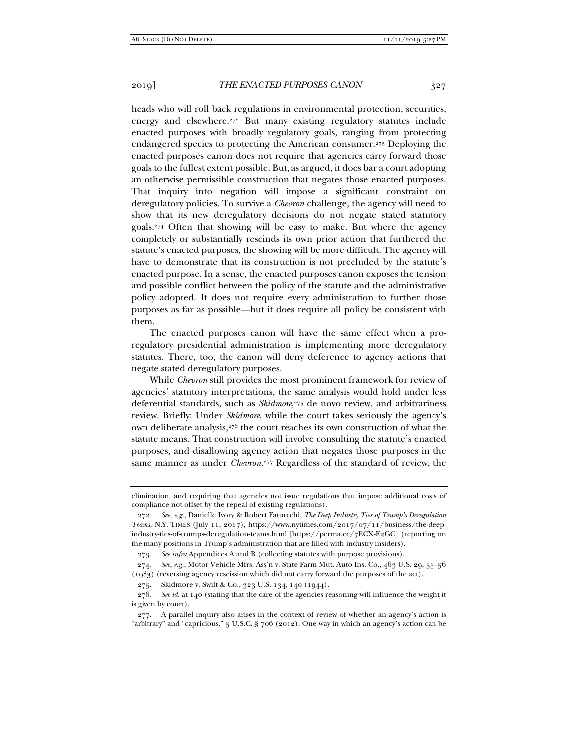heads who will roll back regulations in environmental protection, securities, energy and elsewhere.<sup>272</sup> But many existing regulatory statutes include enacted purposes with broadly regulatory goals, ranging from protecting endangered species to protecting the American consumer.273 Deploying the enacted purposes canon does not require that agencies carry forward those goals to the fullest extent possible. But, as argued, it does bar a court adopting an otherwise permissible construction that negates those enacted purposes. That inquiry into negation will impose a significant constraint on deregulatory policies. To survive a *Chevron* challenge, the agency will need to show that its new deregulatory decisions do not negate stated statutory goals.274 Often that showing will be easy to make. But where the agency completely or substantially rescinds its own prior action that furthered the statute's enacted purposes, the showing will be more difficult. The agency will have to demonstrate that its construction is not precluded by the statute's enacted purpose. In a sense, the enacted purposes canon exposes the tension and possible conflict between the policy of the statute and the administrative policy adopted. It does not require every administration to further those purposes as far as possible—but it does require all policy be consistent with them.

The enacted purposes canon will have the same effect when a proregulatory presidential administration is implementing more deregulatory statutes. There, too, the canon will deny deference to agency actions that negate stated deregulatory purposes.

While *Chevron* still provides the most prominent framework for review of agencies' statutory interpretations, the same analysis would hold under less deferential standards, such as *Skidmore*,<sup>275</sup> de novo review, and arbitrariness review. Briefly: Under *Skidmore*, while the court takes seriously the agency's own deliberate analysis, $276$  the court reaches its own construction of what the statute means. That construction will involve consulting the statute's enacted purposes, and disallowing agency action that negates those purposes in the same manner as under *Chevron*. 277 Regardless of the standard of review, the

elimination, and requiring that agencies not issue regulations that impose additional costs of compliance not offset by the repeal of existing regulations).

<sup>272</sup>*. See, e.g.*, Danielle Ivory & Robert Faturechi, *The Deep Industry Ties of Trump's Deregulation Teams*, N.Y. TIMES (July 11, 2017), https://www.nytimes.com/2017/07/11/business/the-deepindustry-ties-of-trumps-deregulation-teams.html [https://perma.cc/7ECX-E2GC] (reporting on the many positions in Trump's administration that are filled with industry insiders).

<sup>273</sup>*. See infra* Appendices A and B (collecting statutes with purpose provisions).

<sup>274</sup>*. See, e.g.*, Motor Vehicle Mfrs. Ass'n v. State Farm Mut. Auto Ins. Co., 463 U.S. 29, 55–56 (1983) (reversing agency rescission which did not carry forward the purposes of the act).

 <sup>275.</sup> Skidmore v. Swift & Co., 323 U.S. 134, 140 (1944).

<sup>276</sup>*. See id.* at 140 (stating that the care of the agencies reasoning will influence the weight it is given by court).

 <sup>277.</sup> A parallel inquiry also arises in the context of review of whether an agency's action is "arbitrary" and "capricious." 5 U.S.C. § 706 (2012). One way in which an agency's action can be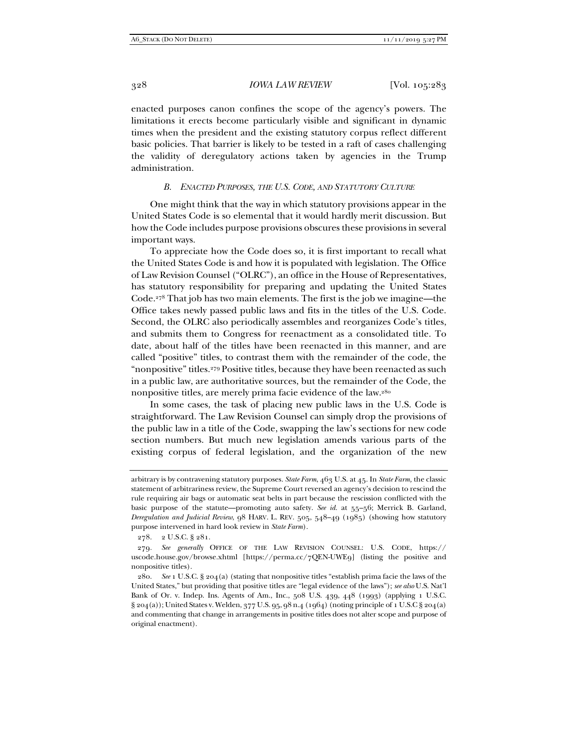enacted purposes canon confines the scope of the agency's powers. The limitations it erects become particularly visible and significant in dynamic times when the president and the existing statutory corpus reflect different basic policies. That barrier is likely to be tested in a raft of cases challenging the validity of deregulatory actions taken by agencies in the Trump administration.

# *B. ENACTED PURPOSES, THE U.S. CODE, AND STATUTORY CULTURE*

One might think that the way in which statutory provisions appear in the United States Code is so elemental that it would hardly merit discussion. But how the Code includes purpose provisions obscures these provisions in several important ways.

To appreciate how the Code does so, it is first important to recall what the United States Code is and how it is populated with legislation. The Office of Law Revision Counsel ("OLRC"), an office in the House of Representatives, has statutory responsibility for preparing and updating the United States Code.278 That job has two main elements. The first is the job we imagine—the Office takes newly passed public laws and fits in the titles of the U.S. Code. Second, the OLRC also periodically assembles and reorganizes Code's titles, and submits them to Congress for reenactment as a consolidated title. To date, about half of the titles have been reenacted in this manner, and are called "positive" titles, to contrast them with the remainder of the code, the "nonpositive" titles.279 Positive titles, because they have been reenacted as such in a public law, are authoritative sources, but the remainder of the Code, the nonpositive titles, are merely prima facie evidence of the law.280

In some cases, the task of placing new public laws in the U.S. Code is straightforward. The Law Revision Counsel can simply drop the provisions of the public law in a title of the Code, swapping the law's sections for new code section numbers. But much new legislation amends various parts of the existing corpus of federal legislation, and the organization of the new

arbitrary is by contravening statutory purposes. *State Farm*, 463 U.S. at 45. In *State Farm,* the classic statement of arbitrariness review, the Supreme Court reversed an agency's decision to rescind the rule requiring air bags or automatic seat belts in part because the rescission conflicted with the basic purpose of the statute—promoting auto safety. *See id.* at 55–56; Merrick B. Garland, *Deregulation and Judicial Review*, 98 HARV. L. REV. 505, 548–49 (1985) (showing how statutory purpose intervened in hard look review in *State Farm*).

 <sup>278. 2</sup> U.S.C. § 281.

<sup>279</sup>*. See generally* OFFICE OF THE LAW REVISION COUNSEL: U.S. CODE, https:// uscode.house.gov/browse.xhtml [https://perma.cc/7QEN-UWE9] (listing the positive and nonpositive titles).

 <sup>280.</sup> *See* 1 U.S.C. § 204(a) (stating that nonpositive titles "establish prima facie the laws of the United States," but providing that positive titles are "legal evidence of the laws"); *see also* U.S. Nat'l Bank of Or. v. Indep. Ins. Agents of Am., Inc., 508 U.S. 439, 448 (1993) (applying 1 U.S.C. § 204(a)); United States v. Welden, 377 U.S. 95, 98 n.4 (1964) (noting principle of 1 U.S.C § 204(a) and commenting that change in arrangements in positive titles does not alter scope and purpose of original enactment).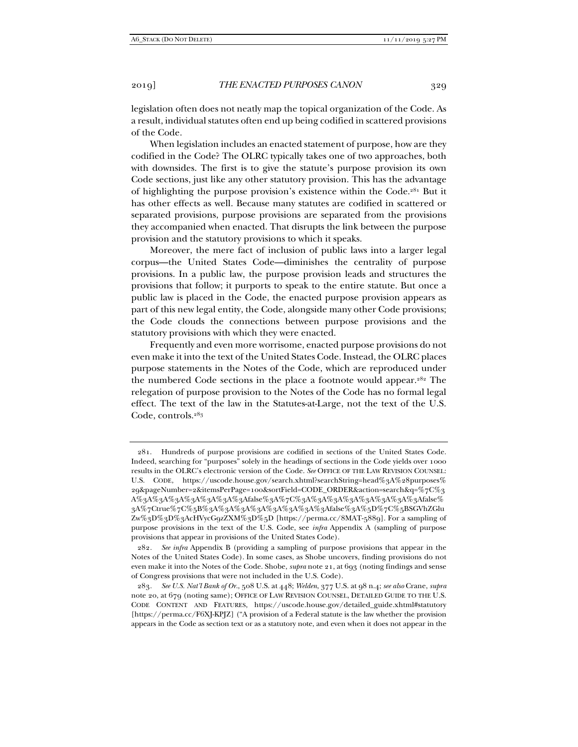legislation often does not neatly map the topical organization of the Code. As a result, individual statutes often end up being codified in scattered provisions of the Code.

When legislation includes an enacted statement of purpose, how are they codified in the Code? The OLRC typically takes one of two approaches, both with downsides. The first is to give the statute's purpose provision its own Code sections, just like any other statutory provision. This has the advantage of highlighting the purpose provision's existence within the Code.281 But it has other effects as well. Because many statutes are codified in scattered or separated provisions, purpose provisions are separated from the provisions they accompanied when enacted. That disrupts the link between the purpose provision and the statutory provisions to which it speaks.

Moreover, the mere fact of inclusion of public laws into a larger legal corpus—the United States Code—diminishes the centrality of purpose provisions. In a public law, the purpose provision leads and structures the provisions that follow; it purports to speak to the entire statute. But once a public law is placed in the Code, the enacted purpose provision appears as part of this new legal entity, the Code, alongside many other Code provisions; the Code clouds the connections between purpose provisions and the statutory provisions with which they were enacted.

Frequently and even more worrisome, enacted purpose provisions do not even make it into the text of the United States Code. Instead, the OLRC places purpose statements in the Notes of the Code, which are reproduced under the numbered Code sections in the place a footnote would appear.282 The relegation of purpose provision to the Notes of the Code has no formal legal effect. The text of the law in the Statutes-at-Large, not the text of the U.S. Code, controls.283

 <sup>281.</sup> Hundreds of purpose provisions are codified in sections of the United States Code. Indeed, searching for "purposes" solely in the headings of sections in the Code yields over 1000 results in the OLRC's electronic version of the Code. *See* OFFICE OF THE LAW REVISION COUNSEL: U.S. CODE, https://uscode.house.gov/search.xhtml?searchString=head%3A%28purposes% 29&pageNumber=2&itemsPerPage=100&sortField=CODE\_ORDER&action=search&q=%7C%3 A%3A%3A%3A%3A%3A%3A%3Afalse%3A%7C%3A%3A%3A%3A%3A%3A%3A%3Afalse% 3A%7Ctrue%7C%5B%3A%3A%3A%3A%3A%3A%3A%3Afalse%3A%5D%7C%5BSGVhZGlu Zw%3D%3D%3AcHVycG9zZXM%3D%5D [https://perma.cc/8MAT-5889]. For a sampling of purpose provisions in the text of the U.S. Code, see *infra* Appendix A (sampling of purpose provisions that appear in provisions of the United States Code).

<sup>282</sup>*. See infra* Appendix B (providing a sampling of purpose provisions that appear in the Notes of the United States Code). In some cases, as Shobe uncovers, finding provisions do not even make it into the Notes of the Code. Shobe, *supra* note 21, at 693 (noting findings and sense of Congress provisions that were not included in the U.S. Code).

<sup>283</sup>*. See U.S. Nat'l Bank of Or.*, 508 U.S. at 448; *Welden*, 377 U.S. at 98 n.4; *see also* Crane, *supra* note 20, at 679 (noting same); OFFICE OF LAW REVISION COUNSEL, DETAILED GUIDE TO THE U.S. CODE CONTENT AND FEATURES, https://uscode.house.gov/detailed\_guide.xhtml#statutory [https://perma.cc/F6XJ-KPJZ] ("A provision of a Federal statute is the law whether the provision appears in the Code as section text or as a statutory note, and even when it does not appear in the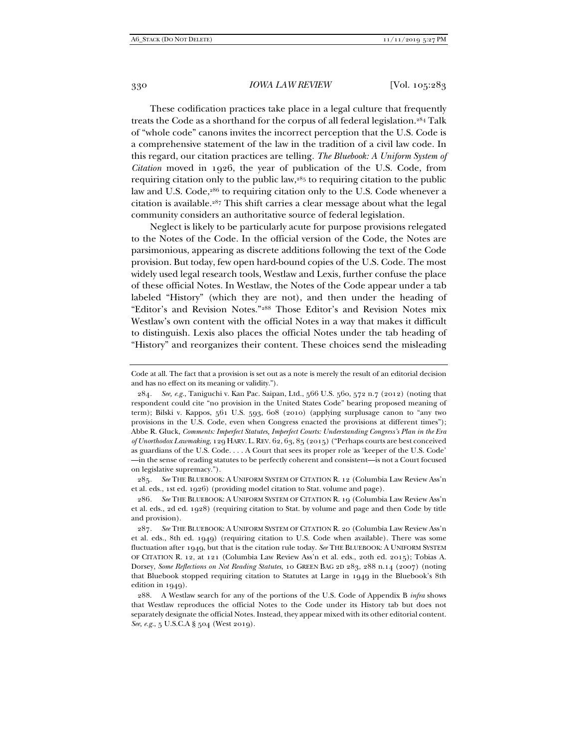These codification practices take place in a legal culture that frequently treats the Code as a shorthand for the corpus of all federal legislation.284 Talk of "whole code" canons invites the incorrect perception that the U.S. Code is a comprehensive statement of the law in the tradition of a civil law code. In this regard, our citation practices are telling. *The Bluebook: A Uniform System of Citation* moved in 1926, the year of publication of the U.S. Code, from requiring citation only to the public law,285 to requiring citation to the public law and U.S. Code,<sup>286</sup> to requiring citation only to the U.S. Code whenever a citation is available.287 This shift carries a clear message about what the legal community considers an authoritative source of federal legislation.

Neglect is likely to be particularly acute for purpose provisions relegated to the Notes of the Code. In the official version of the Code, the Notes are parsimonious, appearing as discrete additions following the text of the Code provision. But today, few open hard-bound copies of the U.S. Code. The most widely used legal research tools, Westlaw and Lexis, further confuse the place of these official Notes. In Westlaw, the Notes of the Code appear under a tab labeled "History" (which they are not), and then under the heading of "Editor's and Revision Notes."288 Those Editor's and Revision Notes mix Westlaw's own content with the official Notes in a way that makes it difficult to distinguish. Lexis also places the official Notes under the tab heading of "History" and reorganizes their content. These choices send the misleading

285*. See* THE BLUEBOOK: A UNIFORM SYSTEM OF CITATION R. 12 (Columbia Law Review Ass'n et al. eds., 1st ed. 1926) (providing model citation to Stat. volume and page).

286*. See* THE BLUEBOOK: A UNIFORM SYSTEM OF CITATION R. 19 (Columbia Law Review Ass'n et al. eds., 2d ed. 1928) (requiring citation to Stat. by volume and page and then Code by title and provision).

Code at all. The fact that a provision is set out as a note is merely the result of an editorial decision and has no effect on its meaning or validity.").

<sup>284</sup>*. See, e.g.*, Taniguchi v. Kan Pac. Saipan, Ltd., 566 U.S. 560, 572 n.7 (2012) (noting that respondent could cite "no provision in the United States Code" bearing proposed meaning of term); Bilski v. Kappos, 561 U.S. 593, 608 (2010) (applying surplusage canon to "any two provisions in the U.S. Code, even when Congress enacted the provisions at different times"); Abbe R. Gluck, *Comments: Imperfect Statutes, Imperfect Courts: Understanding Congress's Plan in the Era of Unorthodox Lawmaking*, 129 HARV. L.REV. 62, 63, 85 (2015) ("Perhaps courts are best conceived as guardians of the U.S. Code. . . . A Court that sees its proper role as 'keeper of the U.S. Code' —in the sense of reading statutes to be perfectly coherent and consistent—is not a Court focused on legislative supremacy.").

<sup>287</sup>*. See* THE BLUEBOOK: A UNIFORM SYSTEM OF CITATION R. 20 (Columbia Law Review Ass'n et al. eds., 8th ed. 1949) (requiring citation to U.S. Code when available). There was some fluctuation after 1949, but that is the citation rule today. *See* THE BLUEBOOK: A UNIFORM SYSTEM OF CITATION R. 12, at 121 (Columbia Law Review Ass'n et al. eds., 20th ed. 2015); Tobias A. Dorsey, *Some Reflections on Not Reading Statutes*, 10 GREEN BAG 2D 283, 288 n.14 (2007) (noting that Bluebook stopped requiring citation to Statutes at Large in 1949 in the Bluebook's 8th edition in 1949).

 <sup>288.</sup> A Westlaw search for any of the portions of the U.S. Code of Appendix B *infra* shows that Westlaw reproduces the official Notes to the Code under its History tab but does not separately designate the official Notes. Instead, they appear mixed with its other editorial content. *See, e.g.*, 5 U.S.C.A § 504 (West 2019).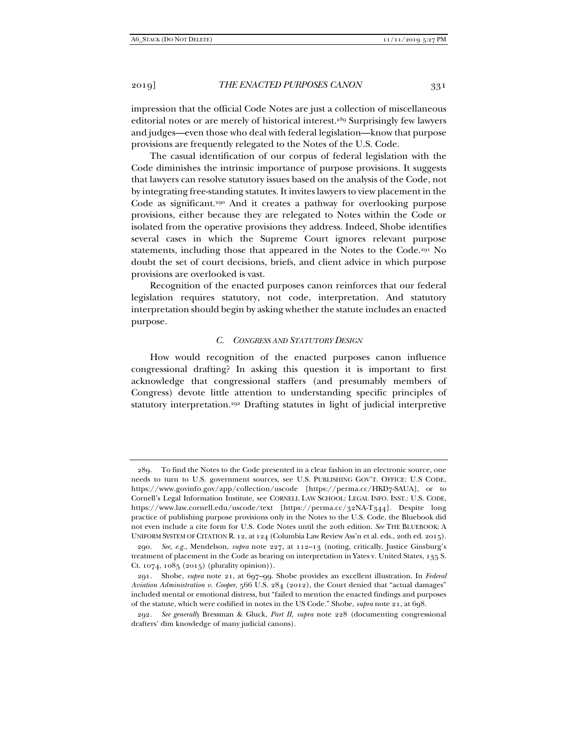impression that the official Code Notes are just a collection of miscellaneous editorial notes or are merely of historical interest.289 Surprisingly few lawyers and judges—even those who deal with federal legislation—know that purpose provisions are frequently relegated to the Notes of the U.S. Code.

The casual identification of our corpus of federal legislation with the Code diminishes the intrinsic importance of purpose provisions. It suggests that lawyers can resolve statutory issues based on the analysis of the Code, not by integrating free-standing statutes. It invites lawyers to view placement in the Code as significant.290 And it creates a pathway for overlooking purpose provisions, either because they are relegated to Notes within the Code or isolated from the operative provisions they address. Indeed, Shobe identifies several cases in which the Supreme Court ignores relevant purpose statements, including those that appeared in the Notes to the Code.291 No doubt the set of court decisions, briefs, and client advice in which purpose provisions are overlooked is vast.

Recognition of the enacted purposes canon reinforces that our federal legislation requires statutory, not code, interpretation. And statutory interpretation should begin by asking whether the statute includes an enacted purpose.

# *C. CONGRESS AND STATUTORY DESIGN*

How would recognition of the enacted purposes canon influence congressional drafting? In asking this question it is important to first acknowledge that congressional staffers (and presumably members of Congress) devote little attention to understanding specific principles of statutory interpretation.<sup>292</sup> Drafting statutes in light of judicial interpretive

 <sup>289.</sup> To find the Notes to the Code presented in a clear fashion in an electronic source, one needs to turn to U.S. government sources, see U.S. PUBLISHING GOV'T. OFFICE: U.S CODE, https://www.govinfo.gov/app/collection/uscode [https://perma.cc/HKD7-SAUA], or to Cornell's Legal Information Institute, see CORNELL LAW SCHOOL: LEGAL INFO. INST.: U.S. CODE, https://www.law.cornell.edu/uscode/text [https://perma.cc/32NA-T344]. Despite long practice of publishing purpose provisions only in the Notes to the U.S. Code, the Bluebook did not even include a cite form for U.S. Code Notes until the 20th edition. *See* THE BLUEBOOK: A UNIFORM SYSTEM OF CITATION R. 12, at 124 (Columbia Law Review Ass'n et al. eds., 20th ed. 2015).

<sup>290</sup>*. See, e.g.*, Mendelson, *supra* note 227, at 112–13 (noting, critically, Justice Ginsburg's treatment of placement in the Code as bearing on interpretation in Yates v. United States, 135 S. Ct. 1074, 1085 (2015) (plurality opinion)).

 <sup>291.</sup> Shobe, *supra* note 21, at 697–99. Shobe provides an excellent illustration. In *Federal Aviation Administration v. Cooper*, 566 U.S. 284 (2012), the Court denied that "actual damages" included mental or emotional distress, but "failed to mention the enacted findings and purposes of the statute, which were codified in notes in the US Code." Shobe, *supra* note 21, at 698.

<sup>292</sup>*. See generally* Bressman & Gluck, *Part II*, *supra* note 228 (documenting congressional drafters' dim knowledge of many judicial canons).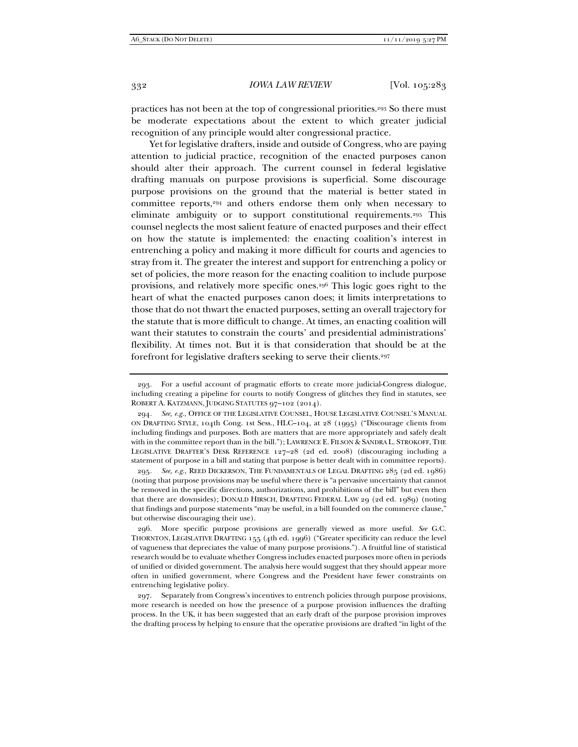practices has not been at the top of congressional priorities.293 So there must be moderate expectations about the extent to which greater judicial recognition of any principle would alter congressional practice.

Yet for legislative drafters, inside and outside of Congress, who are paying attention to judicial practice, recognition of the enacted purposes canon should alter their approach. The current counsel in federal legislative drafting manuals on purpose provisions is superficial. Some discourage purpose provisions on the ground that the material is better stated in committee reports,<sup>294</sup> and others endorse them only when necessary to eliminate ambiguity or to support constitutional requirements.295 This counsel neglects the most salient feature of enacted purposes and their effect on how the statute is implemented: the enacting coalition's interest in entrenching a policy and making it more difficult for courts and agencies to stray from it. The greater the interest and support for entrenching a policy or set of policies, the more reason for the enacting coalition to include purpose provisions, and relatively more specific ones.296 This logic goes right to the heart of what the enacted purposes canon does; it limits interpretations to those that do not thwart the enacted purposes, setting an overall trajectory for the statute that is more difficult to change. At times, an enacting coalition will want their statutes to constrain the courts' and presidential administrations' flexibility. At times not. But it is that consideration that should be at the forefront for legislative drafters seeking to serve their clients.297

295*. See, e.g.*, REED DICKERSON, THE FUNDAMENTALS OF LEGAL DRAFTING 285 (2d ed. 1986) (noting that purpose provisions may be useful where there is "a pervasive uncertainty that cannot be removed in the specific directions, authorizations, and prohibitions of the bill" but even then that there are downsides); DONALD HIRSCH, DRAFTING FEDERAL LAW 29 (2d ed. 1989) (noting that findings and purpose statements "may be useful, in a bill founded on the commerce clause," but otherwise discouraging their use).

 296. More specific purpose provisions are generally viewed as more useful. *See* G.C. THORNTON, LEGISLATIVE DRAFTING 155 (4th ed. 1996) ("Greater specificity can reduce the level of vagueness that depreciates the value of many purpose provisions."). A fruitful line of statistical research would be to evaluate whether Congress includes enacted purposes more often in periods of unified or divided government. The analysis here would suggest that they should appear more often in unified government, where Congress and the President have fewer constraints on entrenching legislative policy.

 297. Separately from Congress's incentives to entrench policies through purpose provisions, more research is needed on how the presence of a purpose provision influences the drafting process. In the UK, it has been suggested that an early draft of the purpose provision improves the drafting process by helping to ensure that the operative provisions are drafted "in light of the

 <sup>293.</sup> For a useful account of pragmatic efforts to create more judicial-Congress dialogue, including creating a pipeline for courts to notify Congress of glitches they find in statutes, see ROBERT A. KATZMANN, JUDGING STATUTES 97–102 (2014).

<sup>294</sup>*. See, e.g.*, OFFICE OF THE LEGISLATIVE COUNSEL, HOUSE LEGISLATIVE COUNSEL'S MANUAL ON DRAFTING STYLE, 104th Cong. 1st Sess., HLC–104, at 28 (1995) ("Discourage clients from including findings and purposes. Both are matters that are more appropriately and safely dealt with in the committee report than in the bill."); LAWRENCE E. FILSON & SANDRA L. STROKOFF, THE LEGISLATIVE DRAFTER'S DESK REFERENCE 127–28 (2d ed. 2008) (discouraging including a statement of purpose in a bill and stating that purpose is better dealt with in committee reports).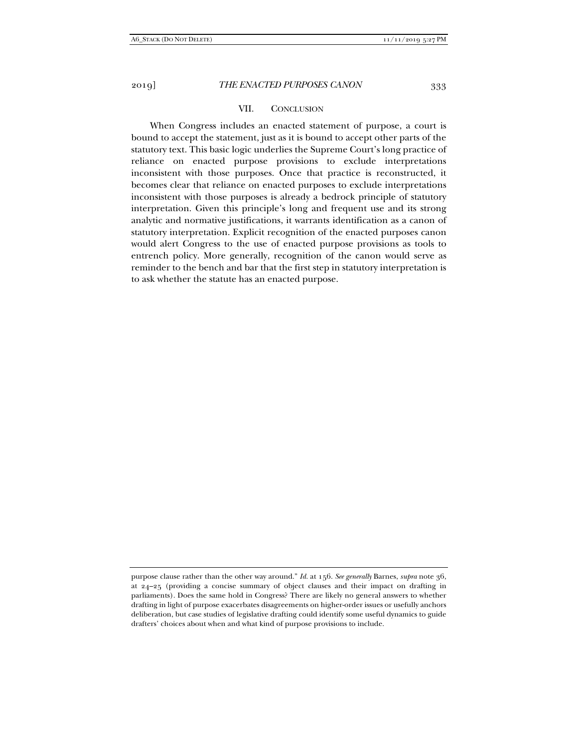#### VII. CONCLUSION

When Congress includes an enacted statement of purpose, a court is bound to accept the statement, just as it is bound to accept other parts of the statutory text. This basic logic underlies the Supreme Court's long practice of reliance on enacted purpose provisions to exclude interpretations inconsistent with those purposes. Once that practice is reconstructed, it becomes clear that reliance on enacted purposes to exclude interpretations inconsistent with those purposes is already a bedrock principle of statutory interpretation. Given this principle's long and frequent use and its strong analytic and normative justifications, it warrants identification as a canon of statutory interpretation. Explicit recognition of the enacted purposes canon would alert Congress to the use of enacted purpose provisions as tools to entrench policy. More generally, recognition of the canon would serve as reminder to the bench and bar that the first step in statutory interpretation is to ask whether the statute has an enacted purpose.

purpose clause rather than the other way around." *Id.* at 156. *See generally* Barnes, *supra* note 36, at 24–25 (providing a concise summary of object clauses and their impact on drafting in parliaments). Does the same hold in Congress? There are likely no general answers to whether drafting in light of purpose exacerbates disagreements on higher-order issues or usefully anchors deliberation, but case studies of legislative drafting could identify some useful dynamics to guide drafters' choices about when and what kind of purpose provisions to include.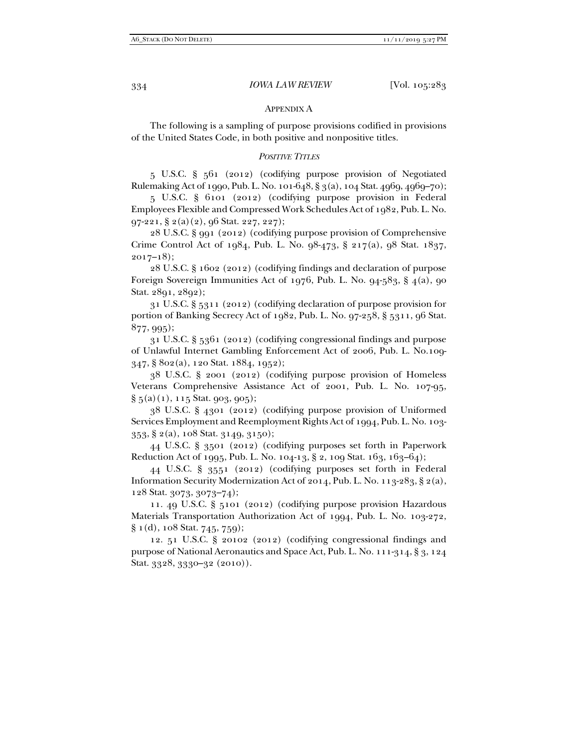## APPENDIX A

The following is a sampling of purpose provisions codified in provisions of the United States Code, in both positive and nonpositive titles.

# *POSITIVE TITLES*

5 U.S.C. § 561 (2012) (codifying purpose provision of Negotiated Rulemaking Act of 1990, Pub. L. No. 101-648, § 3(a), 104 Stat. 4969, 4969–70);

5 U.S.C. § 6101 (2012) (codifying purpose provision in Federal Employees Flexible and Compressed Work Schedules Act of 1982, Pub. L. No. 97-221, § 2(a)(2), 96 Stat. 227, 227);

28 U.S.C. § 991 (2012) (codifying purpose provision of Comprehensive Crime Control Act of 1984, Pub. L. No. 98-473, § 217(a), 98 Stat. 1837,  $2017-18$ ;

28 U.S.C. § 1602 (2012) (codifying findings and declaration of purpose Foreign Sovereign Immunities Act of 1976, Pub. L. No. 94-583,  $\S$  4(a), 90 Stat. 2891, 2892);

31 U.S.C. § 5311 (2012) (codifying declaration of purpose provision for portion of Banking Secrecy Act of 1982, Pub. L. No. 97-258, § 5311, 96 Stat. 877, 995);

31 U.S.C. § 5361 (2012) (codifying congressional findings and purpose of Unlawful Internet Gambling Enforcement Act of 2006, Pub. L. No.109- 347, § 802(a), 120 Stat. 1884, 1952);

38 U.S.C. § 2001 (2012) (codifying purpose provision of Homeless Veterans Comprehensive Assistance Act of 2001, Pub. L. No. 107-95,  $\S$  5(a)(1), 115 Stat. 903, 905);

38 U.S.C. § 4301 (2012) (codifying purpose provision of Uniformed Services Employment and Reemployment Rights Act of 1994, Pub. L. No. 103- 353, § 2(a), 108 Stat. 3149, 3150);

44 U.S.C. § 3501 (2012) (codifying purposes set forth in Paperwork Reduction Act of 1995, Pub. L. No. 104-13, § 2, 109 Stat. 163, 163-64);

44 U.S.C. § 3551 (2012) (codifying purposes set forth in Federal Information Security Modernization Act of 2014, Pub. L. No. 113-283, § 2(a), 128 Stat. 3073, 3073–74);

11. 49 U.S.C. § 5101 (2012) (codifying purpose provision Hazardous Materials Transportation Authorization Act of 1994, Pub. L. No. 103-272, § 1(d), 108 Stat. 745, 759);

12. 51 U.S.C. § 20102 (2012) (codifying congressional findings and purpose of National Aeronautics and Space Act, Pub. L. No. 111-314, § 3, 124 Stat. 3328, 3330–32 (2010)).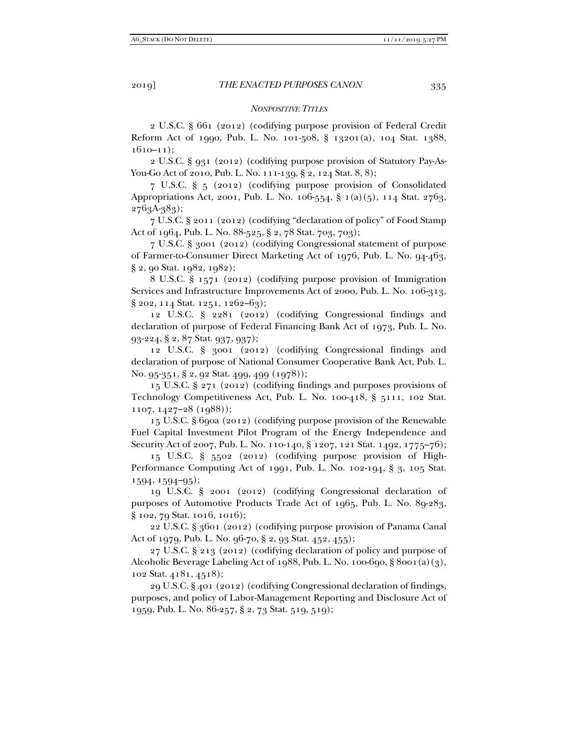# *NONPOSITIVE TITLES*

2 U.S.C. § 661 (2012) (codifying purpose provision of Federal Credit Reform Act of 1990, Pub. L. No. 101-508, § 13201(a), 104 Stat. 1388,  $1610-11);$ 

2 U.S.C. § 931 (2012) (codifying purpose provision of Statutory Pay-As-You-Go Act of 2010, Pub. L. No. 111-139, § 2, 124 Stat. 8, 8);

7 U.S.C. § 5 (2012) (codifying purpose provision of Consolidated Appropriations Act, 2001, Pub. L. No. 106-554, § 1(a)(5), 114 Stat. 2763, 2763A-383);

7 U.S.C. § 2011 (2012) (codifying "declaration of policy" of Food Stamp Act of 1964, Pub. L. No. 88-525, § 2, 78 Stat. 703, 703);

7 U.S.C. § 3001 (2012) (codifying Congressional statement of purpose of Farmer-to-Consumer Direct Marketing Act of 1976, Pub. L. No. 94-463, § 2, 90 Stat. 1982, 1982);

8 U.S.C. § 1571 (2012) (codifying purpose provision of Immigration Services and Infrastructure Improvements Act of 2000, Pub. L. No. 106-313, § 202, 114 Stat. 1251, 1262–63);

12 U.S.C. § 2281 (2012) (codifying Congressional findings and declaration of purpose of Federal Financing Bank Act of 1973, Pub. L. No. 93-224, § 2, 87 Stat. 937, 937);

12 U.S.C. § 3001 (2012) (codifying Congressional findings and declaration of purpose of National Consumer Cooperative Bank Act, Pub. L. No. 95-351, § 2, 92 Stat. 499, 499 (1978));

15 U.S.C. § 271 (2012) (codifying findings and purposes provisions of Technology Competitiveness Act, Pub. L. No. 100-418, § 5111, 102 Stat. 1107, 1427–28 (1988));

15 U.S.C. § 690a (2012) (codifying purpose provision of the Renewable Fuel Capital Investment Pilot Program of the Energy Independence and Security Act of 2007, Pub. L. No. 110-140, § 1207, 121 Stat. 1492, 1775–76);

15 U.S.C. § 5502 (2012) (codifying purpose provision of High-Performance Computing Act of 1991, Pub. L. No. 102-194, § 3, 105 Stat. 1594, 1594–95);

19 U.S.C. § 2001 (2012) (codifying Congressional declaration of purposes of Automotive Products Trade Act of 1965, Pub. L. No. 89-283, § 102, 79 Stat. 1016, 1016);

22 U.S.C. § 3601 (2012) (codifying purpose provision of Panama Canal Act of 1979, Pub. L. No. 96-70, § 2, 93 Stat. 452, 455);

27 U.S.C. § 213 (2012) (codifying declaration of policy and purpose of Alcoholic Beverage Labeling Act of 1988, Pub. L. No. 100-690, § 8001(a)(3), 102 Stat. 4181, 4518);

29 U.S.C. § 401 (2012) (codifying Congressional declaration of findings, purposes, and policy of Labor-Management Reporting and Disclosure Act of 1959, Pub. L. No. 86-257, § 2, 73 Stat. 519, 519);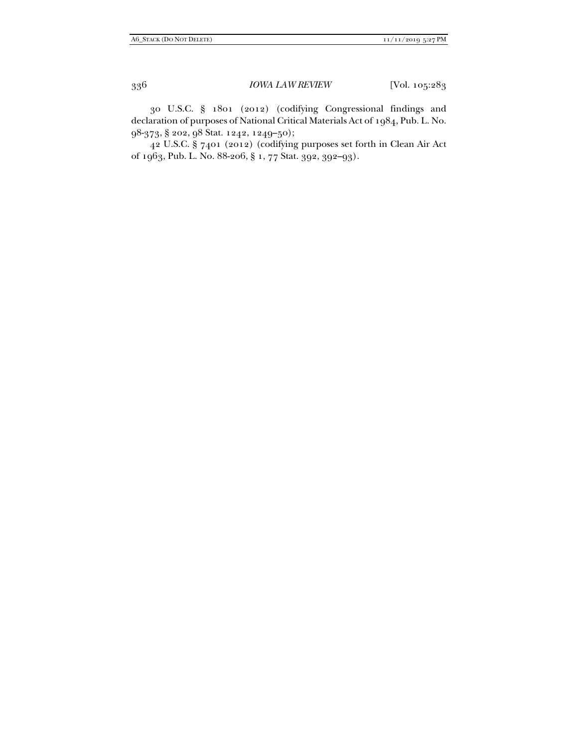30 U.S.C. § 1801 (2012) (codifying Congressional findings and declaration of purposes of National Critical Materials Act of 1984, Pub. L. No. 98-373, § 202, 98 Stat. 1242, 1249–50);

42 U.S.C. § 7401 (2012) (codifying purposes set forth in Clean Air Act of 1963, Pub. L. No. 88-206, § 1, 77 Stat. 392, 392–93).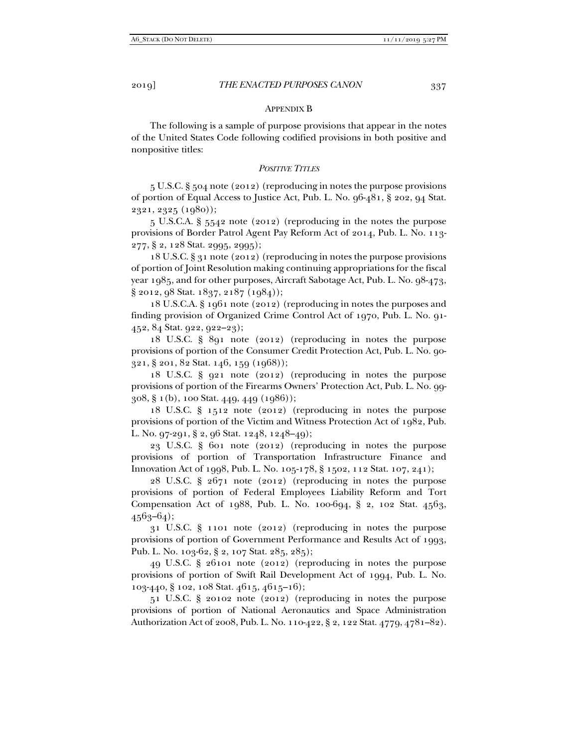#### APPENDIX B

The following is a sample of purpose provisions that appear in the notes of the United States Code following codified provisions in both positive and nonpositive titles:

# *POSITIVE TITLES*

5 U.S.C. § 504 note (2012) (reproducing in notes the purpose provisions of portion of Equal Access to Justice Act, Pub. L. No. 96-481, § 202, 94 Stat. 2321, 2325 (1980));

5 U.S.C.A. § 5542 note (2012) (reproducing in the notes the purpose provisions of Border Patrol Agent Pay Reform Act of 2014, Pub. L. No. 113- 277, § 2, 128 Stat. 2995, 2995);

18 U.S.C. § 31 note (2012) (reproducing in notes the purpose provisions of portion of Joint Resolution making continuing appropriations for the fiscal year 1985, and for other purposes, Aircraft Sabotage Act, Pub. L. No. 98-473, § 2012, 98 Stat. 1837, 2187 (1984));

18 U.S.C.A. § 1961 note (2012) (reproducing in notes the purposes and finding provision of Organized Crime Control Act of 1970, Pub. L. No. 91- 452, 84 Stat. 922, 922–23);

18 U.S.C. § 891 note (2012) (reproducing in notes the purpose provisions of portion of the Consumer Credit Protection Act, Pub. L. No. 90- 321, § 201, 82 Stat. 146, 159 (1968));

18 U.S.C. § 921 note (2012) (reproducing in notes the purpose provisions of portion of the Firearms Owners' Protection Act, Pub. L. No. 99- 308, § 1(b), 100 Stat. 449, 449 (1986));

18 U.S.C. § 1512 note (2012) (reproducing in notes the purpose provisions of portion of the Victim and Witness Protection Act of 1982, Pub. L. No. 97-291, § 2, 96 Stat. 1248, 1248–49);

23 U.S.C. § 601 note (2012) (reproducing in notes the purpose provisions of portion of Transportation Infrastructure Finance and Innovation Act of 1998, Pub. L. No. 105-178, § 1502, 112 Stat. 107, 241);

28 U.S.C. § 2671 note (2012) (reproducing in notes the purpose provisions of portion of Federal Employees Liability Reform and Tort Compensation Act of 1988, Pub. L. No. 100-694, § 2, 102 Stat. 4563,  $4563-64$ ;

31 U.S.C. § 1101 note (2012) (reproducing in notes the purpose provisions of portion of Government Performance and Results Act of 1993, Pub. L. No. 103-62, § 2, 107 Stat. 285, 285);

49 U.S.C. § 26101 note (2012) (reproducing in notes the purpose provisions of portion of Swift Rail Development Act of 1994, Pub. L. No. 103-440, § 102, 108 Stat. 4615, 4615–16);

51 U.S.C. § 20102 note (2012) (reproducing in notes the purpose provisions of portion of National Aeronautics and Space Administration Authorization Act of 2008, Pub. L. No. 110-422, § 2, 122 Stat. 4779, 4781–82).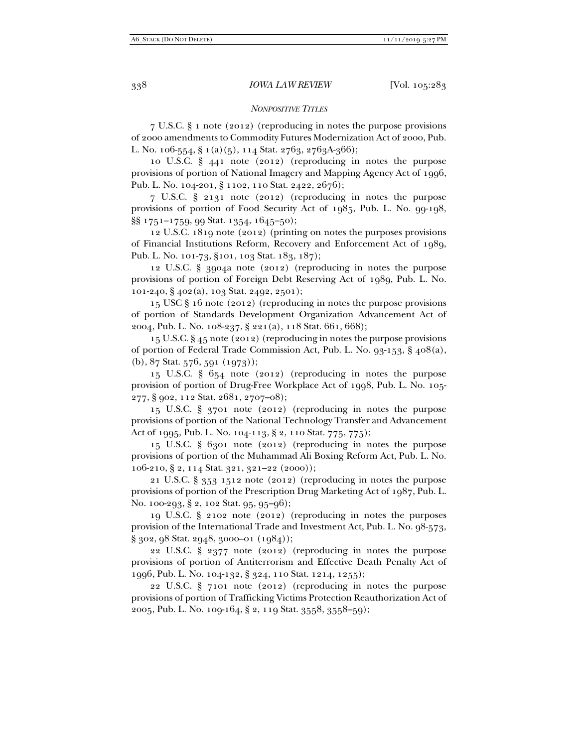# *NONPOSITIVE TITLES*

7 U.S.C. § 1 note (2012) (reproducing in notes the purpose provisions of 2000 amendments to Commodity Futures Modernization Act of 2000, Pub. L. No. 106-554, § 1(a)(5), 114 Stat. 2763, 2763A-366);

10 U.S.C. § 441 note (2012) (reproducing in notes the purpose provisions of portion of National Imagery and Mapping Agency Act of 1996, Pub. L. No. 104-201, § 1102, 110 Stat. 2422, 2676);

7 U.S.C. § 2131 note (2012) (reproducing in notes the purpose provisions of portion of Food Security Act of 1985, Pub. L. No. 99-198, §§ 1751–1759, 99 Stat. 1354, 1645–50);

12 U.S.C. 1819 note (2012) (printing on notes the purposes provisions of Financial Institutions Reform, Recovery and Enforcement Act of 1989, Pub. L. No. 101-73, §101, 103 Stat. 183, 187);

12 U.S.C. § 3904a note (2012) (reproducing in notes the purpose provisions of portion of Foreign Debt Reserving Act of 1989, Pub. L. No. 101-240, § 402(a), 103 Stat. 2492, 2501);

15 USC § 16 note (2012) (reproducing in notes the purpose provisions of portion of Standards Development Organization Advancement Act of 2004, Pub. L. No. 108-237, § 221(a), 118 Stat. 661, 668);

15 U.S.C. § 45 note (2012) (reproducing in notes the purpose provisions of portion of Federal Trade Commission Act, Pub. L. No. 93-153, § 408(a), (b), 87 Stat. 576, 591 (1973));

15 U.S.C. § 654 note (2012) (reproducing in notes the purpose provision of portion of Drug-Free Workplace Act of 1998, Pub. L. No. 105- 277, § 902, 112 Stat. 2681, 2707–08);

15 U.S.C. § 3701 note (2012) (reproducing in notes the purpose provisions of portion of the National Technology Transfer and Advancement Act of 1995, Pub. L. No. 104-113, § 2, 110 Stat. 775, 775);

15 U.S.C. § 6301 note (2012) (reproducing in notes the purpose provisions of portion of the Muhammad Ali Boxing Reform Act, Pub. L. No. 106-210, § 2, 114 Stat. 321, 321–22 (2000));

21 U.S.C. § 353 1512 note (2012) (reproducing in notes the purpose provisions of portion of the Prescription Drug Marketing Act of 1987, Pub. L. No. 100-293, § 2, 102 Stat. 95, 95–96);

19 U.S.C. § 2102 note (2012) (reproducing in notes the purposes provision of the International Trade and Investment Act, Pub. L. No. 98-573, § 302, 98 Stat. 2948, 3000–01 (1984));

22 U.S.C. § 2377 note (2012) (reproducing in notes the purpose provisions of portion of Antiterrorism and Effective Death Penalty Act of 1996, Pub. L. No. 104-132, § 324, 110 Stat. 1214, 1255);

22 U.S.C. § 7101 note (2012) (reproducing in notes the purpose provisions of portion of Trafficking Victims Protection Reauthorization Act of 2005, Pub. L. No. 109-164, § 2, 119 Stat. 3558, 3558–59);